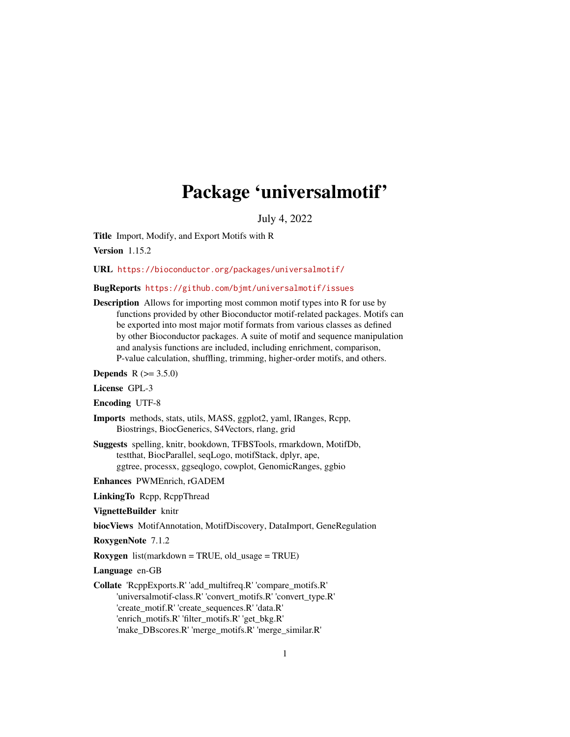# Package 'universalmotif'

July 4, 2022

<span id="page-0-0"></span>Title Import, Modify, and Export Motifs with R

Version 1.15.2

URL <https://bioconductor.org/packages/universalmotif/>

### BugReports <https://github.com/bjmt/universalmotif/issues>

Description Allows for importing most common motif types into R for use by functions provided by other Bioconductor motif-related packages. Motifs can be exported into most major motif formats from various classes as defined by other Bioconductor packages. A suite of motif and sequence manipulation and analysis functions are included, including enrichment, comparison, P-value calculation, shuffling, trimming, higher-order motifs, and others.

**Depends**  $R (= 3.5.0)$ 

License GPL-3

Encoding UTF-8

- Imports methods, stats, utils, MASS, ggplot2, yaml, IRanges, Rcpp, Biostrings, BiocGenerics, S4Vectors, rlang, grid
- Suggests spelling, knitr, bookdown, TFBSTools, rmarkdown, MotifDb, testthat, BiocParallel, seqLogo, motifStack, dplyr, ape, ggtree, processx, ggseqlogo, cowplot, GenomicRanges, ggbio

Enhances PWMEnrich, rGADEM

LinkingTo Rcpp, RcppThread

VignetteBuilder knitr

biocViews MotifAnnotation, MotifDiscovery, DataImport, GeneRegulation

RoxygenNote 7.1.2

Roxygen list(markdown = TRUE, old\_usage = TRUE)

Language en-GB

Collate 'RcppExports.R' 'add\_multifreq.R' 'compare\_motifs.R' 'universalmotif-class.R' 'convert\_motifs.R' 'convert\_type.R' 'create\_motif.R' 'create\_sequences.R' 'data.R' 'enrich\_motifs.R' 'filter\_motifs.R' 'get\_bkg.R' 'make\_DBscores.R' 'merge\_motifs.R' 'merge\_similar.R'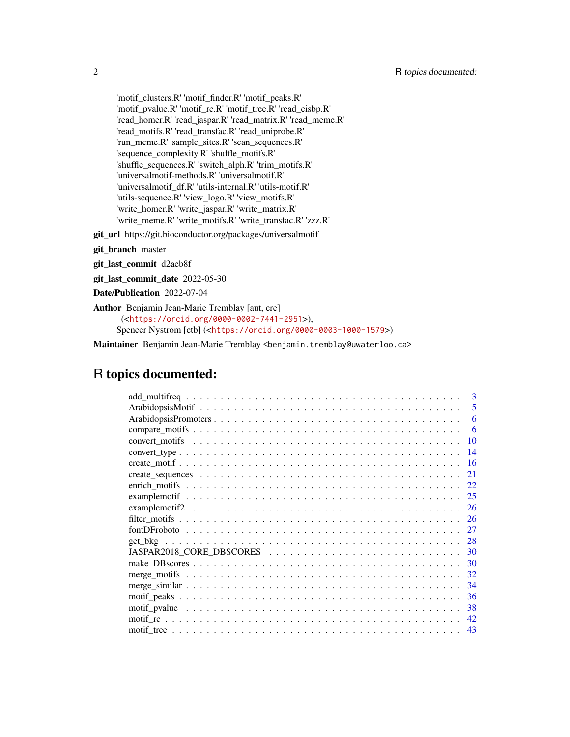'motif\_clusters.R' 'motif\_finder.R' 'motif\_peaks.R' 'motif\_pvalue.R' 'motif\_rc.R' 'motif\_tree.R' 'read\_cisbp.R' 'read\_homer.R' 'read\_jaspar.R' 'read\_matrix.R' 'read\_meme.R' 'read\_motifs.R' 'read\_transfac.R' 'read\_uniprobe.R' 'run\_meme.R' 'sample\_sites.R' 'scan\_sequences.R' 'sequence\_complexity.R' 'shuffle\_motifs.R' 'shuffle\_sequences.R' 'switch\_alph.R' 'trim\_motifs.R' 'universalmotif-methods.R' 'universalmotif.R' 'universalmotif\_df.R' 'utils-internal.R' 'utils-motif.R' 'utils-sequence.R' 'view\_logo.R' 'view\_motifs.R' 'write\_homer.R' 'write\_jaspar.R' 'write\_matrix.R' 'write\_meme.R' 'write\_motifs.R' 'write\_transfac.R' 'zzz.R'

git\_url https://git.bioconductor.org/packages/universalmotif

git\_branch master

git\_last\_commit d2aeb8f

git\_last\_commit\_date 2022-05-30

Date/Publication 2022-07-04

Author Benjamin Jean-Marie Tremblay [aut, cre] (<<https://orcid.org/0000-0002-7441-2951>>), Spencer Nystrom [ctb] (<<https://orcid.org/0000-0003-1000-1579>>)

Maintainer Benjamin Jean-Marie Tremblay <benjamin.tremblay@uwaterloo.ca>

## R topics documented:

| 3                                                                                                                          |
|----------------------------------------------------------------------------------------------------------------------------|
| 5                                                                                                                          |
| 6                                                                                                                          |
| -6                                                                                                                         |
| 10                                                                                                                         |
| 14                                                                                                                         |
| 16                                                                                                                         |
| 21                                                                                                                         |
| 22                                                                                                                         |
| 25                                                                                                                         |
|                                                                                                                            |
| - 26                                                                                                                       |
| $fontDFroboto \dots \dots \dots \dots \dots \dots \dots \dots \dots \dots \dots \dots \dots \dots \dots \dots \dots$<br>27 |
| 28                                                                                                                         |
| 30                                                                                                                         |
| 30                                                                                                                         |
| 32                                                                                                                         |
| 34                                                                                                                         |
| 36                                                                                                                         |
| 38                                                                                                                         |
| 42                                                                                                                         |
| 43                                                                                                                         |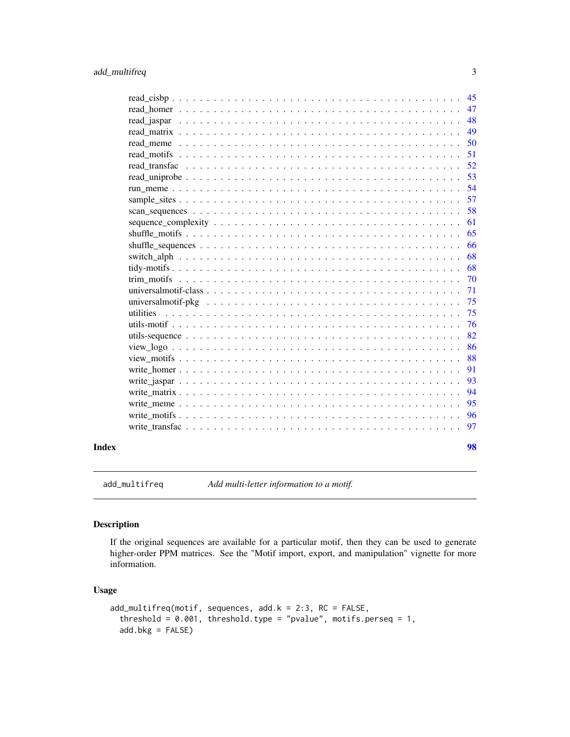<span id="page-2-0"></span>

| Index | 98       |
|-------|----------|
|       |          |
|       | 97       |
|       | 96       |
|       | 95       |
|       | 94       |
|       | 93       |
|       | 91       |
|       | 88       |
|       | 86       |
|       | 82       |
|       | 76       |
|       | 75       |
|       | 75       |
|       | 71       |
|       | 70       |
|       | 68       |
|       | 68       |
|       | 65<br>66 |
|       | 61       |
|       | 58       |
|       | 57       |
|       | 54       |
|       | 53       |
|       | 52       |
|       | 51       |
|       | 50       |
|       | 49       |
|       | 48       |
|       | 47       |
|       | 45       |

<span id="page-2-1"></span>add\_multifreq *Add multi-letter information to a motif.*

### Description

If the original sequences are available for a particular motif, then they can be used to generate higher-order PPM matrices. See the "Motif import, export, and manipulation" vignette for more information.

### Usage

```
add_multifreq(motif, sequences, add.k = 2:3, RC = FALSE,
  threshold = 0.001, threshold.type = "pvalue", motifs.perseq = 1,
  add.bkg = FALSE)
```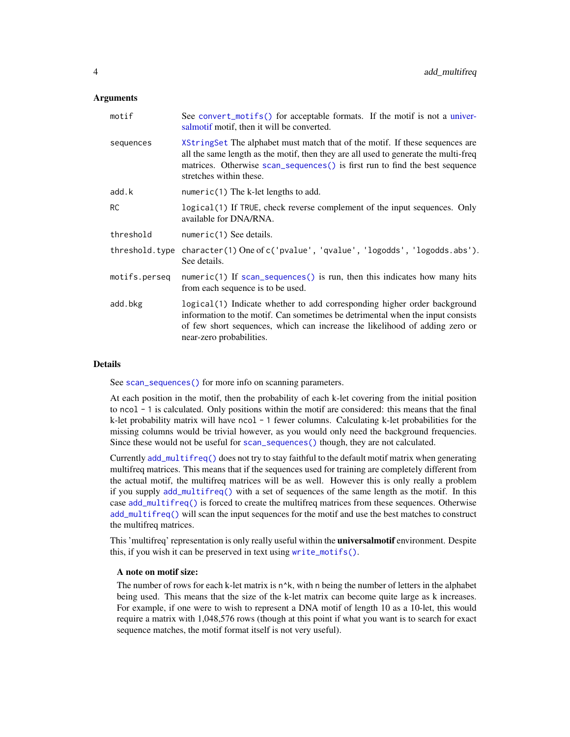### **Arguments**

| motif          | See convert_motifs() for acceptable formats. If the motif is not a univer-<br>salmotif motif, then it will be converted.                                                                                                                                                      |  |
|----------------|-------------------------------------------------------------------------------------------------------------------------------------------------------------------------------------------------------------------------------------------------------------------------------|--|
| sequences      | XStringSet The alphabet must match that of the motif. If these sequences are<br>all the same length as the motif, then they are all used to generate the multi-freq<br>matrices. Otherwise scan_sequences() is first run to find the best sequence<br>stretches within these. |  |
| add.k          | numeric(1) The k-let lengths to add.                                                                                                                                                                                                                                          |  |
| <b>RC</b>      | logical(1) If TRUE, check reverse complement of the input sequences. Only<br>available for DNA/RNA.                                                                                                                                                                           |  |
| threshold      | numeric(1) See details.                                                                                                                                                                                                                                                       |  |
| threshold.type | character(1) One of c('pvalue', 'qvalue', 'logodds', 'logodds.abs').<br>See details.                                                                                                                                                                                          |  |
| motifs.perseq  | numeric(1) If $scan\_sequences()$ is run, then this indicates how many hits<br>from each sequence is to be used.                                                                                                                                                              |  |
| add.bkg        | logical(1) Indicate whether to add corresponding higher order background<br>information to the motif. Can sometimes be detrimental when the input consists<br>of few short sequences, which can increase the likelihood of adding zero or<br>near-zero probabilities.         |  |

### Details

See [scan\\_sequences\(\)](#page-57-1) for more info on scanning parameters.

At each position in the motif, then the probability of each k-let covering from the initial position to ncol - 1 is calculated. Only positions within the motif are considered: this means that the final  $k$ -let probability matrix will have ncol  $-1$  fewer columns. Calculating k-let probabilities for the missing columns would be trivial however, as you would only need the background frequencies. Since these would not be useful for [scan\\_sequences\(\)](#page-57-1) though, they are not calculated.

Currently [add\\_multifreq\(\)](#page-2-1) does not try to stay faithful to the default motif matrix when generating multifreq matrices. This means that if the sequences used for training are completely different from the actual motif, the multifreq matrices will be as well. However this is only really a problem if you supply [add\\_multifreq\(\)](#page-2-1) with a set of sequences of the same length as the motif. In this case [add\\_multifreq\(\)](#page-2-1) is forced to create the multifreq matrices from these sequences. Otherwise [add\\_multifreq\(\)](#page-2-1) will scan the input sequences for the motif and use the best matches to construct the multifreq matrices.

This 'multifreq' representation is only really useful within the **universalmotif** environment. Despite this, if you wish it can be preserved in text using [write\\_motifs\(\)](#page-95-1).

### A note on motif size:

The number of rows for each k-let matrix is  $n^k$ , with n being the number of letters in the alphabet being used. This means that the size of the k-let matrix can become quite large as k increases. For example, if one were to wish to represent a DNA motif of length 10 as a 10-let, this would require a matrix with 1,048,576 rows (though at this point if what you want is to search for exact sequence matches, the motif format itself is not very useful).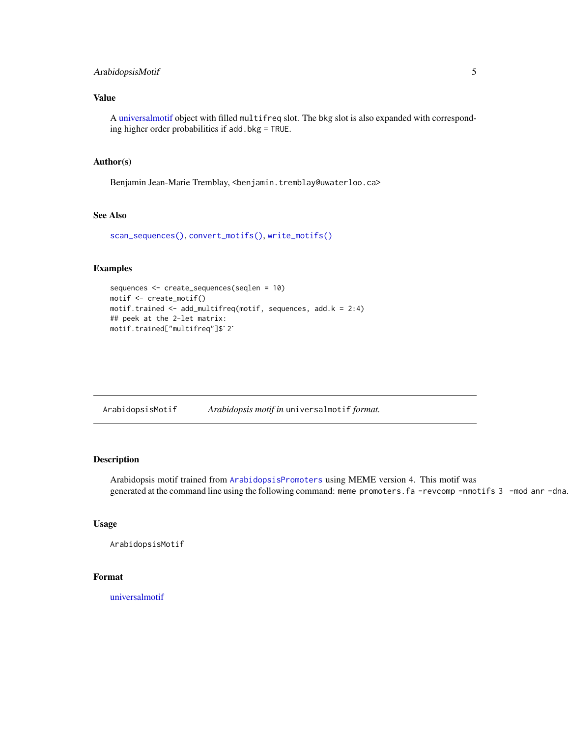### <span id="page-4-0"></span>ArabidopsisMotif 5

### Value

A [universalmotif](#page-70-1) object with filled multifreq slot. The bkg slot is also expanded with corresponding higher order probabilities if add.bkg = TRUE.

### Author(s)

Benjamin Jean-Marie Tremblay, <benjamin.tremblay@uwaterloo.ca>

### See Also

```
scan_sequences(), convert_motifs(), write_motifs()
```
### Examples

```
sequences <- create_sequences(seqlen = 10)
motif <- create_motif()
motif.trained <- add_multifreq(motif, sequences, add.k = 2:4)
## peek at the 2-let matrix:
motif <- create_motif()<br>motif.trained <- add_multifreq<br>## peek at the 2-let matrix:<br>motif.trained["multifreq"]$`2`
```
ArabidopsisMotif *Arabidopsis motif in* universalmotif *format.*

### Description

Arabidopsis motif trained from [ArabidopsisPromoters](#page-5-1) using MEME version 4. This motif was generated at the command line using the following command: meme promoters.fa -revcomp -nmotifs 3 -mod anr -dna.

### Usage

```
ArabidopsisMotif
```
### Format

[universalmotif](#page-70-1)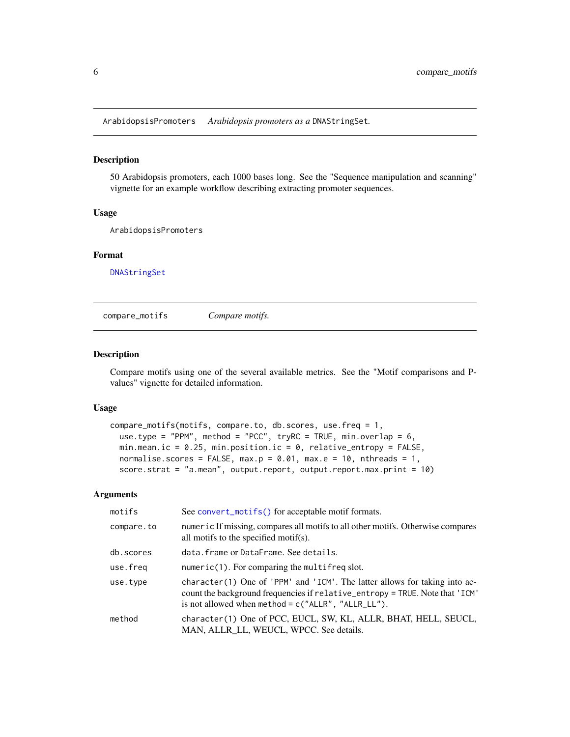<span id="page-5-1"></span><span id="page-5-0"></span>ArabidopsisPromoters *Arabidopsis promoters as a* DNAStringSet*.*

#### Description

50 Arabidopsis promoters, each 1000 bases long. See the "Sequence manipulation and scanning" vignette for an example workflow describing extracting promoter sequences.

### Usage

ArabidopsisPromoters

### Format

[DNAStringSet](#page-0-0)

<span id="page-5-2"></span>compare\_motifs *Compare motifs.*

### Description

Compare motifs using one of the several available metrics. See the "Motif comparisons and Pvalues" vignette for detailed information.

#### Usage

```
compare_motifs(motifs, compare.to, db.scores, use.freq = 1,
 use.type = "PPM", method = "PCC", tryRC = TRUE, min.overlap = 6,
 min.mean.ic = 0.25, min.position.ic = 0, relative_entropy = FALSE,
 normalise.scores = FALSE, max.p = 0.01, max.e = 10, nthreads = 1,
  score.strat = "a.mean", output.report, output.report.max.print = 10)
```

| motifs     | See convert_motifs() for acceptable motif formats.                                                                                                                                                                  |  |
|------------|---------------------------------------------------------------------------------------------------------------------------------------------------------------------------------------------------------------------|--|
| compare.to | numeric If missing, compares all motifs to all other motifs. Otherwise compares<br>all motifs to the specified motif(s).                                                                                            |  |
| db.scores  | data. frame or DataFrame. See details.                                                                                                                                                                              |  |
| use.freq   | $numeric(1)$ . For comparing the multifreq slot.                                                                                                                                                                    |  |
| use.type   | character(1) One of 'PPM' and 'ICM'. The latter allows for taking into ac-<br>count the background frequencies if relative_entropy = TRUE. Note that 'ICM'<br>is not allowed when method = $c("ALLR", "ALLR_LL")$ . |  |
| method     | character(1) One of PCC, EUCL, SW, KL, ALLR, BHAT, HELL, SEUCL,<br>MAN, ALLR_LL, WEUCL, WPCC. See details.                                                                                                          |  |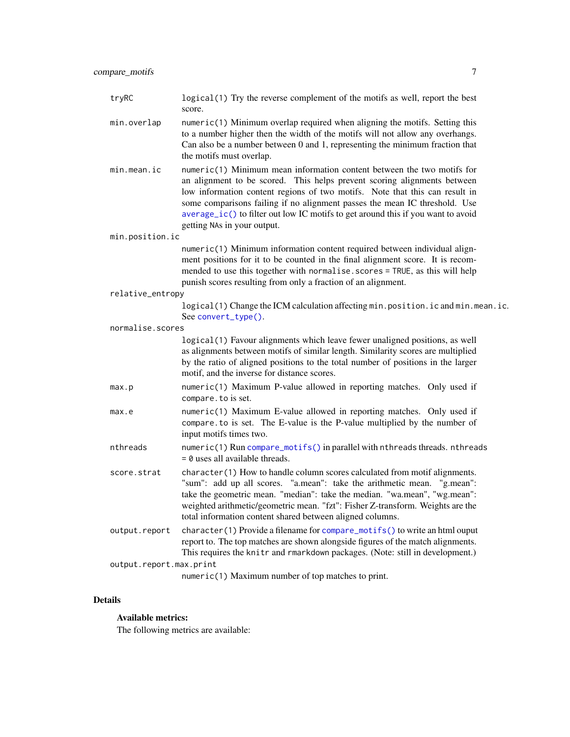| tryRC                   | logical (1) Try the reverse complement of the motifs as well, report the best<br>score.                                                                                                                                                                                                                                                                                                                                            |  |  |
|-------------------------|------------------------------------------------------------------------------------------------------------------------------------------------------------------------------------------------------------------------------------------------------------------------------------------------------------------------------------------------------------------------------------------------------------------------------------|--|--|
| min.overlap             | $numeric(1)$ Minimum overlap required when aligning the motifs. Setting this<br>to a number higher then the width of the motifs will not allow any overhangs.<br>Can also be a number between 0 and 1, representing the minimum fraction that<br>the motifs must overlap.                                                                                                                                                          |  |  |
| min.mean.ic             | numeric(1) Minimum mean information content between the two motifs for<br>an alignment to be scored. This helps prevent scoring alignments between<br>low information content regions of two motifs. Note that this can result in<br>some comparisons failing if no alignment passes the mean IC threshold. Use<br>average_ic() to filter out low IC motifs to get around this if you want to avoid<br>getting NAs in your output. |  |  |
| min.position.ic         |                                                                                                                                                                                                                                                                                                                                                                                                                                    |  |  |
|                         | numeric(1) Minimum information content required between individual align-<br>ment positions for it to be counted in the final alignment score. It is recom-<br>mended to use this together with normalise.scores = TRUE, as this will help<br>punish scores resulting from only a fraction of an alignment.                                                                                                                        |  |  |
| relative_entropy        |                                                                                                                                                                                                                                                                                                                                                                                                                                    |  |  |
|                         | logical(1) Change the ICM calculation affecting min.position.ic and min.mean.ic.<br>See convert_type().                                                                                                                                                                                                                                                                                                                            |  |  |
| normalise.scores        |                                                                                                                                                                                                                                                                                                                                                                                                                                    |  |  |
|                         | logical(1) Favour alignments which leave fewer unaligned positions, as well<br>as alignments between motifs of similar length. Similarity scores are multiplied<br>by the ratio of aligned positions to the total number of positions in the larger<br>motif, and the inverse for distance scores.                                                                                                                                 |  |  |
| max.p                   | numeric(1) Maximum P-value allowed in reporting matches. Only used if<br>compare. to is set.                                                                                                                                                                                                                                                                                                                                       |  |  |
| max.e                   | numeric(1) Maximum E-value allowed in reporting matches. Only used if<br>compare to is set. The E-value is the P-value multiplied by the number of<br>input motifs times two.                                                                                                                                                                                                                                                      |  |  |
| nthreads                | numeric(1) Run compare_motifs() in parallel with nthreads threads. nthreads<br>$= 0$ uses all available threads.                                                                                                                                                                                                                                                                                                                   |  |  |
| score.strat             | character(1) How to handle column scores calculated from motif alignments.<br>"sum": add up all scores. "a.mean": take the arithmetic mean. "g.mean":<br>take the geometric mean. "median": take the median. "wa.mean", "wg.mean":<br>weighted arithmetic/geometric mean. "fzt": Fisher Z-transform. Weights are the<br>total information content shared between aligned columns.                                                  |  |  |
| output.report           | character(1) Provide a filename for compare_motifs() to write an html ouput<br>report to. The top matches are shown alongside figures of the match alignments.<br>This requires the knitr and rmarkdown packages. (Note: still in development.)                                                                                                                                                                                    |  |  |
| output.report.max.print |                                                                                                                                                                                                                                                                                                                                                                                                                                    |  |  |
|                         | numeric(1) Maximum number of top matches to print.                                                                                                                                                                                                                                                                                                                                                                                 |  |  |

### Details

### Available metrics:

The following metrics are available: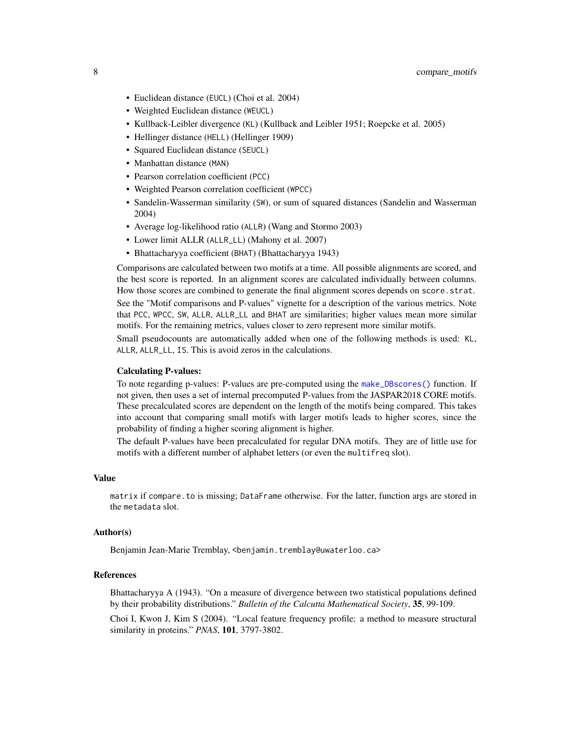- Euclidean distance (EUCL) (Choi et al. 2004)
- Weighted Euclidean distance (WEUCL)
- Kullback-Leibler divergence (KL) (Kullback and Leibler 1951; Roepcke et al. 2005)
- Hellinger distance (HELL) (Hellinger 1909)
- Squared Euclidean distance (SEUCL)
- Manhattan distance (MAN)
- Pearson correlation coefficient (PCC)
- Weighted Pearson correlation coefficient (WPCC)
- Sandelin-Wasserman similarity (SW), or sum of squared distances (Sandelin and Wasserman 2004)
- Average log-likelihood ratio (ALLR) (Wang and Stormo 2003)
- Lower limit ALLR (ALLR\_LL) (Mahony et al. 2007)
- Bhattacharyya coefficient (BHAT) (Bhattacharyya 1943)

Comparisons are calculated between two motifs at a time. All possible alignments are scored, and the best score is reported. In an alignment scores are calculated individually between columns. How those scores are combined to generate the final alignment scores depends on score.strat.

See the "Motif comparisons and P-values" vignette for a description of the various metrics. Note that PCC, WPCC, SW, ALLR, ALLR\_LL and BHAT are similarities; higher values mean more similar motifs. For the remaining metrics, values closer to zero represent more similar motifs.

Small pseudocounts are automatically added when one of the following methods is used: KL, ALLR, ALLR\_LL, IS. This is avoid zeros in the calculations.

### Calculating P-values:

To note regarding p-values: P-values are pre-computed using the [make\\_DBscores\(\)](#page-29-1) function. If not given, then uses a set of internal precomputed P-values from the JASPAR2018 CORE motifs. These precalculated scores are dependent on the length of the motifs being compared. This takes into account that comparing small motifs with larger motifs leads to higher scores, since the probability of finding a higher scoring alignment is higher.

The default P-values have been precalculated for regular DNA motifs. They are of little use for motifs with a different number of alphabet letters (or even the multifreq slot).

### Value

matrix if compare.to is missing; DataFrame otherwise. For the latter, function args are stored in the metadata slot.

### Author(s)

Benjamin Jean-Marie Tremblay, <benjamin.tremblay@uwaterloo.ca>

### References

Bhattacharyya A (1943). "On a measure of divergence between two statistical populations defined by their probability distributions." *Bulletin of the Calcutta Mathematical Society*, 35, 99-109.

Choi I, Kwon J, Kim S (2004). "Local feature frequency profile: a method to measure structural similarity in proteins." *PNAS*, 101, 3797-3802.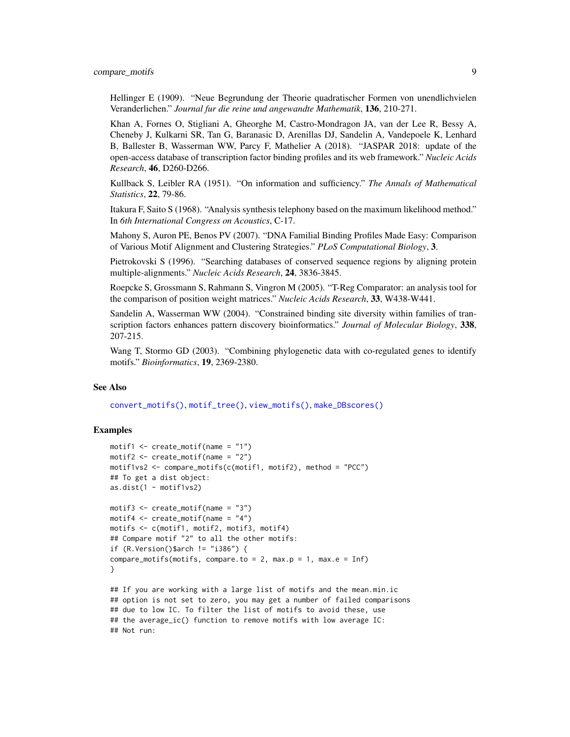compare\_motifs 9

Hellinger E (1909). "Neue Begrundung der Theorie quadratischer Formen von unendlichvielen Veranderlichen." *Journal fur die reine und angewandte Mathematik*, 136, 210-271.

Khan A, Fornes O, Stigliani A, Gheorghe M, Castro-Mondragon JA, van der Lee R, Bessy A, Cheneby J, Kulkarni SR, Tan G, Baranasic D, Arenillas DJ, Sandelin A, Vandepoele K, Lenhard B, Ballester B, Wasserman WW, Parcy F, Mathelier A (2018). "JASPAR 2018: update of the open-access database of transcription factor binding profiles and its web framework." *Nucleic Acids Research*, 46, D260-D266.

Kullback S, Leibler RA (1951). "On information and sufficiency." *The Annals of Mathematical Statistics*, 22, 79-86.

Itakura F, Saito S (1968). "Analysis synthesis telephony based on the maximum likelihood method." In *6th International Congress on Acoustics*, C-17.

Mahony S, Auron PE, Benos PV (2007). "DNA Familial Binding Profiles Made Easy: Comparison of Various Motif Alignment and Clustering Strategies." *PLoS Computational Biology*, 3.

Pietrokovski S (1996). "Searching databases of conserved sequence regions by aligning protein multiple-alignments." *Nucleic Acids Research*, 24, 3836-3845.

Roepcke S, Grossmann S, Rahmann S, Vingron M (2005). "T-Reg Comparator: an analysis tool for the comparison of position weight matrices." *Nucleic Acids Research*, 33, W438-W441.

Sandelin A, Wasserman WW (2004). "Constrained binding site diversity within families of transcription factors enhances pattern discovery bioinformatics." *Journal of Molecular Biology*, 338, 207-215.

Wang T, Stormo GD (2003). "Combining phylogenetic data with co-regulated genes to identify motifs." *Bioinformatics*, 19, 2369-2380.

#### See Also

[convert\\_motifs\(\)](#page-9-1), [motif\\_tree\(\)](#page-42-1), [view\\_motifs\(\)](#page-87-1), [make\\_DBscores\(\)](#page-29-1)

### Examples

```
motif1 \le create_motif(name = "1")
motif2 <- create_motif(name = "2")
motif1vs2 <- compare_motifs(c(motif1, motif2), method = "PCC")
## To get a dist object:
as.dist(1 - motif1vs2)
motif3 \le create_motif(name = "3")
motif4 \le create_motif(name = "4")
motifs <- c(motif1, motif2, motif3, motif4)
## Compare motif "2" to all the other motifs:
if (R.Version()$arch != "i386") {
compare_motifs(motifs, compare.to = 2, max.p = 1, max.e = Inf)
}
## If you are working with a large list of motifs and the mean.min.ic
## option is not set to zero, you may get a number of failed comparisons
## due to low IC. To filter the list of motifs to avoid these, use
## the average_ic() function to remove motifs with low average IC:
## Not run:
```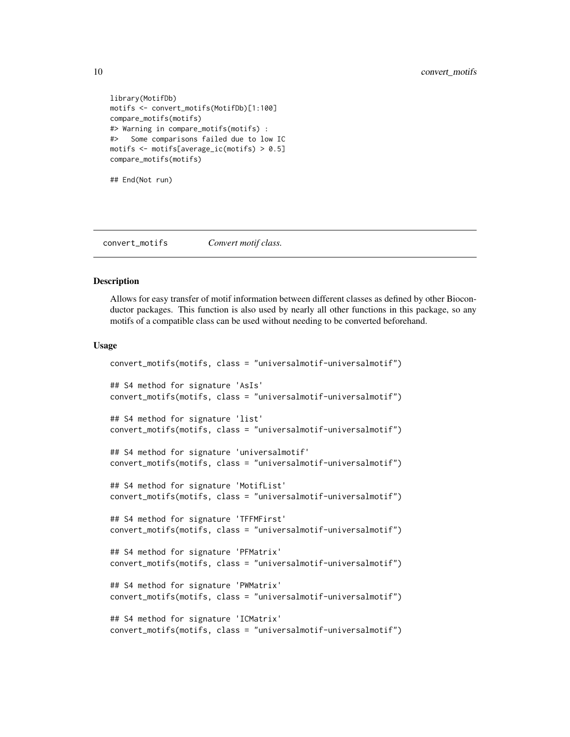```
library(MotifDb)
motifs <- convert_motifs(MotifDb)[1:100]
compare_motifs(motifs)
#> Warning in compare_motifs(motifs) :
#> Some comparisons failed due to low IC
motifs <- motifs[average_ic(motifs) > 0.5]
compare_motifs(motifs)
```
## End(Not run)

<span id="page-9-1"></span>convert\_motifs *Convert motif class.*

### Description

Allows for easy transfer of motif information between different classes as defined by other Bioconductor packages. This function is also used by nearly all other functions in this package, so any motifs of a compatible class can be used without needing to be converted beforehand.

#### Usage

```
convert_motifs(motifs, class = "universalmotif-universalmotif")
## S4 method for signature 'AsIs'
convert_motifs(motifs, class = "universalmotif-universalmotif")
## S4 method for signature 'list'
convert_motifs(motifs, class = "universalmotif-universalmotif")
## S4 method for signature 'universalmotif'
convert_motifs(motifs, class = "universalmotif-universalmotif")
## S4 method for signature 'MotifList'
convert_motifs(motifs, class = "universalmotif-universalmotif")
## S4 method for signature 'TFFMFirst'
convert_motifs(motifs, class = "universalmotif-universalmotif")
## S4 method for signature 'PFMatrix'
convert_motifs(motifs, class = "universalmotif-universalmotif")
## S4 method for signature 'PWMatrix'
convert_motifs(motifs, class = "universalmotif-universalmotif")
## S4 method for signature 'ICMatrix'
convert_motifs(motifs, class = "universalmotif-universalmotif")
```
<span id="page-9-0"></span>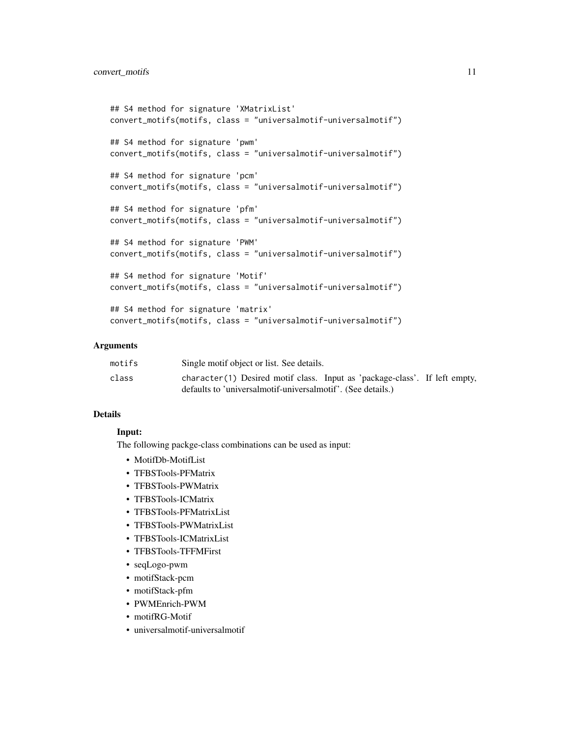```
## S4 method for signature 'XMatrixList'
convert_motifs(motifs, class = "universalmotif-universalmotif")
## S4 method for signature 'pwm'
convert_motifs(motifs, class = "universalmotif-universalmotif")
## S4 method for signature 'pcm'
convert_motifs(motifs, class = "universalmotif-universalmotif")
## S4 method for signature 'pfm'
convert_motifs(motifs, class = "universalmotif-universalmotif")
## S4 method for signature 'PWM'
convert_motifs(motifs, class = "universalmotif-universalmotif")
## S4 method for signature 'Motif'
convert_motifs(motifs, class = "universalmotif-universalmotif")
```

```
## S4 method for signature 'matrix'
convert_motifs(motifs, class = "universalmotif-universalmotif")
```
### **Arguments**

| motifs | Single motif object or list. See details.                                                                                                 |
|--------|-------------------------------------------------------------------------------------------------------------------------------------------|
| class  | character(1) Desired motif class. Input as 'package-class'. If left empty,<br>defaults to 'universalmotif-universalmotif'. (See details.) |

### Details

### Input:

The following packge-class combinations can be used as input:

- MotifDb-MotifList
- TFBSTools-PFMatrix
- TFBSTools-PWMatrix
- TFBSTools-ICMatrix
- TFBSTools-PFMatrixList
- TFBSTools-PWMatrixList
- TFBSTools-ICMatrixList
- TFBSTools-TFFMFirst
- seqLogo-pwm
- motifStack-pcm
- motifStack-pfm
- PWMEnrich-PWM
- motifRG-Motif
- universalmotif-universalmotif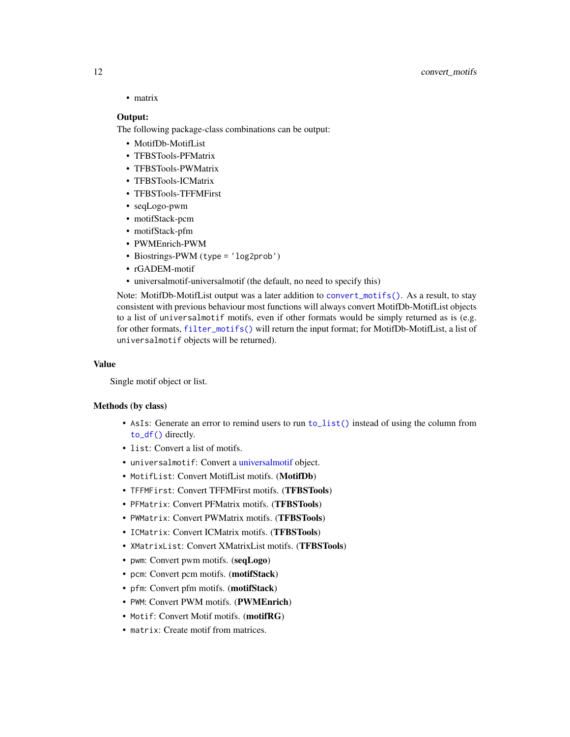• matrix

#### Output:

The following package-class combinations can be output:

- MotifDb-MotifList
- TFBSTools-PFMatrix
- TFBSTools-PWMatrix
- TFBSTools-ICMatrix
- TFBSTools-TFFMFirst
- seqLogo-pwm
- motifStack-pcm
- motifStack-pfm
- PWMEnrich-PWM
- Biostrings-PWM (type = 'log2prob')
- rGADEM-motif
- universalmotif-universalmotif (the default, no need to specify this)

Note: MotifDb-MotifList output was a later addition to [convert\\_motifs\(\)](#page-9-1). As a result, to stay consistent with previous behaviour most functions will always convert MotifDb-MotifList objects to a list of universalmotif motifs, even if other formats would be simply returned as is (e.g. for other formats, [filter\\_motifs\(\)](#page-25-1) will return the input format; for MotifDb-MotifList, a list of universalmotif objects will be returned).

### Value

Single motif object or list.

#### Methods (by class)

- AsIs: Generate an error to remind users to run [to\\_list\(\)](#page-67-1) instead of using the column from [to\\_df\(\)](#page-67-1) directly.
- list: Convert a list of motifs.
- universalmotif: Convert a [universalmotif](#page-70-1) object.
- MotifList: Convert MotifList motifs. (MotifDb)
- TFFMFirst: Convert TFFMFirst motifs. (TFBSTools)
- PFMatrix: Convert PFMatrix motifs. (TFBSTools)
- PWMatrix: Convert PWMatrix motifs. (TFBSTools)
- ICMatrix: Convert ICMatrix motifs. (TFBSTools)
- XMatrixList: Convert XMatrixList motifs. (TFBSTools)
- pwm: Convert pwm motifs. (seqLogo)
- pcm: Convert pcm motifs. (motifStack)
- pfm: Convert pfm motifs. (motifStack)
- PWM: Convert PWM motifs. (PWMEnrich)
- Motif: Convert Motif motifs. (motifRG)
- matrix: Create motif from matrices.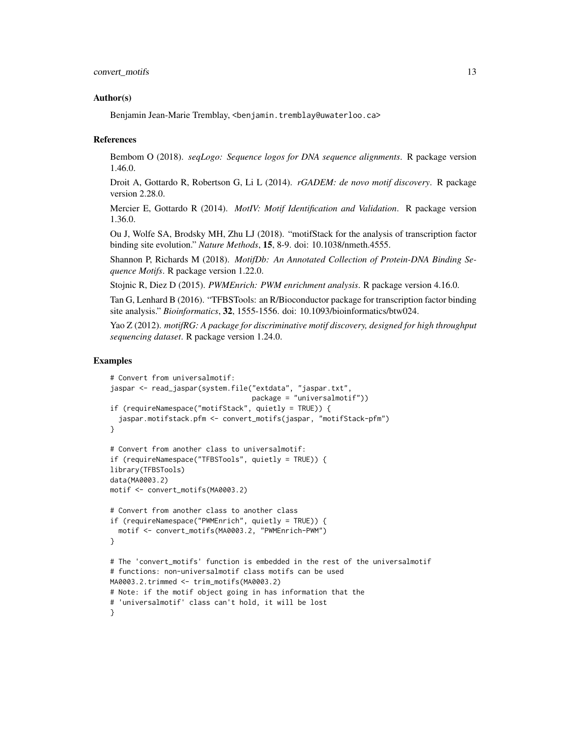#### Author(s)

Benjamin Jean-Marie Tremblay, <benjamin.tremblay@uwaterloo.ca>

#### References

Bembom O (2018). *seqLogo: Sequence logos for DNA sequence alignments*. R package version 1.46.0.

Droit A, Gottardo R, Robertson G, Li L (2014). *rGADEM: de novo motif discovery*. R package version 2.28.0.

Mercier E, Gottardo R (2014). *MotIV: Motif Identification and Validation*. R package version 1.36.0.

Ou J, Wolfe SA, Brodsky MH, Zhu LJ (2018). "motifStack for the analysis of transcription factor binding site evolution." *Nature Methods*, 15, 8-9. doi: 10.1038/nmeth.4555.

Shannon P, Richards M (2018). *MotifDb: An Annotated Collection of Protein-DNA Binding Sequence Motifs*. R package version 1.22.0.

Stojnic R, Diez D (2015). *PWMEnrich: PWM enrichment analysis*. R package version 4.16.0.

Tan G, Lenhard B (2016). "TFBSTools: an R/Bioconductor package for transcription factor binding site analysis." *Bioinformatics*, 32, 1555-1556. doi: 10.1093/bioinformatics/btw024.

Yao Z (2012). *motifRG: A package for discriminative motif discovery, designed for high throughput sequencing dataset*. R package version 1.24.0.

### Examples

```
# Convert from universalmotif:
jaspar <- read_jaspar(system.file("extdata", "jaspar.txt",
                                  package = "universalmotif"))
if (requireNamespace("motifStack", quietly = TRUE)) {
  jaspar.motifstack.pfm <- convert_motifs(jaspar, "motifStack-pfm")
}
# Convert from another class to universalmotif:
if (requireNamespace("TFBSTools", quietly = TRUE)) {
library(TFBSTools)
data(MA0003.2)
motif <- convert_motifs(MA0003.2)
# Convert from another class to another class
if (requireNamespace("PWMEnrich", quietly = TRUE)) {
  motif <- convert_motifs(MA0003.2, "PWMEnrich-PWM")
}
# The 'convert_motifs' function is embedded in the rest of the universalmotif
# functions: non-universalmotif class motifs can be used
MA0003.2.trimmed <- trim_motifs(MA0003.2)
# Note: if the motif object going in has information that the
# 'universalmotif' class can't hold, it will be lost
}
```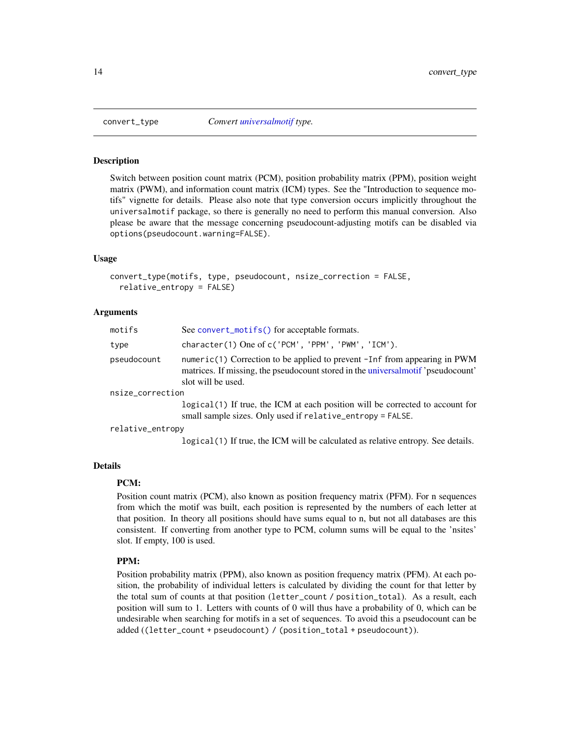<span id="page-13-1"></span><span id="page-13-0"></span>

#### Description

Switch between position count matrix (PCM), position probability matrix (PPM), position weight matrix (PWM), and information count matrix (ICM) types. See the "Introduction to sequence motifs" vignette for details. Please also note that type conversion occurs implicitly throughout the universalmotif package, so there is generally no need to perform this manual conversion. Also please be aware that the message concerning pseudocount-adjusting motifs can be disabled via options(pseudocount.warning=FALSE).

### Usage

```
convert_type(motifs, type, pseudocount, nsize_correction = FALSE,
  relative_entropy = FALSE)
```
### Arguments

| motifs           | See convert_motifs() for acceptable formats.                                                                                                                                         |  |  |
|------------------|--------------------------------------------------------------------------------------------------------------------------------------------------------------------------------------|--|--|
| type             | character(1) One of c('PCM', 'PPM', 'PWM', 'ICM').                                                                                                                                   |  |  |
| pseudocount      | numeric(1) Correction to be applied to prevent -Inf from appearing in PWM<br>matrices. If missing, the pseudocount stored in the universal motif 'pseudocount'<br>slot will be used. |  |  |
| nsize_correction |                                                                                                                                                                                      |  |  |
|                  | $logical(1)$ If true, the ICM at each position will be corrected to account for<br>small sample sizes. Only used if relative_entropy = FALSE.                                        |  |  |
|                  |                                                                                                                                                                                      |  |  |

relative\_entropy

logical(1) If true, the ICM will be calculated as relative entropy. See details.

#### Details

### PCM:

Position count matrix (PCM), also known as position frequency matrix (PFM). For n sequences from which the motif was built, each position is represented by the numbers of each letter at that position. In theory all positions should have sums equal to n, but not all databases are this consistent. If converting from another type to PCM, column sums will be equal to the 'nsites' slot. If empty, 100 is used.

#### PPM:

Position probability matrix (PPM), also known as position frequency matrix (PFM). At each position, the probability of individual letters is calculated by dividing the count for that letter by the total sum of counts at that position (letter\_count / position\_total). As a result, each position will sum to 1. Letters with counts of 0 will thus have a probability of 0, which can be undesirable when searching for motifs in a set of sequences. To avoid this a pseudocount can be added ((letter\_count + pseudocount) / (position\_total + pseudocount)).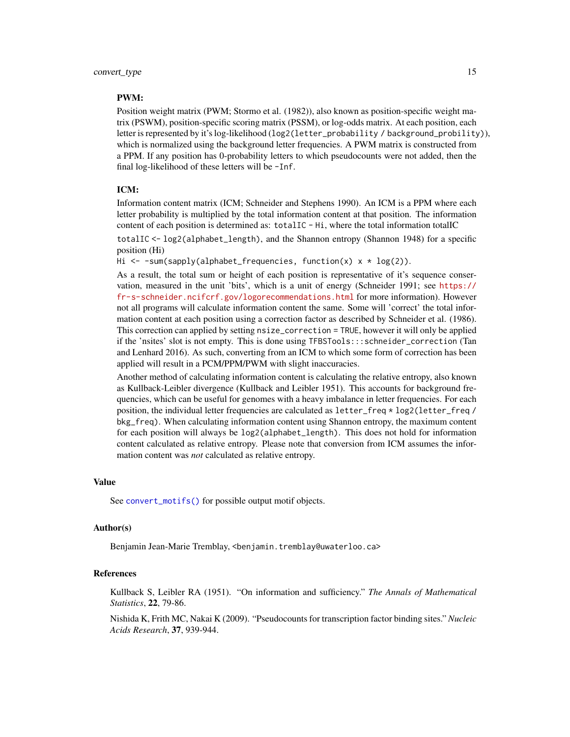### PWM:

Position weight matrix (PWM; Stormo et al. (1982)), also known as position-specific weight matrix (PSWM), position-specific scoring matrix (PSSM), or log-odds matrix. At each position, each letter is represented by it's log-likelihood (log2(letter\_probability / background\_probility)), which is normalized using the background letter frequencies. A PWM matrix is constructed from a PPM. If any position has 0-probability letters to which pseudocounts were not added, then the final log-likelihood of these letters will be -Inf.

### ICM:

Information content matrix (ICM; Schneider and Stephens 1990). An ICM is a PPM where each letter probability is multiplied by the total information content at that position. The information content of each position is determined as: totalIC - Hi, where the total information totalIC

totalIC <- log2(alphabet\_length), and the Shannon entropy (Shannon 1948) for a specific position (Hi)

Hi  $\leq$  -sum(sapply(alphabet\_frequencies, function(x)  $x * log(2)$ ).

As a result, the total sum or height of each position is representative of it's sequence conservation, measured in the unit 'bits', which is a unit of energy (Schneider 1991; see [https://](https://fr-s-schneider.ncifcrf.gov/logorecommendations.html) [fr-s-schneider.ncifcrf.gov/logorecommendations.html](https://fr-s-schneider.ncifcrf.gov/logorecommendations.html) for more information). However not all programs will calculate information content the same. Some will 'correct' the total information content at each position using a correction factor as described by Schneider et al. (1986). This correction can applied by setting nsize\_correction = TRUE, however it will only be applied if the 'nsites' slot is not empty. This is done using TFBSTools:::schneider\_correction (Tan and Lenhard 2016). As such, converting from an ICM to which some form of correction has been applied will result in a PCM/PPM/PWM with slight inaccuracies.

Another method of calculating information content is calculating the relative entropy, also known as Kullback-Leibler divergence (Kullback and Leibler 1951). This accounts for background frequencies, which can be useful for genomes with a heavy imbalance in letter frequencies. For each position, the individual letter frequencies are calculated as letter\_freq \* log2(letter\_freq / bkg\_freq). When calculating information content using Shannon entropy, the maximum content for each position will always be log2(alphabet\_length). This does not hold for information content calculated as relative entropy. Please note that conversion from ICM assumes the information content was *not* calculated as relative entropy.

### Value

See [convert\\_motifs\(\)](#page-9-1) for possible output motif objects.

#### Author(s)

Benjamin Jean-Marie Tremblay, <benjamin.tremblay@uwaterloo.ca>

### References

Kullback S, Leibler RA (1951). "On information and sufficiency." *The Annals of Mathematical Statistics*, 22, 79-86.

Nishida K, Frith MC, Nakai K (2009). "Pseudocounts for transcription factor binding sites." *Nucleic Acids Research*, 37, 939-944.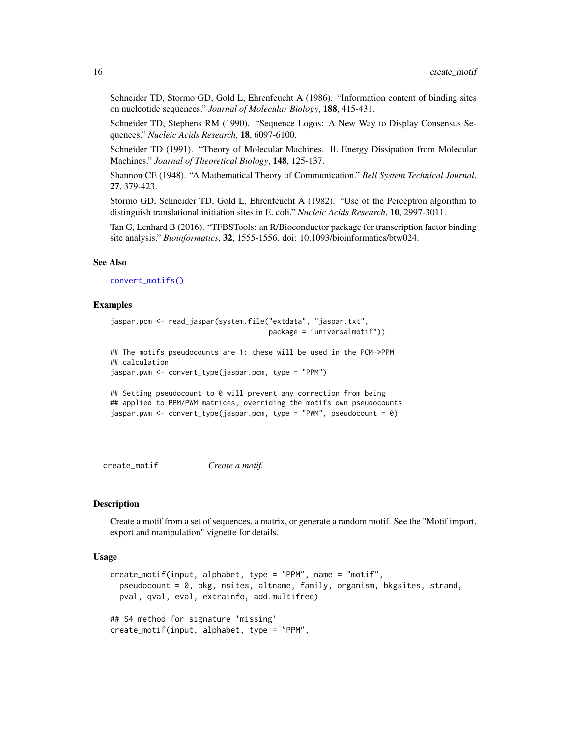Schneider TD, Stormo GD, Gold L, Ehrenfeucht A (1986). "Information content of binding sites on nucleotide sequences." *Journal of Molecular Biology*, 188, 415-431.

Schneider TD, Stephens RM (1990). "Sequence Logos: A New Way to Display Consensus Sequences." *Nucleic Acids Research*, 18, 6097-6100.

Schneider TD (1991). "Theory of Molecular Machines. II. Energy Dissipation from Molecular Machines." *Journal of Theoretical Biology*, 148, 125-137.

Shannon CE (1948). "A Mathematical Theory of Communication." *Bell System Technical Journal*, 27, 379-423.

Stormo GD, Schneider TD, Gold L, Ehrenfeucht A (1982). "Use of the Perceptron algorithm to distinguish translational initiation sites in E. coli." *Nucleic Acids Research*, 10, 2997-3011.

Tan G, Lenhard B (2016). "TFBSTools: an R/Bioconductor package for transcription factor binding site analysis." *Bioinformatics*, 32, 1555-1556. doi: 10.1093/bioinformatics/btw024.

#### See Also

[convert\\_motifs\(\)](#page-9-1)

#### Examples

```
jaspar.pcm <- read_jaspar(system.file("extdata", "jaspar.txt",
                                      package = "universalmotif"))
## The motifs pseudocounts are 1: these will be used in the PCM->PPM
## calculation
jaspar.pwm <- convert_type(jaspar.pcm, type = "PPM")
## Setting pseudocount to 0 will prevent any correction from being
## applied to PPM/PWM matrices, overriding the motifs own pseudocounts
jaspar.pwm <- convert_type(jaspar.pcm, type = "PWM", pseudocount = 0)
```
<span id="page-15-1"></span>create\_motif *Create a motif.*

### **Description**

Create a motif from a set of sequences, a matrix, or generate a random motif. See the "Motif import, export and manipulation" vignette for details.

### Usage

```
create_motif(input, alphabet, type = "PPM", name = "motif",
  pseudocount = 0, bkg, nsites, altname, family, organism, bkgsites, strand,
 pval, qval, eval, extrainfo, add.multifreq)
## S4 method for signature 'missing'
create_motif(input, alphabet, type = "PPM",
```
<span id="page-15-0"></span>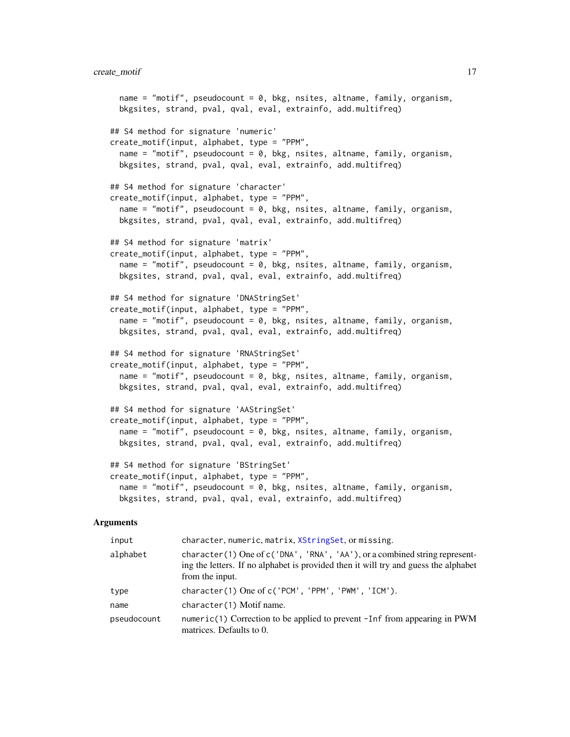```
name = "motif", pseudocount = 0, bkg, nsites, altname, family, organism,
 bkgsites, strand, pval, qval, eval, extrainfo, add.multifreq)
## S4 method for signature 'numeric'
create_motif(input, alphabet, type = "PPM",
  name = "motif", pseudocount = 0, bkg, nsites, altname, family, organism,
 bkgsites, strand, pval, qval, eval, extrainfo, add.multifreq)
## S4 method for signature 'character'
create_motif(input, alphabet, type = "PPM",
  name = "motif", pseudocount = 0, bkg, nsites, altname, family, organism,
 bkgsites, strand, pval, qval, eval, extrainfo, add.multifreq)
## S4 method for signature 'matrix'
create_motif(input, alphabet, type = "PPM",
  name = "motif", pseudocount = 0, bkg, nsites, altname, family, organism,
 bkgsites, strand, pval, qval, eval, extrainfo, add.multifreq)
## S4 method for signature 'DNAStringSet'
create_motif(input, alphabet, type = "PPM",
  name = "motif", pseudocount = 0, bkg, nsites, altname, family, organism,
 bkgsites, strand, pval, qval, eval, extrainfo, add.multifreq)
## S4 method for signature 'RNAStringSet'
create_motif(input, alphabet, type = "PPM",
 name = "motif", pseudocount = 0, bkg, nsites, altname, family, organism,
 bkgsites, strand, pval, qval, eval, extrainfo, add.multifreq)
## S4 method for signature 'AAStringSet'
create_motif(input, alphabet, type = "PPM",
  name = "motif", pseudocount = 0, bkg, nsites, altname, family, organism,
 bkgsites, strand, pval, qval, eval, extrainfo, add.multifreq)
## S4 method for signature 'BStringSet'
create_motif(input, alphabet, type = "PPM",
  name = "motif", pseudocount = 0, bkg, nsites, altname, family, organism,
 bkgsites, strand, pval, qval, eval, extrainfo, add.multifreq)
```

| input       | character, numeric, matrix, XStringSet, or missing.                                                                                                                                     |
|-------------|-----------------------------------------------------------------------------------------------------------------------------------------------------------------------------------------|
| alphabet    | character (1) One of $c('DNA', 'RNA', 'AA'),$ or a combined string represent-<br>ing the letters. If no alphabet is provided then it will try and guess the alphabet<br>from the input. |
| type        | character(1) One of c('PCM', 'PPM', 'PWM', 'ICM').                                                                                                                                      |
| name        | character(1) Motif name.                                                                                                                                                                |
| pseudocount | numeric(1) Correction to be applied to prevent $-I$ nf from appearing in PWM<br>matrices. Defaults to 0.                                                                                |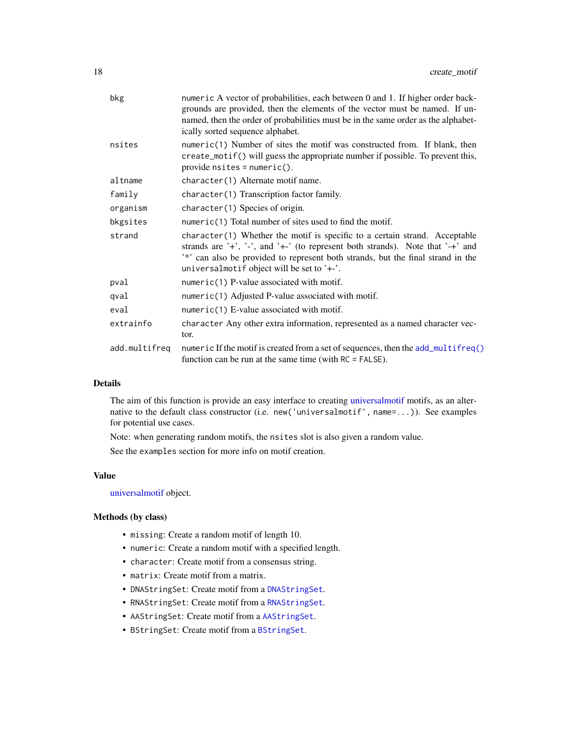| bkg           | numeric A vector of probabilities, each between 0 and 1. If higher order back-<br>grounds are provided, then the elements of the vector must be named. If un-<br>named, then the order of probabilities must be in the same order as the alphabet-<br>ically sorted sequence alphabet.           |
|---------------|--------------------------------------------------------------------------------------------------------------------------------------------------------------------------------------------------------------------------------------------------------------------------------------------------|
| nsites        | numeric(1) Number of sites the motif was constructed from. If blank, then<br>create_motif() will guess the appropriate number if possible. To prevent this,<br>$provide \text{nsites} = numeric()$ .                                                                                             |
| altname       | character(1) Alternate motif name.                                                                                                                                                                                                                                                               |
| family        | character(1) Transcription factor family.                                                                                                                                                                                                                                                        |
| organism      | character(1) Species of origin.                                                                                                                                                                                                                                                                  |
| bkgsites      | numeric(1) Total number of sites used to find the motif.                                                                                                                                                                                                                                         |
| strand        | $character(1)$ Whether the motif is specific to a certain strand. Acceptable<br>strands are '+', '-', and '+-' (to represent both strands). Note that '-+' and<br>'*' can also be provided to represent both strands, but the final strand in the<br>universalmotif object will be set to $'+$ . |
| pval          | numeric(1) P-value associated with motif.                                                                                                                                                                                                                                                        |
| qval          | numeric(1) Adjusted P-value associated with motif.                                                                                                                                                                                                                                               |
| eval          | $numeric(1)$ E-value associated with motif.                                                                                                                                                                                                                                                      |
| extrainfo     | character Any other extra information, represented as a named character vec-<br>tor.                                                                                                                                                                                                             |
| add.multifreq | numeric If the motif is created from a set of sequences, then the add_multifreq()<br>function can be run at the same time (with $RC = FALSE$ ).                                                                                                                                                  |
|               |                                                                                                                                                                                                                                                                                                  |

### Details

The aim of this function is provide an easy interface to creating [universalmotif](#page-70-1) motifs, as an alternative to the default class constructor (i.e. new('universalmotif', name=...)). See examples for potential use cases.

Note: when generating random motifs, the nsites slot is also given a random value.

See the examples section for more info on motif creation.

### Value

[universalmotif](#page-70-1) object.

### Methods (by class)

- missing: Create a random motif of length 10.
- numeric: Create a random motif with a specified length.
- character: Create motif from a consensus string.
- matrix: Create motif from a matrix.
- DNAStringSet: Create motif from a [DNAStringSet](#page-0-0).
- RNAStringSet: Create motif from a [RNAStringSet](#page-0-0).
- AAStringSet: Create motif from a [AAStringSet](#page-0-0).
- BStringSet: Create motif from a [BStringSet](#page-0-0).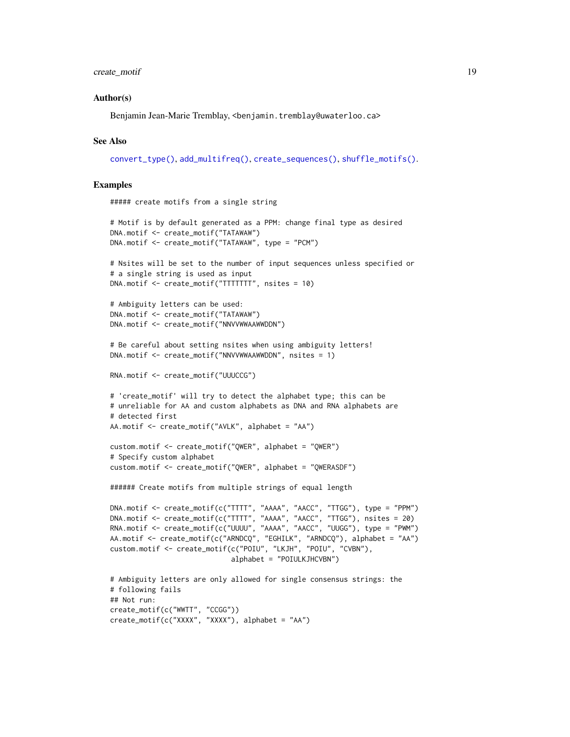### create\_motif 19

### Author(s)

Benjamin Jean-Marie Tremblay, <benjamin.tremblay@uwaterloo.ca>

### See Also

[convert\\_type\(\)](#page-13-1), [add\\_multifreq\(\)](#page-2-1), [create\\_sequences\(\)](#page-20-1), [shuffle\\_motifs\(\)](#page-64-1).

### Examples

```
##### create motifs from a single string
```

```
# Motif is by default generated as a PPM: change final type as desired
DNA.motif <- create_motif("TATAWAW")
DNA.motif <- create_motif("TATAWAW", type = "PCM")
```

```
# Nsites will be set to the number of input sequences unless specified or
# a single string is used as input
DNA.motif <- create_motif("TTTTTTT", nsites = 10)
```

```
# Ambiguity letters can be used:
DNA.motif <- create_motif("TATAWAW")
DNA.motif <- create_motif("NNVVWWAAWWDDN")
```

```
# Be careful about setting nsites when using ambiguity letters!
DNA.motif <- create_motif("NNVVWWAAWWDDN", nsites = 1)
```

```
RNA.motif <- create_motif("UUUCCG")
```

```
# 'create_motif' will try to detect the alphabet type; this can be
# unreliable for AA and custom alphabets as DNA and RNA alphabets are
# detected first
AA.motif <- create_motif("AVLK", alphabet = "AA")
```

```
custom.motif <- create_motif("QWER", alphabet = "QWER")
# Specify custom alphabet
custom.motif <- create_motif("QWER", alphabet = "QWERASDF")
```

```
###### Create motifs from multiple strings of equal length
```

```
DNA.motif <- create_motif(c("TTTT", "AAAA", "AACC", "TTGG"), type = "PPM")
DNA.motif <- create_motif(c("TTTT", "AAAA", "AACC", "TTGG"), nsites = 20)
RNA.motif <- create_motif(c("UUUU", "AAAA", "AACC", "UUGG"), type = "PWM")
AA.motif <- create_motif(c("ARNDCQ", "EGHILK", "ARNDCQ"), alphabet = "AA")
custom.motif <- create_motif(c("POIU", "LKJH", "POIU", "CVBN"),
                             alphabet = "POIULKJHCVBN")
```

```
# Ambiguity letters are only allowed for single consensus strings: the
# following fails
## Not run:
create_motif(c("WWTT", "CCGG"))
create_motif(c("XXXX", "XXXX"), alphabet = "AA")
```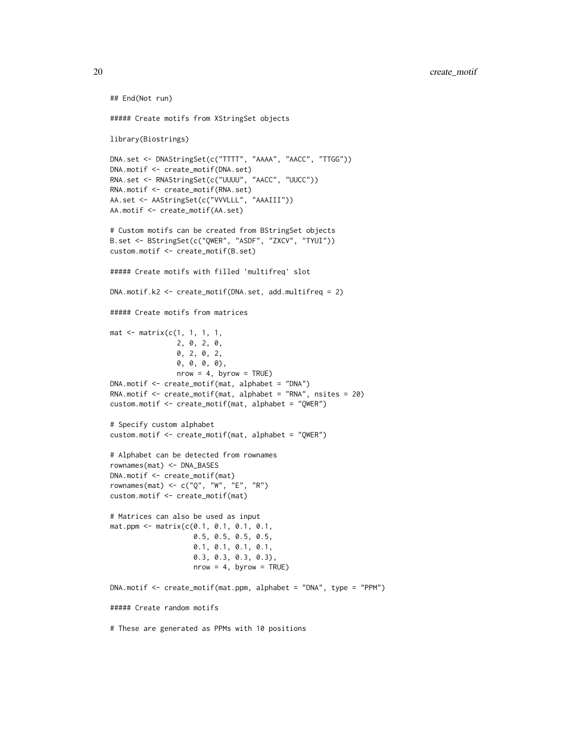```
##### Create motifs from XStringSet objects
library(Biostrings)
DNA.set <- DNAStringSet(c("TTTT", "AAAA", "AACC", "TTGG"))
DNA.motif <- create_motif(DNA.set)
RNA.set <- RNAStringSet(c("UUUU", "AACC", "UUCC"))
RNA.motif <- create_motif(RNA.set)
AA.set <- AAStringSet(c("VVVLLL", "AAAIII"))
AA.motif <- create_motif(AA.set)
# Custom motifs can be created from BStringSet objects
B.set <- BStringSet(c("QWER", "ASDF", "ZXCV", "TYUI"))
custom.motif <- create_motif(B.set)
##### Create motifs with filled 'multifreq' slot
DNA.motif.k2 <- create_motif(DNA.set, add.multifreq = 2)
##### Create motifs from matrices
mat <- matrix(c(1, 1, 1, 1,
                2, 0, 2, 0,
                0, 2, 0, 2,
                0, 0, 0, 0),
                nrow = 4, byrow = TRUE)
DNA.motif <- create_motif(mat, alphabet = "DNA")
RNA.motif <- create_motif(mat, alphabet = "RNA", nsites = 20)
custom.motif <- create_motif(mat, alphabet = "QWER")
# Specify custom alphabet
custom.motif <- create_motif(mat, alphabet = "QWER")
# Alphabet can be detected from rownames
rownames(mat) <- DNA_BASES
DNA.motif <- create_motif(mat)
rownames(mat) <- c("Q", "W", "E", "R")
custom.motif <- create_motif(mat)
# Matrices can also be used as input
mat.ppm <- matrix(c(0.1, 0.1, 0.1, 0.1,
                    0.5, 0.5, 0.5, 0.5,
                    0.1, 0.1, 0.1, 0.1,
                    0.3, 0.3, 0.3, 0.3),
                    nrow = 4, byrow = TRUE)
DNA.motif <- create_motif(mat.ppm, alphabet = "DNA", type = "PPM")
##### Create random motifs
# These are generated as PPMs with 10 positions
```
## End(Not run)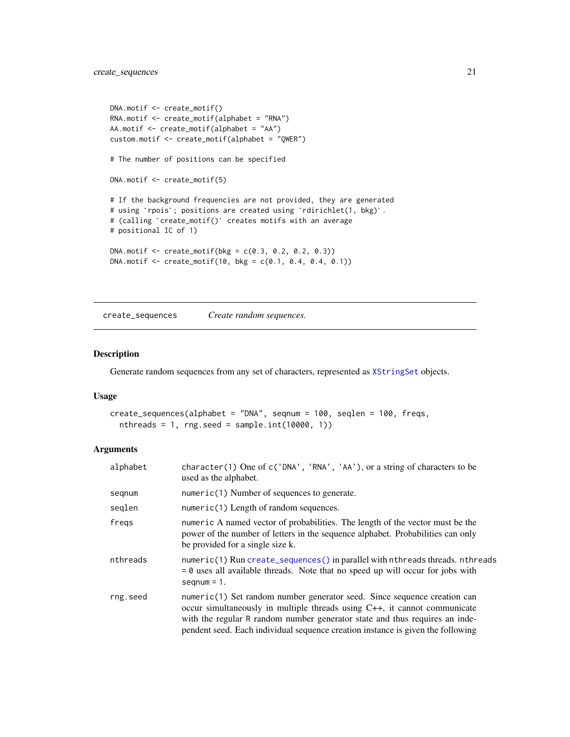```
DNA.motif <- create_motif()
RNA.motif <- create_motif(alphabet = "RNA")
AA.motif <- create_motif(alphabet = "AA")
custom.motif <- create_motif(alphabet = "QWER")
# The number of positions can be specified
DNA.motif <- create_motif(5)
# If the background frequencies are not provided, they are generated
%<br># If the background frequencies are not provided, they are generate<br># using `rpois`; positions are created using `rdirichlet(1, bkg)`.
# using `rpois`; positions are created using `rdirichlet(1, bkg)`.<br># (calling `create_motif()` creates motifs with an average
# positional IC of 1)
DNA.motif < -create_motif(bkg = c(0.3, 0.2, 0.2, 0.3))DNA.motif <- create_motif(10, bkg = c(0.1, 0.4, 0.4, 0.1))
```
<span id="page-20-1"></span>create\_sequences *Create random sequences.*

### Description

Generate random sequences from any set of characters, represented as [XStringSet](#page-0-0) objects.

### Usage

```
create_sequences(alphabet = "DNA", seqnum = 100, seqlen = 100, freqs,
  nthreads = 1, rng.seed = sample.int(10000, 1))
```

| alphabet | character (1) One of $c('DNA', 'RNA', 'AA'),$ or a string of characters to be<br>used as the alphabet.                                                                                                                                                                                                                        |
|----------|-------------------------------------------------------------------------------------------------------------------------------------------------------------------------------------------------------------------------------------------------------------------------------------------------------------------------------|
| segnum   | $numeric(1)$ Number of sequences to generate.                                                                                                                                                                                                                                                                                 |
| seglen   | numeric(1) Length of random sequences.                                                                                                                                                                                                                                                                                        |
| freqs    | numeric A named vector of probabilities. The length of the vector must be the<br>power of the number of letters in the sequence alphabet. Probabilities can only<br>be provided for a single size k.                                                                                                                          |
| nthreads | numeric(1) Run create_sequences() in parallel with nthreads threads. nthreads<br>$= 0$ uses all available threads. Note that no speed up will occur for jobs with<br>$seqnum = 1$ .                                                                                                                                           |
| rng.seed | numeric(1) Set random number generator seed. Since sequence creation can<br>occur simultaneously in multiple threads using $C_{++}$ , it cannot communicate<br>with the regular R random number generator state and thus requires an inde-<br>pendent seed. Each individual sequence creation instance is given the following |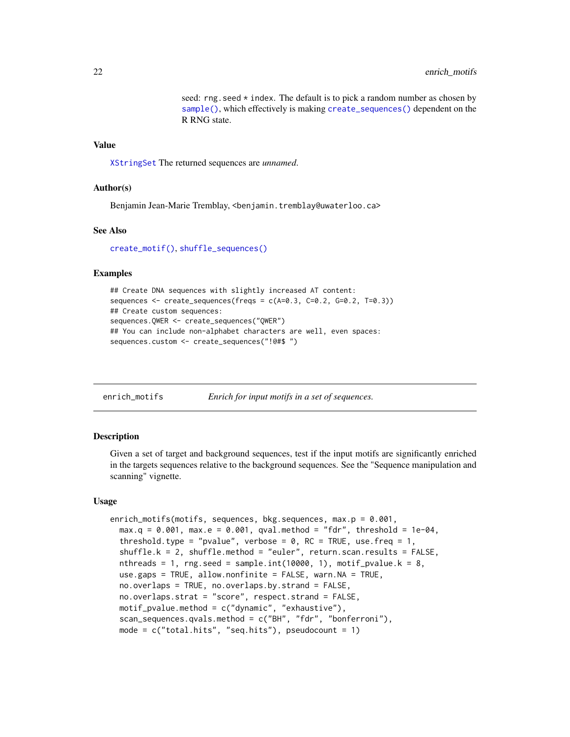seed:  $rng.$  seed  $*$  index. The default is to pick a random number as chosen by [sample\(\)](#page-0-0), which effectively is making [create\\_sequences\(\)](#page-20-1) dependent on the R RNG state.

#### <span id="page-21-0"></span>Value

[XStringSet](#page-0-0) The returned sequences are *unnamed*.

### Author(s)

Benjamin Jean-Marie Tremblay, <benjamin.tremblay@uwaterloo.ca>

#### See Also

[create\\_motif\(\)](#page-15-1), [shuffle\\_sequences\(\)](#page-65-1)

### Examples

```
## Create DNA sequences with slightly increased AT content:
sequences <- create_sequences(freqs = c(A=0.3, C=0.2, G=0.2, T=0.3))
## Create custom sequences:
sequences.QWER <- create_sequences("QWER")
## You can include non-alphabet characters are well, even spaces:
sequences.custom <- create_sequences("!@#$ ")
```

| enrich_motifs |  | Enrich for input motifs in a set of sequences. |
|---------------|--|------------------------------------------------|
|               |  |                                                |

### Description

Given a set of target and background sequences, test if the input motifs are significantly enriched in the targets sequences relative to the background sequences. See the "Sequence manipulation and scanning" vignette.

#### Usage

```
enrich_motifs(motifs, sequences, bkg.sequences, max.p = 0.001,
 max.q = 0.001, max.e = 0.001, qval.method = "fdr", threshold = 1e-04,
  threshold.type = "pvalue", verbose = 0, RC = TRUE, use.freq = 1,
  shuffle.k = 2, shuffle.method = "euler", return.scan.results = FALSE,
  nthreads = 1, rng.seed = sample.int(10000, 1), motif_pvalue.k = 8,
  use.gaps = TRUE, allow.nonfinite = FALSE, warn.NA = TRUE,
  no.overlaps = TRUE, no.overlaps.by.strand = FALSE,
  no.overlaps.strat = "score", respect.strand = FALSE,
 motif_pvalue.method = c("dynamic", "exhaustive"),
  scan_sequences.qvals.method = c("BH", "fdr", "bonferroni"),
 mode = c("total.hits", "seq.hits"), pseudocount = 1)
```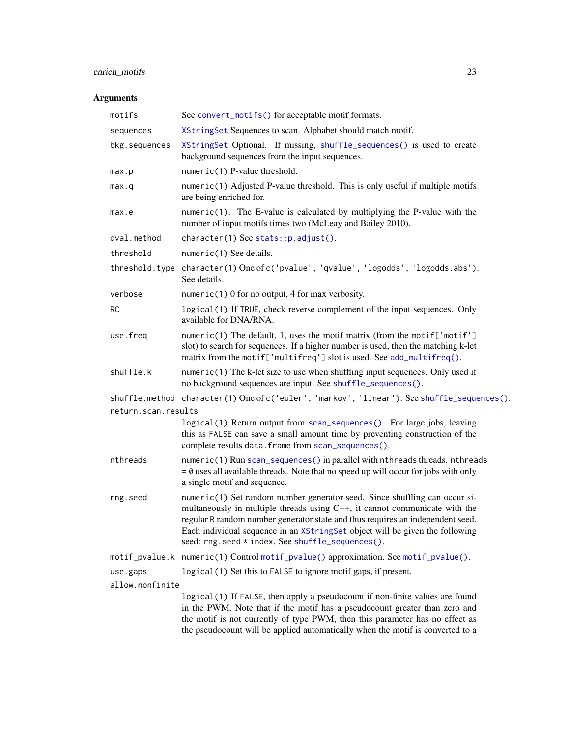### enrich\_motifs 23

| motifs              | See convert_motifs() for acceptable motif formats.                                                                                                                                                                                                                                                                                                                                |  |  |
|---------------------|-----------------------------------------------------------------------------------------------------------------------------------------------------------------------------------------------------------------------------------------------------------------------------------------------------------------------------------------------------------------------------------|--|--|
| sequences           | XStringSet Sequences to scan. Alphabet should match motif.                                                                                                                                                                                                                                                                                                                        |  |  |
| bkg.sequences       | XStringSet Optional. If missing, shuffle_sequences() is used to create<br>background sequences from the input sequences.                                                                                                                                                                                                                                                          |  |  |
| max.p               | numeric(1) P-value threshold.                                                                                                                                                                                                                                                                                                                                                     |  |  |
| max.q               | numeric(1) Adjusted P-value threshold. This is only useful if multiple motifs<br>are being enriched for.                                                                                                                                                                                                                                                                          |  |  |
| max.e               | $numeric(1)$ . The E-value is calculated by multiplying the P-value with the<br>number of input motifs times two (McLeay and Bailey 2010).                                                                                                                                                                                                                                        |  |  |
| qval.method         | character(1) See stats::p.adjust().                                                                                                                                                                                                                                                                                                                                               |  |  |
| threshold           | $numeric(1)$ See details.                                                                                                                                                                                                                                                                                                                                                         |  |  |
|                     | threshold.type character(1) One of c('pvalue', 'qvalue', 'logodds', 'logodds.abs').<br>See details.                                                                                                                                                                                                                                                                               |  |  |
| verbose             | numeric(1) 0 for no output, 4 for max verbosity.                                                                                                                                                                                                                                                                                                                                  |  |  |
| RC                  | logical(1) If TRUE, check reverse complement of the input sequences. Only<br>available for DNA/RNA.                                                                                                                                                                                                                                                                               |  |  |
| use.freq            | numeric(1) The default, 1, uses the motif matrix (from the motif['motif']<br>slot) to search for sequences. If a higher number is used, then the matching k-let<br>matrix from the motif['multifreq'] slot is used. See add_multifreq().                                                                                                                                          |  |  |
| shuffle.k           | $numeric(1)$ The k-let size to use when shuffling input sequences. Only used if<br>no background sequences are input. See shuffle_sequences().                                                                                                                                                                                                                                    |  |  |
|                     | shuffle.method character(1)One ofc('euler', 'markov', 'linear').See shuffle_sequences().                                                                                                                                                                                                                                                                                          |  |  |
| return.scan.results |                                                                                                                                                                                                                                                                                                                                                                                   |  |  |
|                     | logical(1) Return output from scan_sequences(). For large jobs, leaving<br>this as FALSE can save a small amount time by preventing construction of the<br>complete results data. frame from scan_sequences().                                                                                                                                                                    |  |  |
| nthreads            | numeric(1) Run scan_sequences() in parallel with nthreads threads. nthreads<br>$= 0$ uses all available threads. Note that no speed up will occur for jobs with only<br>a single motif and sequence.                                                                                                                                                                              |  |  |
| rng.seed            | numeric(1) Set random number generator seed. Since shuffling can occur si-<br>multaneously in multiple threads using $C++$ , it cannot communicate with the<br>regular R random number generator state and thus requires an independent seed.<br>Each individual sequence in an XStringSet object will be given the following<br>seed: rng.seed * index. See shuffle_sequences(). |  |  |
|                     | motif_pvalue.k numeric(1) Control motif_pvalue() approximation. See motif_pvalue().                                                                                                                                                                                                                                                                                               |  |  |
| use.gaps            | logical (1) Set this to FALSE to ignore motif gaps, if present.                                                                                                                                                                                                                                                                                                                   |  |  |
| allow.nonfinite     |                                                                                                                                                                                                                                                                                                                                                                                   |  |  |
|                     | logical(1) If FALSE, then apply a pseudocount if non-finite values are found<br>in the PWM. Note that if the motif has a pseudocount greater than zero and<br>the motif is not currently of type PWM, then this parameter has no effect as<br>the pseudocount will be applied automatically when the motif is converted to a                                                      |  |  |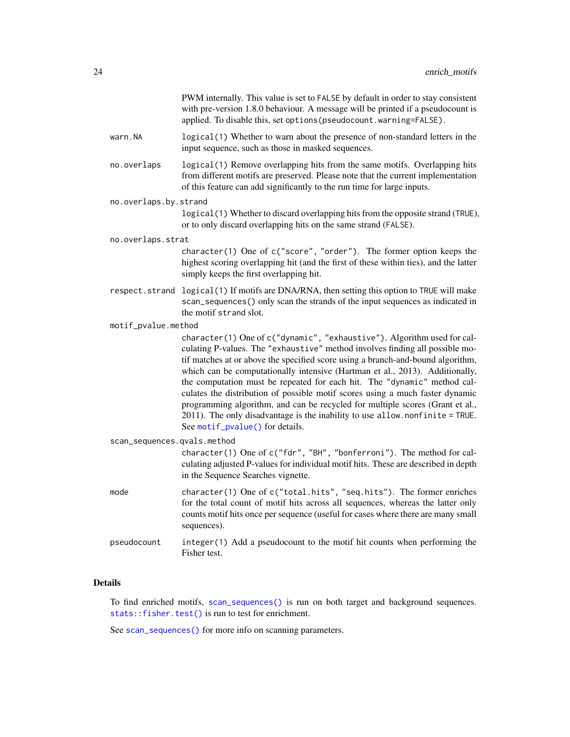|                             | PWM internally. This value is set to FALSE by default in order to stay consistent<br>with pre-version 1.8.0 behaviour. A message will be printed if a pseudocount is<br>applied. To disable this, set options (pseudocount.warning=FALSE).                                                                                                                                                                                                                                                                                                                                                                                                                                                   |
|-----------------------------|----------------------------------------------------------------------------------------------------------------------------------------------------------------------------------------------------------------------------------------------------------------------------------------------------------------------------------------------------------------------------------------------------------------------------------------------------------------------------------------------------------------------------------------------------------------------------------------------------------------------------------------------------------------------------------------------|
| warn.NA                     | logical(1) Whether to warn about the presence of non-standard letters in the<br>input sequence, such as those in masked sequences.                                                                                                                                                                                                                                                                                                                                                                                                                                                                                                                                                           |
| no.overlaps                 | logical(1) Remove overlapping hits from the same motifs. Overlapping hits<br>from different motifs are preserved. Please note that the current implementation<br>of this feature can add significantly to the run time for large inputs.                                                                                                                                                                                                                                                                                                                                                                                                                                                     |
| no.overlaps.by.strand       |                                                                                                                                                                                                                                                                                                                                                                                                                                                                                                                                                                                                                                                                                              |
|                             | logical (1) Whether to discard overlapping hits from the opposite strand (TRUE),<br>or to only discard overlapping hits on the same strand (FALSE).                                                                                                                                                                                                                                                                                                                                                                                                                                                                                                                                          |
| no.overlaps.strat           |                                                                                                                                                                                                                                                                                                                                                                                                                                                                                                                                                                                                                                                                                              |
|                             | character(1) One of c("score", "order"). The former option keeps the<br>highest scoring overlapping hit (and the first of these within ties), and the latter<br>simply keeps the first overlapping hit.                                                                                                                                                                                                                                                                                                                                                                                                                                                                                      |
| respect.strand              | logical (1) If motifs are DNA/RNA, then setting this option to TRUE will make<br>scan_sequences() only scan the strands of the input sequences as indicated in<br>the motif strand slot.                                                                                                                                                                                                                                                                                                                                                                                                                                                                                                     |
| motif_pvalue.method         |                                                                                                                                                                                                                                                                                                                                                                                                                                                                                                                                                                                                                                                                                              |
|                             | character(1) One of c("dynamic", "exhaustive"). Algorithm used for cal-<br>culating P-values. The "exhaustive" method involves finding all possible mo-<br>tif matches at or above the specified score using a branch-and-bound algorithm,<br>which can be computationally intensive (Hartman et al., 2013). Additionally,<br>the computation must be repeated for each hit. The "dynamic" method cal-<br>culates the distribution of possible motif scores using a much faster dynamic<br>programming algorithm, and can be recycled for multiple scores (Grant et al.,<br>2011). The only disadvantage is the inability to use allow. nonfinite = TRUE.<br>See motif_pvalue() for details. |
| scan_sequences.qvals.method |                                                                                                                                                                                                                                                                                                                                                                                                                                                                                                                                                                                                                                                                                              |
|                             | character(1) One of c("fdr", "BH", "bonferroni"). The method for cal-<br>culating adjusted P-values for individual motif hits. These are described in depth<br>in the Sequence Searches vignette.                                                                                                                                                                                                                                                                                                                                                                                                                                                                                            |
| mode                        | character(1) One of c("total.hits", "seq.hits"). The former enriches<br>for the total count of motif hits across all sequences, whereas the latter only<br>counts motif hits once per sequence (useful for cases where there are many small<br>sequences).                                                                                                                                                                                                                                                                                                                                                                                                                                   |
| pseudocount                 | integer(1) Add a pseudocount to the motif hit counts when performing the<br>Fisher test.                                                                                                                                                                                                                                                                                                                                                                                                                                                                                                                                                                                                     |
|                             |                                                                                                                                                                                                                                                                                                                                                                                                                                                                                                                                                                                                                                                                                              |

### Details

To find enriched motifs, [scan\\_sequences\(\)](#page-57-1) is run on both target and background sequences. [stats::fisher.test\(\)](#page-0-0) is run to test for enrichment.

See [scan\\_sequences\(\)](#page-57-1) for more info on scanning parameters.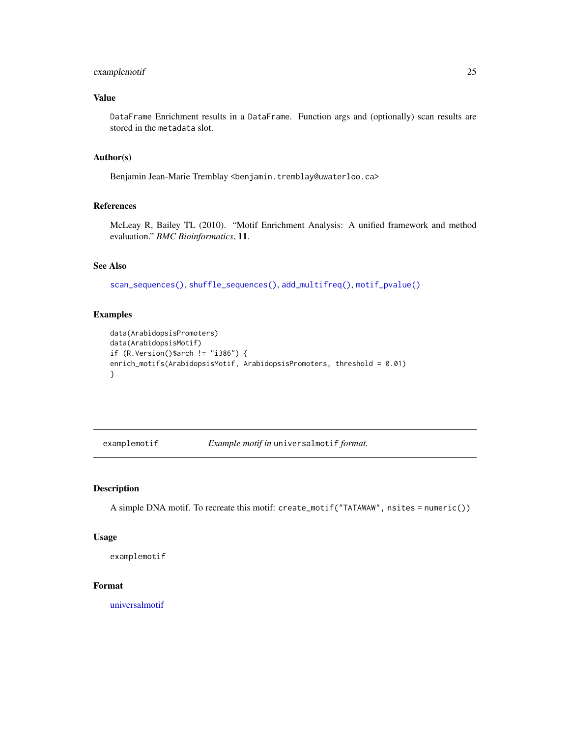### <span id="page-24-0"></span>examplemotif 25

### Value

DataFrame Enrichment results in a DataFrame. Function args and (optionally) scan results are stored in the metadata slot.

### Author(s)

Benjamin Jean-Marie Tremblay <benjamin.tremblay@uwaterloo.ca>

### References

McLeay R, Bailey TL (2010). "Motif Enrichment Analysis: A unified framework and method evaluation." *BMC Bioinformatics*, 11.

### See Also

[scan\\_sequences\(\)](#page-57-1), [shuffle\\_sequences\(\)](#page-65-1), [add\\_multifreq\(\)](#page-2-1), [motif\\_pvalue\(\)](#page-37-1)

#### Examples

```
data(ArabidopsisPromoters)
data(ArabidopsisMotif)
if (R.Version()$arch != "i386") {
enrich_motifs(ArabidopsisMotif, ArabidopsisPromoters, threshold = 0.01)
}
```
examplemotif *Example motif in* universalmotif *format.*

#### Description

A simple DNA motif. To recreate this motif: create\_motif("TATAWAW", nsites = numeric())

### Usage

examplemotif

### Format

[universalmotif](#page-70-1)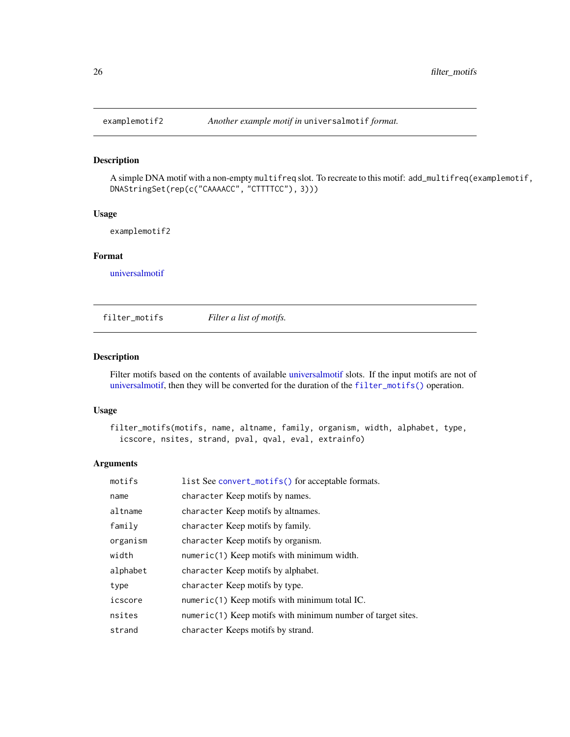<span id="page-25-0"></span>

### Description

A simple DNA motif with a non-empty multifreq slot. To recreate to this motif: add\_multifreq(examplemotif, DNAStringSet(rep(c("CAAAACC", "CTTTTCC"), 3)))

### Usage

examplemotif2

### Format

[universalmotif](#page-70-1)

<span id="page-25-1"></span>filter\_motifs *Filter a list of motifs.*

### Description

Filter motifs based on the contents of available [universalmotif](#page-70-1) slots. If the input motifs are not of [universalmotif,](#page-70-1) then they will be converted for the duration of the [filter\\_motifs\(\)](#page-25-1) operation.

### Usage

```
filter_motifs(motifs, name, altname, family, organism, width, alphabet, type,
  icscore, nsites, strand, pval, qval, eval, extrainfo)
```

| motifs   | list See convert_motifs() for acceptable formats.             |
|----------|---------------------------------------------------------------|
| name     | character Keep motifs by names.                               |
| altname  | character Keep motifs by altnames.                            |
| family   | character Keep motifs by family.                              |
| organism | character Keep motifs by organism.                            |
| width    | $numeric(1)$ Keep motifs with minimum width.                  |
| alphabet | character Keep motifs by alphabet.                            |
| type     | character Keep motifs by type.                                |
| icscore  | numeric(1) Keep motifs with minimum total IC.                 |
| nsites   | $numeric(1)$ Keep motifs with minimum number of target sites. |
| strand   | character Keeps motifs by strand.                             |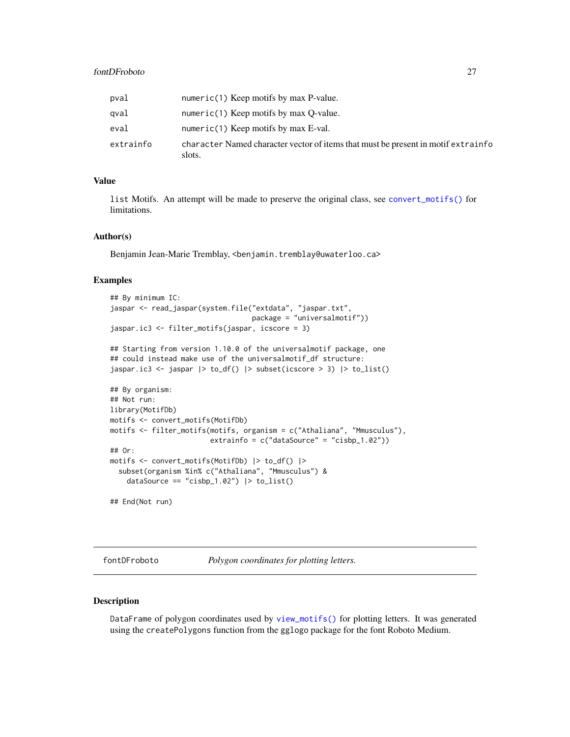### <span id="page-26-0"></span>fontDFroboto 27

| pval      | numeric(1) Keep motifs by max P-value.                                                      |
|-----------|---------------------------------------------------------------------------------------------|
| qval      | numeric(1) Keep motifs by max $Q$ -value.                                                   |
| eval      | numeric(1) Keep motifs by max $E$ -val.                                                     |
| extrainfo | character Named character vector of items that must be present in motif extrainfo<br>slots. |

### Value

list Motifs. An attempt will be made to preserve the original class, see [convert\\_motifs\(\)](#page-9-1) for limitations.

### Author(s)

Benjamin Jean-Marie Tremblay, <benjamin.tremblay@uwaterloo.ca>

#### Examples

```
## By minimum IC:
jaspar <- read_jaspar(system.file("extdata", "jaspar.txt",
                                  package = "universalmotif"))
jaspar.ic3 <- filter_motifs(jaspar, icscore = 3)
## Starting from version 1.10.0 of the universalmotif package, one
## could instead make use of the universalmotif_df structure:
jaspar.ic3 <- jaspar |> to_df() |> subset(icscore > 3) |> to_list()
## By organism:
## Not run:
library(MotifDb)
motifs <- convert_motifs(MotifDb)
motifs <- filter_motifs(motifs, organism = c("Athaliana", "Mmusculus"),
                        extrainfo = c("dataSource" = "cisbp_1.02"))
## Or:
motifs <- convert_motifs(MotifDb) |> to_df() |>
  subset(organism %in% c("Athaliana", "Mmusculus") &
    dataSource == "cisbp_1.02") |> to_list()
## End(Not run)
```
fontDFroboto *Polygon coordinates for plotting letters.*

### Description

DataFrame of polygon coordinates used by [view\\_motifs\(\)](#page-87-1) for plotting letters. It was generated using the createPolygons function from the gglogo package for the font Roboto Medium.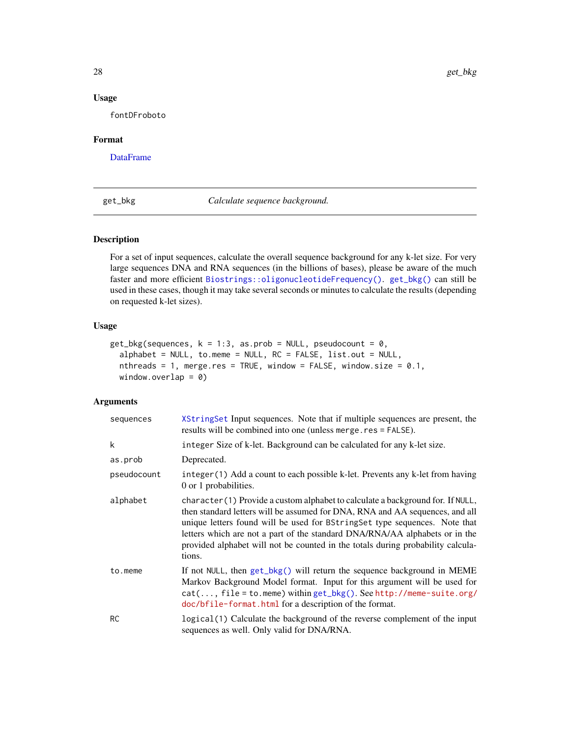### Usage

fontDFroboto

### Format

[DataFrame](#page-0-0)

<span id="page-27-1"></span>get\_bkg *Calculate sequence background.*

### Description

For a set of input sequences, calculate the overall sequence background for any k-let size. For very large sequences DNA and RNA sequences (in the billions of bases), please be aware of the much faster and more efficient [Biostrings::oligonucleotideFrequency\(\)](#page-0-0). [get\\_bkg\(\)](#page-27-1) can still be used in these cases, though it may take several seconds or minutes to calculate the results (depending on requested k-let sizes).

### Usage

```
get_bkg(sequences, k = 1:3, as.prob = NULL, pseudocount = 0,
 alphabet = NULL, to.meme = NULL, RC = FALSE, list.out = NULL,
 nthreads = 1, merge.res = TRUE, window = FALSE, window.size = 0.1,
 window.overlap = 0)
```

| sequences   | XString Set Input sequences. Note that if multiple sequences are present, the<br>results will be combined into one (unless merge.res = FALSE).                                                                                                                                                                                                                                                                             |
|-------------|----------------------------------------------------------------------------------------------------------------------------------------------------------------------------------------------------------------------------------------------------------------------------------------------------------------------------------------------------------------------------------------------------------------------------|
| k           | integer Size of k-let. Background can be calculated for any k-let size.                                                                                                                                                                                                                                                                                                                                                    |
| as.prob     | Deprecated.                                                                                                                                                                                                                                                                                                                                                                                                                |
| pseudocount | integer (1) Add a count to each possible k-let. Prevents any k-let from having<br>0 or 1 probabilities.                                                                                                                                                                                                                                                                                                                    |
| alphabet    | character (1) Provide a custom alphabet to calculate a background for. If NULL,<br>then standard letters will be assumed for DNA, RNA and AA sequences, and all<br>unique letters found will be used for BString Set type sequences. Note that<br>letters which are not a part of the standard DNA/RNA/AA alphabets or in the<br>provided alphabet will not be counted in the totals during probability calcula-<br>tions. |
| to.meme     | If not NULL, then get_bkg() will return the sequence background in MEME<br>Markov Background Model format. Input for this argument will be used for<br>$cat(, file = to.$ meme) within $get_bkg(.)$ . See http://meme-suite.org/<br>doc/bfile-format.html for a description of the format.                                                                                                                                 |
| <b>RC</b>   | logical (1) Calculate the background of the reverse complement of the input<br>sequences as well. Only valid for DNA/RNA.                                                                                                                                                                                                                                                                                                  |

<span id="page-27-0"></span>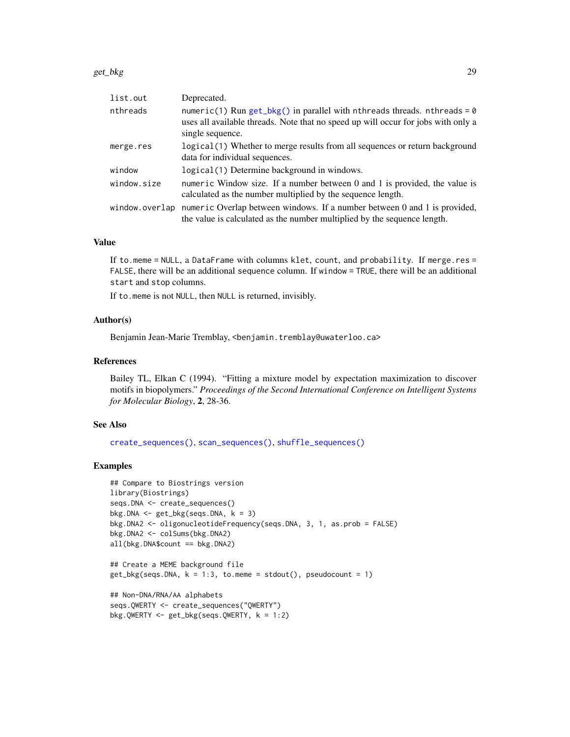| list.out       | Deprecated.                                                                                                                                                                         |
|----------------|-------------------------------------------------------------------------------------------------------------------------------------------------------------------------------------|
| nthreads       | numeric(1) Run get_bkg() in parallel with nthreads threads. nthreads = $0$<br>uses all available threads. Note that no speed up will occur for jobs with only a<br>single sequence. |
| merge.res      | logical(1) Whether to merge results from all sequences or return background<br>data for individual sequences.                                                                       |
| window         | logical(1) Determine background in windows.                                                                                                                                         |
| window.size    | numeric Window size. If a number between $0$ and $1$ is provided, the value is<br>calculated as the number multiplied by the sequence length.                                       |
| window.overlap | numeric Overlap between windows. If a number between 0 and 1 is provided,<br>the value is calculated as the number multiplied by the sequence length.                               |

### Value

If to.meme = NULL, a DataFrame with columns klet, count, and probability. If merge.res = FALSE, there will be an additional sequence column. If window = TRUE, there will be an additional start and stop columns.

If to.meme is not NULL, then NULL is returned, invisibly.

### Author(s)

Benjamin Jean-Marie Tremblay, <benjamin.tremblay@uwaterloo.ca>

#### References

Bailey TL, Elkan C (1994). "Fitting a mixture model by expectation maximization to discover motifs in biopolymers." *Proceedings of the Second International Conference on Intelligent Systems for Molecular Biology*, 2, 28-36.

### See Also

```
create_sequences(), scan_sequences(), shuffle_sequences()
```
### Examples

```
## Compare to Biostrings version
library(Biostrings)
seqs.DNA <- create_sequences()
bkg.DNA \leq get_bkg(seqs.DNA, k = 3)
bkg.DNA2 <- oligonucleotideFrequency(seqs.DNA, 3, 1, as.prob = FALSE)
bkg.DNA2 <- colSums(bkg.DNA2)
all(bkg.DNA$count == bkg.DNA2)
## Create a MEME background file
get_bkg(segs.DNA, k = 1:3, to.meme = stdout(), pseudocount = 1)
```

```
## Non-DNA/RNA/AA alphabets
seqs.QWERTY <- create_sequences("QWERTY")
bkg.QWERTY <- get_bkg(seqs.QWERTY, k = 1:2)
```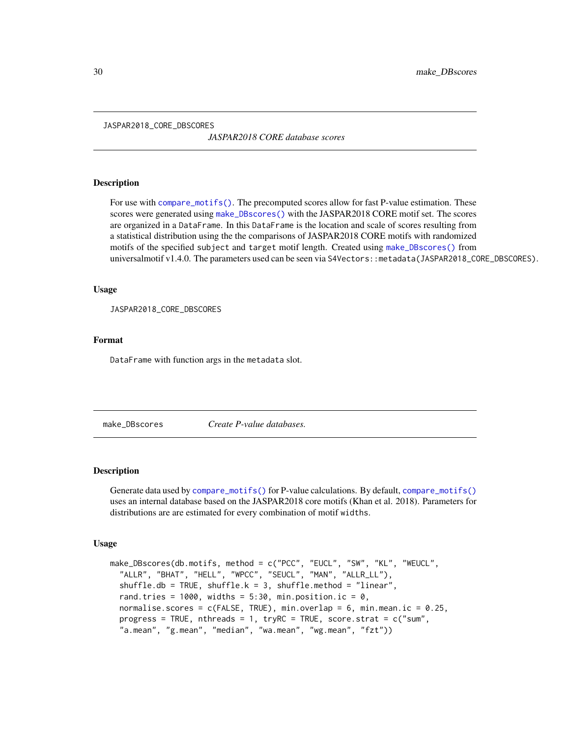<span id="page-29-0"></span>JASPAR2018\_CORE\_DBSCORES

*JASPAR2018 CORE database scores*

### Description

For use with [compare\\_motifs\(\)](#page-5-2). The precomputed scores allow for fast P-value estimation. These scores were generated using [make\\_DBscores\(\)](#page-29-1) with the JASPAR2018 CORE motif set. The scores are organized in a DataFrame. In this DataFrame is the location and scale of scores resulting from a statistical distribution using the the comparisons of JASPAR2018 CORE motifs with randomized motifs of the specified subject and target motif length. Created using [make\\_DBscores\(\)](#page-29-1) from universalmotif v1.4.0. The parameters used can be seen via S4Vectors: : metadata(JASPAR2018\_CORE\_DBSCORES).

#### Usage

JASPAR2018\_CORE\_DBSCORES

### Format

DataFrame with function args in the metadata slot.

<span id="page-29-1"></span>make\_DBscores *Create P-value databases.*

### Description

Generate data used by [compare\\_motifs\(\)](#page-5-2) for P-value calculations. By default, [compare\\_motifs\(\)](#page-5-2) uses an internal database based on the JASPAR2018 core motifs (Khan et al. 2018). Parameters for distributions are are estimated for every combination of motif widths.

#### Usage

```
make_DBscores(db.motifs, method = c("PCC", "EUCL", "SW", "KL", "WEUCL",
  "ALLR", "BHAT", "HELL", "WPCC", "SEUCL", "MAN", "ALLR_LL"),
  shuffle.db = TRUE, shuffle.k = 3, shuffle.method = "linear",
  rand.tries = 1000, widths = 5:30, min.position.ic = 0,
  normalise.scores = c(FALEE, TRUE), min.overlap = 6, min.mean.ic = 0.25,
  progress = TRUE, nthreads = 1, tryRC = TRUE, score.strat = c("sum","a.mean", "g.mean", "median", "wa.mean", "wg.mean", "fzt"))
```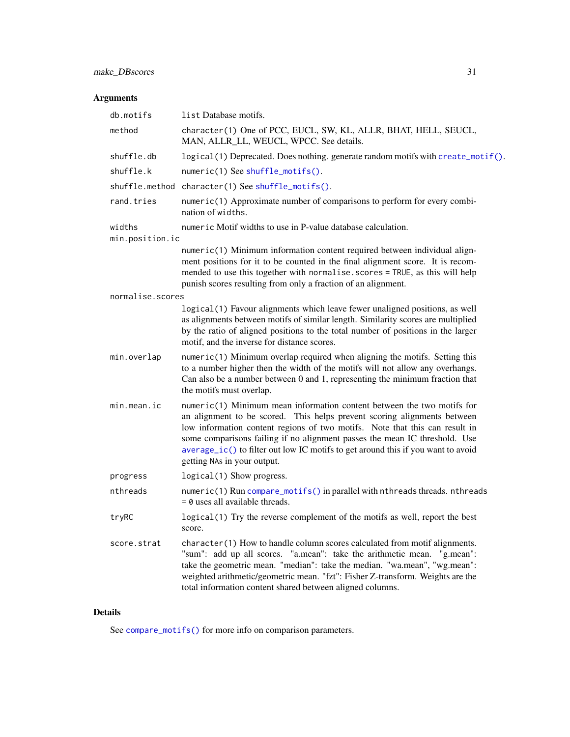### make\_DBscores 31

### Arguments

| db.motifs        | list Database motifs.                                                                                                                                                                                                                                                                                                                                                                                                                |
|------------------|--------------------------------------------------------------------------------------------------------------------------------------------------------------------------------------------------------------------------------------------------------------------------------------------------------------------------------------------------------------------------------------------------------------------------------------|
| method           | character(1) One of PCC, EUCL, SW, KL, ALLR, BHAT, HELL, SEUCL,<br>MAN, ALLR_LL, WEUCL, WPCC. See details.                                                                                                                                                                                                                                                                                                                           |
| shuffle.db       | logical(1) Deprecated. Does nothing. generate random motifs with create_motif().                                                                                                                                                                                                                                                                                                                                                     |
| shuffle.k        | numeric(1) See shuffle_motifs().                                                                                                                                                                                                                                                                                                                                                                                                     |
|                  | shuffle.method character(1) See shuffle_motifs().                                                                                                                                                                                                                                                                                                                                                                                    |
| rand.tries       | numeric(1) Approximate number of comparisons to perform for every combi-<br>nation of widths.                                                                                                                                                                                                                                                                                                                                        |
| widths           | numeric Motif widths to use in P-value database calculation.                                                                                                                                                                                                                                                                                                                                                                         |
| min.position.ic  |                                                                                                                                                                                                                                                                                                                                                                                                                                      |
|                  | numeric(1) Minimum information content required between individual align-<br>ment positions for it to be counted in the final alignment score. It is recom-<br>mended to use this together with normalise. scores = TRUE, as this will help<br>punish scores resulting from only a fraction of an alignment.                                                                                                                         |
| normalise.scores |                                                                                                                                                                                                                                                                                                                                                                                                                                      |
|                  | logical(1) Favour alignments which leave fewer unaligned positions, as well<br>as alignments between motifs of similar length. Similarity scores are multiplied<br>by the ratio of aligned positions to the total number of positions in the larger<br>motif, and the inverse for distance scores.                                                                                                                                   |
| min.overlap      | $numeric(1)$ Minimum overlap required when aligning the motifs. Setting this<br>to a number higher then the width of the motifs will not allow any overhangs.<br>Can also be a number between 0 and 1, representing the minimum fraction that<br>the motifs must overlap.                                                                                                                                                            |
| min.mean.ic      | $numeric(1)$ Minimum mean information content between the two motifs for<br>an alignment to be scored. This helps prevent scoring alignments between<br>low information content regions of two motifs. Note that this can result in<br>some comparisons failing if no alignment passes the mean IC threshold. Use<br>average_ic() to filter out low IC motifs to get around this if you want to avoid<br>getting NAs in your output. |
| progress         | logical(1) Show progress.                                                                                                                                                                                                                                                                                                                                                                                                            |
| nthreads         | numeric(1) Run compare_motifs() in parallel with nthreads threads. nthreads<br>$= 0$ uses all available threads.                                                                                                                                                                                                                                                                                                                     |
| tryRC            | logical(1) Try the reverse complement of the motifs as well, report the best<br>score.                                                                                                                                                                                                                                                                                                                                               |
| score.strat      | character(1) How to handle column scores calculated from motif alignments.<br>"sum": add up all scores. "a.mean": take the arithmetic mean. "g.mean":<br>take the geometric mean. "median": take the median. "wa.mean", "wg.mean":<br>weighted arithmetic/geometric mean. "fzt": Fisher Z-transform. Weights are the<br>total information content shared between aligned columns.                                                    |

### Details

See [compare\\_motifs\(\)](#page-5-2) for more info on comparison parameters.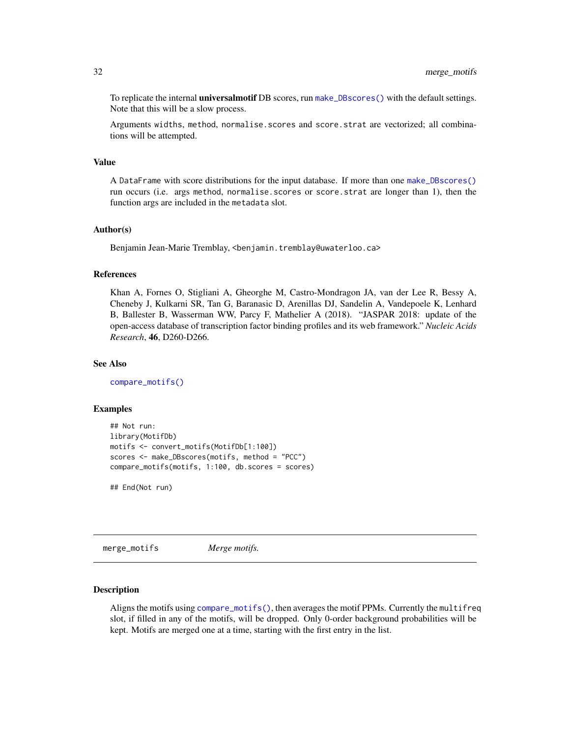<span id="page-31-0"></span>To replicate the internal **universalmotif** DB scores, run [make\\_DBscores\(\)](#page-29-1) with the default settings. Note that this will be a slow process.

Arguments widths, method, normalise.scores and score.strat are vectorized; all combinations will be attempted.

#### Value

A DataFrame with score distributions for the input database. If more than one [make\\_DBscores\(\)](#page-29-1) run occurs (i.e. args method, normalise.scores or score.strat are longer than 1), then the function args are included in the metadata slot.

### Author(s)

Benjamin Jean-Marie Tremblay, <benjamin.tremblay@uwaterloo.ca>

#### References

Khan A, Fornes O, Stigliani A, Gheorghe M, Castro-Mondragon JA, van der Lee R, Bessy A, Cheneby J, Kulkarni SR, Tan G, Baranasic D, Arenillas DJ, Sandelin A, Vandepoele K, Lenhard B, Ballester B, Wasserman WW, Parcy F, Mathelier A (2018). "JASPAR 2018: update of the open-access database of transcription factor binding profiles and its web framework." *Nucleic Acids Research*, 46, D260-D266.

### See Also

[compare\\_motifs\(\)](#page-5-2)

### Examples

```
## Not run:
library(MotifDb)
motifs <- convert_motifs(MotifDb[1:100])
scores <- make_DBscores(motifs, method = "PCC")
compare_motifs(motifs, 1:100, db.scores = scores)
```
## End(Not run)

<span id="page-31-1"></span>merge\_motifs *Merge motifs.*

### **Description**

Aligns the motifs using [compare\\_motifs\(\)](#page-5-2), then averages the motif PPMs. Currently the multifreq slot, if filled in any of the motifs, will be dropped. Only 0-order background probabilities will be kept. Motifs are merged one at a time, starting with the first entry in the list.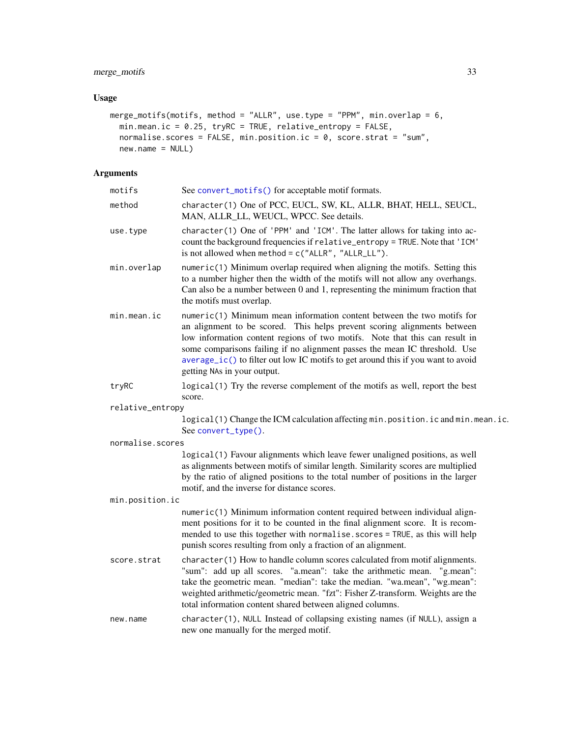### merge\_motifs 33

### Usage

```
merge_motifs(motifs, method = "ALLR", use.type = "PPM", min.overlap = 6,
  min.mean.ic = 0.25, tryRC = TRUE, relative_entropy = FALSE,
  normalise.scores = FALSE, min.position.ic = 0, score.strat = "sum",
  new.name = NULL)
```

| motifs           | See convert_motifs() for acceptable motif formats.                                                                                                                                                                                                                                                                                                                                                                                 |
|------------------|------------------------------------------------------------------------------------------------------------------------------------------------------------------------------------------------------------------------------------------------------------------------------------------------------------------------------------------------------------------------------------------------------------------------------------|
| method           | character(1) One of PCC, EUCL, SW, KL, ALLR, BHAT, HELL, SEUCL,<br>MAN, ALLR_LL, WEUCL, WPCC. See details.                                                                                                                                                                                                                                                                                                                         |
| use.type         | character(1) One of 'PPM' and 'ICM'. The latter allows for taking into ac-<br>count the background frequencies if relative_entropy = TRUE. Note that 'ICM'<br>is not allowed when method = $c("ALLR", "ALLR_LLL").$                                                                                                                                                                                                                |
| min.overlap      | numeric(1) Minimum overlap required when aligning the motifs. Setting this<br>to a number higher then the width of the motifs will not allow any overhangs.<br>Can also be a number between 0 and 1, representing the minimum fraction that<br>the motifs must overlap.                                                                                                                                                            |
| min.mean.ic      | numeric(1) Minimum mean information content between the two motifs for<br>an alignment to be scored. This helps prevent scoring alignments between<br>low information content regions of two motifs. Note that this can result in<br>some comparisons failing if no alignment passes the mean IC threshold. Use<br>average_ic() to filter out low IC motifs to get around this if you want to avoid<br>getting NAs in your output. |
| tryRC            | logical(1) Try the reverse complement of the motifs as well, report the best<br>score.                                                                                                                                                                                                                                                                                                                                             |
| relative_entropy |                                                                                                                                                                                                                                                                                                                                                                                                                                    |
|                  | logical(1) Change the ICM calculation affecting min.position.ic and min.mean.ic.<br>See convert_type().                                                                                                                                                                                                                                                                                                                            |
| normalise.scores |                                                                                                                                                                                                                                                                                                                                                                                                                                    |
|                  | logical(1) Favour alignments which leave fewer unaligned positions, as well<br>as alignments between motifs of similar length. Similarity scores are multiplied<br>by the ratio of aligned positions to the total number of positions in the larger<br>motif, and the inverse for distance scores.                                                                                                                                 |
| min.position.ic  |                                                                                                                                                                                                                                                                                                                                                                                                                                    |
|                  | numeric(1) Minimum information content required between individual align-<br>ment positions for it to be counted in the final alignment score. It is recom-<br>mended to use this together with normalise. scores = TRUE, as this will help<br>punish scores resulting from only a fraction of an alignment.                                                                                                                       |
| score.strat      | character(1) How to handle column scores calculated from motif alignments.<br>"sum": add up all scores. "a.mean": take the arithmetic mean. "g.mean":<br>take the geometric mean. "median": take the median. "wa.mean", "wg.mean":<br>weighted arithmetic/geometric mean. "fzt": Fisher Z-transform. Weights are the<br>total information content shared between aligned columns.                                                  |
| new.name         | character(1), NULL Instead of collapsing existing names (if NULL), assign a<br>new one manually for the merged motif.                                                                                                                                                                                                                                                                                                              |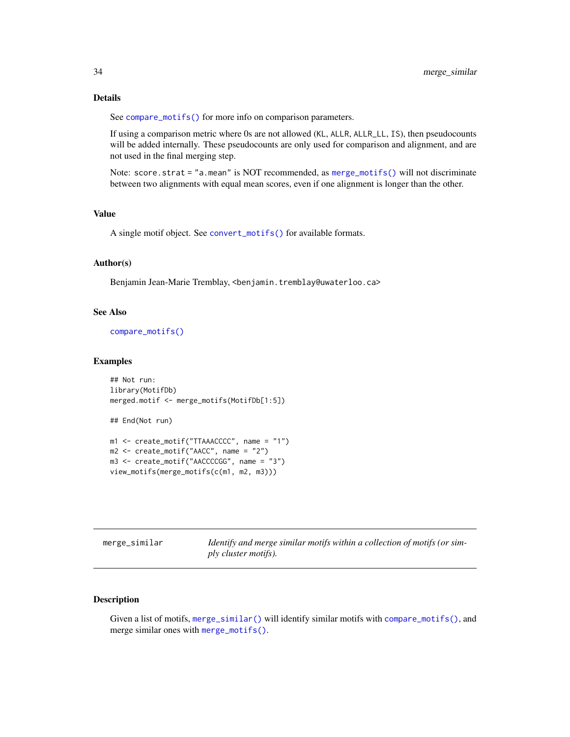### <span id="page-33-0"></span>Details

See [compare\\_motifs\(\)](#page-5-2) for more info on comparison parameters.

If using a comparison metric where 0s are not allowed (KL, ALLR, ALLR\_LL, IS), then pseudocounts will be added internally. These pseudocounts are only used for comparison and alignment, and are not used in the final merging step.

Note: score.strat = "a.mean" is NOT recommended, as [merge\\_motifs\(\)](#page-31-1) will not discriminate between two alignments with equal mean scores, even if one alignment is longer than the other.

### Value

A single motif object. See [convert\\_motifs\(\)](#page-9-1) for available formats.

### Author(s)

Benjamin Jean-Marie Tremblay, <benjamin.tremblay@uwaterloo.ca>

### See Also

[compare\\_motifs\(\)](#page-5-2)

#### Examples

```
## Not run:
library(MotifDb)
merged.motif <- merge_motifs(MotifDb[1:5])
## End(Not run)
m1 <- create_motif("TTAAACCCC", name = "1")
```

```
m2 \le - create_motif("AACC", name = "2")
m3 <- create_motif("AACCCCGG", name = "3")
view_motifs(merge_motifs(c(m1, m2, m3)))
```
<span id="page-33-1"></span>

| merge_similar | Identify and merge similar motifs within a collection of motifs (or sim- |
|---------------|--------------------------------------------------------------------------|
|               | ply cluster motifs).                                                     |

### Description

Given a list of motifs, [merge\\_similar\(\)](#page-33-1) will identify similar motifs with [compare\\_motifs\(\)](#page-5-2), and merge similar ones with [merge\\_motifs\(\)](#page-31-1).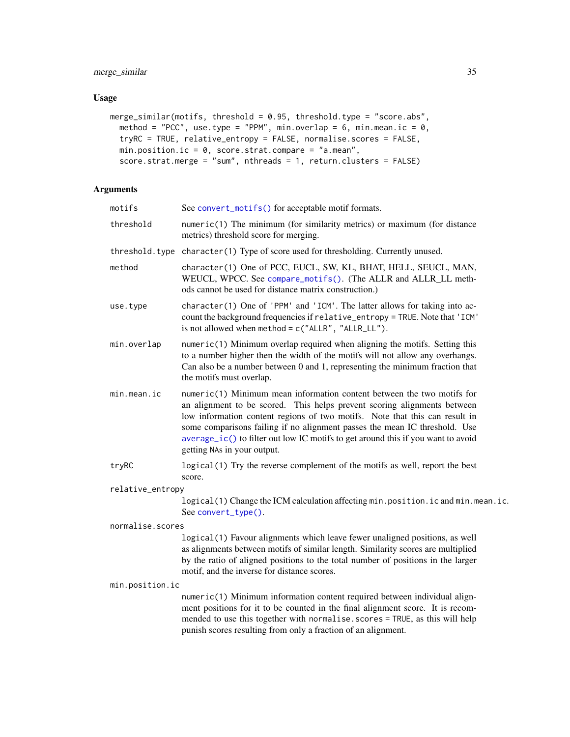### Usage

```
merge_similar(motifs, threshold = 0.95, threshold.type = "score.abs",
 method = "PCC", use.type = "PPM", min.overlap = 6, min.mean.ic = 0,
 tryRC = TRUE, relative_entropy = FALSE, normalise.scores = FALSE,
 min.position.ic = 0, score.strat.compare = "a.mean",
 score.strat.merge = "sum", nthreads = 1, return.clusters = FALSE)
```

| motifs           | See convert_motifs() for acceptable motif formats.                                                                                                                                                                                                                                                                                                                                                                                 |
|------------------|------------------------------------------------------------------------------------------------------------------------------------------------------------------------------------------------------------------------------------------------------------------------------------------------------------------------------------------------------------------------------------------------------------------------------------|
| threshold        | $numeric(1)$ The minimum (for similarity metrics) or maximum (for distance<br>metrics) threshold score for merging.                                                                                                                                                                                                                                                                                                                |
|                  | threshold.type character(1) Type of score used for thresholding. Currently unused.                                                                                                                                                                                                                                                                                                                                                 |
| method           | character(1) One of PCC, EUCL, SW, KL, BHAT, HELL, SEUCL, MAN,<br>WEUCL, WPCC. See compare_motifs(). (The ALLR and ALLR_LL meth-<br>ods cannot be used for distance matrix construction.)                                                                                                                                                                                                                                          |
| use.type         | character(1) One of 'PPM' and 'ICM'. The latter allows for taking into ac-<br>count the background frequencies if relative_entropy = TRUE. Note that 'ICM'<br>is not allowed when method = $c("ALLR", "ALLR_LL")$ .                                                                                                                                                                                                                |
| min.overlap      | numeric(1) Minimum overlap required when aligning the motifs. Setting this<br>to a number higher then the width of the motifs will not allow any overhangs.<br>Can also be a number between 0 and 1, representing the minimum fraction that<br>the motifs must overlap.                                                                                                                                                            |
| min.mean.ic      | numeric(1) Minimum mean information content between the two motifs for<br>an alignment to be scored. This helps prevent scoring alignments between<br>low information content regions of two motifs. Note that this can result in<br>some comparisons failing if no alignment passes the mean IC threshold. Use<br>average_ic() to filter out low IC motifs to get around this if you want to avoid<br>getting NAs in your output. |
| tryRC            | logical(1) Try the reverse complement of the motifs as well, report the best<br>score.                                                                                                                                                                                                                                                                                                                                             |
| relative_entropy |                                                                                                                                                                                                                                                                                                                                                                                                                                    |
|                  | logical(1) Change the ICM calculation affecting min.position.ic and min.mean.ic.<br>See convert_type().                                                                                                                                                                                                                                                                                                                            |
| normalise.scores |                                                                                                                                                                                                                                                                                                                                                                                                                                    |
|                  | logical(1) Favour alignments which leave fewer unaligned positions, as well<br>as alignments between motifs of similar length. Similarity scores are multiplied<br>by the ratio of aligned positions to the total number of positions in the larger<br>motif, and the inverse for distance scores.                                                                                                                                 |
| min.position.ic  |                                                                                                                                                                                                                                                                                                                                                                                                                                    |
|                  | numeric(1) Minimum information content required between individual align-<br>ment positions for it to be counted in the final alignment score. It is recom-<br>mended to use this together with normalise.scores = TRUE, as this will help<br>punish scores resulting from only a fraction of an alignment.                                                                                                                        |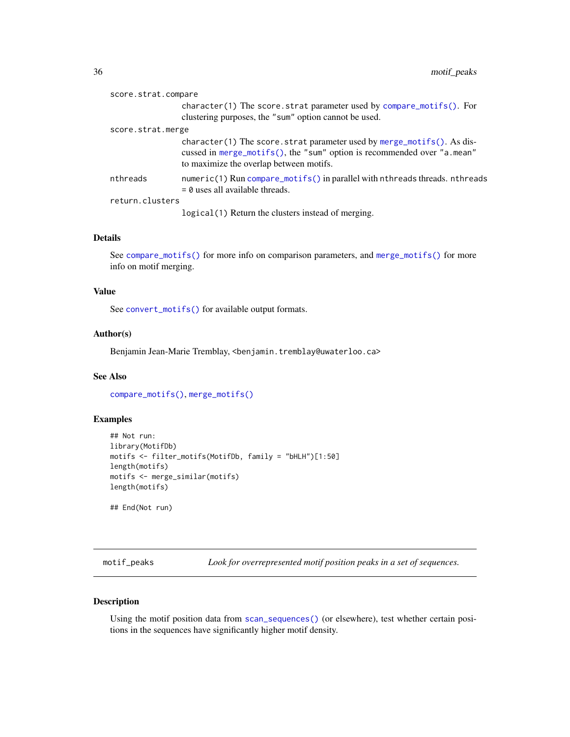<span id="page-35-0"></span>

| score.strat.compare |  |                                                                                                                                                                                              |
|---------------------|--|----------------------------------------------------------------------------------------------------------------------------------------------------------------------------------------------|
|                     |  | character(1) The score strat parameter used by compare_motifs(). For<br>clustering purposes, the "sum" option cannot be used.                                                                |
| score.strat.merge   |  |                                                                                                                                                                                              |
|                     |  | character(1) The score strat parameter used by merge_motifs(). As dis-<br>cussed in merge_motifs(), the "sum" option is recommended over "a.mean"<br>to maximize the overlap between motifs. |
| nthreads            |  | numeric(1) Run compare_motifs() in parallel with nthreads threads. nthreads<br>$=$ 0 uses all available threads.                                                                             |
| return.clusters     |  |                                                                                                                                                                                              |
|                     |  | logical (1) Return the clusters instead of merging.                                                                                                                                          |

### Details

See [compare\\_motifs\(\)](#page-5-2) for more info on comparison parameters, and [merge\\_motifs\(\)](#page-31-1) for more info on motif merging.

### Value

See [convert\\_motifs\(\)](#page-9-1) for available output formats.

### Author(s)

Benjamin Jean-Marie Tremblay, <benjamin.tremblay@uwaterloo.ca>

### See Also

[compare\\_motifs\(\)](#page-5-2), [merge\\_motifs\(\)](#page-31-1)

### Examples

```
## Not run:
library(MotifDb)
motifs <- filter_motifs(MotifDb, family = "bHLH")[1:50]
length(motifs)
motifs <- merge_similar(motifs)
length(motifs)
## End(Not run)
```
motif\_peaks *Look for overrepresented motif position peaks in a set of sequences.*

### Description

Using the motif position data from [scan\\_sequences\(\)](#page-57-1) (or elsewhere), test whether certain positions in the sequences have significantly higher motif density.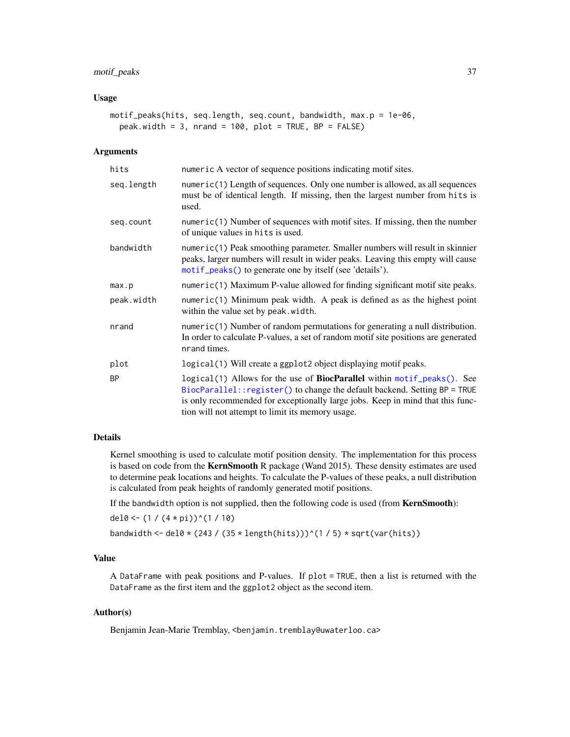# motif\_peaks 37

## Usage

```
motif_peaks(hits, seq.length, seq.count, bandwidth, max.p = 1e-06,
 peak.width = 3, nrand = 100, plot = TRUE, BP = FALSE)
```
## Arguments

| hits       | numeric A vector of sequence positions indicating motif sites.                                                                                                                                                                                                                                     |
|------------|----------------------------------------------------------------------------------------------------------------------------------------------------------------------------------------------------------------------------------------------------------------------------------------------------|
| seq.length | numeric(1) Length of sequences. Only one number is allowed, as all sequences<br>must be of identical length. If missing, then the largest number from hits is<br>used.                                                                                                                             |
| seq.count  | numeric(1) Number of sequences with motif sites. If missing, then the number<br>of unique values in hits is used.                                                                                                                                                                                  |
| bandwidth  | numeric(1) Peak smoothing parameter. Smaller numbers will result in skinnier<br>peaks, larger numbers will result in wider peaks. Leaving this empty will cause<br>motif_peaks() to generate one by itself (see 'details').                                                                        |
| max.p      | numeric(1) Maximum P-value allowed for finding significant motif site peaks.                                                                                                                                                                                                                       |
| peak.width | $numeric(1)$ Minimum peak width. A peak is defined as as the highest point<br>within the value set by peak. width.                                                                                                                                                                                 |
| nrand      | numeric(1) Number of random permutations for generating a null distribution.<br>In order to calculate P-values, a set of random motif site positions are generated<br>nrand times.                                                                                                                 |
| plot       | logical (1) Will create a ggplot2 object displaying motif peaks.                                                                                                                                                                                                                                   |
| <b>BP</b>  | logical(1) Allows for the use of <b>BiocParallel</b> within motif_peaks(). See<br>BiocParallel:: register() to change the default backend. Setting BP = TRUE<br>is only recommended for exceptionally large jobs. Keep in mind that this func-<br>tion will not attempt to limit its memory usage. |

### Details

Kernel smoothing is used to calculate motif position density. The implementation for this process is based on code from the KernSmooth R package (Wand 2015). These density estimates are used to determine peak locations and heights. To calculate the P-values of these peaks, a null distribution is calculated from peak heights of randomly generated motif positions.

If the bandwidth option is not supplied, then the following code is used (from **KernSmooth**):

del0 <-  $(1 / (4 * pi))$ ^ $(1 / 10)$ 

bandwidth <- del0 \* (243 / (35 \* length(hits)))^(1 / 5) \* sqrt(var(hits))

# Value

A DataFrame with peak positions and P-values. If plot = TRUE, then a list is returned with the DataFrame as the first item and the ggplot2 object as the second item.

### Author(s)

Benjamin Jean-Marie Tremblay, <benjamin.tremblay@uwaterloo.ca>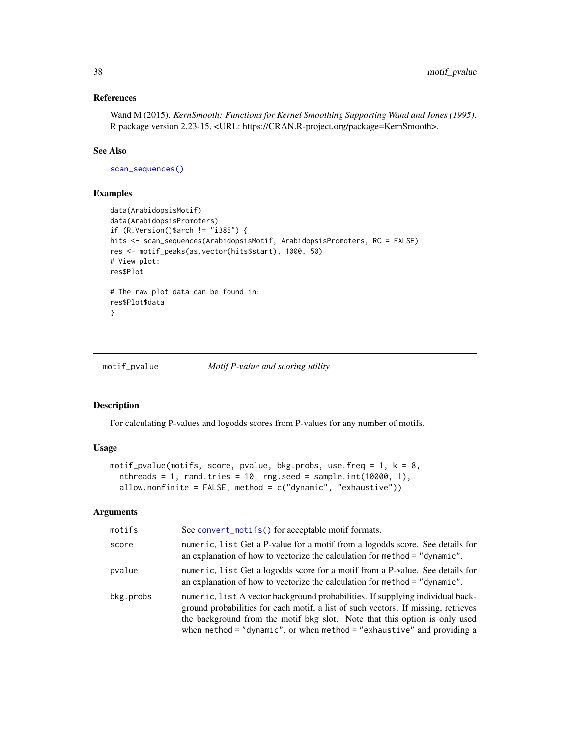# References

Wand M (2015). *KernSmooth: Functions for Kernel Smoothing Supporting Wand and Jones (1995)*. R package version 2.23-15, <URL: https://CRAN.R-project.org/package=KernSmooth>.

## See Also

[scan\\_sequences\(\)](#page-57-0)

# Examples

```
data(ArabidopsisMotif)
data(ArabidopsisPromoters)
if (R.Version()$arch != "i386") {
hits <- scan_sequences(ArabidopsisMotif, ArabidopsisPromoters, RC = FALSE)
res <- motif_peaks(as.vector(hits$start), 1000, 50)
# View plot:
res$Plot
# The raw plot data can be found in:
res$Plot$data
}
```
<span id="page-37-0"></span>

### motif\_pvalue *Motif P-value and scoring utility*

### Description

For calculating P-values and logodds scores from P-values for any number of motifs.

### Usage

```
motif_pvalue(motifs, score, pvalue, bkg.probs, use.freq = 1, k = 8,
 nthreads = 1, rand.tries = 10, rng.seed = sample.int(10000, 1),
  allow.nonfinite = FALSE, method = c("dynamic", "exhaustive"))
```
# Arguments

| motifs    | See convert_motifs() for acceptable motif formats.                                                                                                                                                                                                                                                                           |
|-----------|------------------------------------------------------------------------------------------------------------------------------------------------------------------------------------------------------------------------------------------------------------------------------------------------------------------------------|
| score     | numeric, list Get a P-value for a motif from a logodds score. See details for<br>an explanation of how to vectorize the calculation for method = "dynamic".                                                                                                                                                                  |
| pvalue    | numeric, list Get a logodds score for a motif from a P-value. See details for<br>an explanation of how to vectorize the calculation for method = "dynamic".                                                                                                                                                                  |
| bkg.probs | numeric, list A vector background probabilities. If supplying individual back-<br>ground probabilities for each motif, a list of such vectors. If missing, retrieves<br>the background from the motif bkg slot. Note that this option is only used<br>when method = "dynamic", or when method = "exhaustive" and providing a |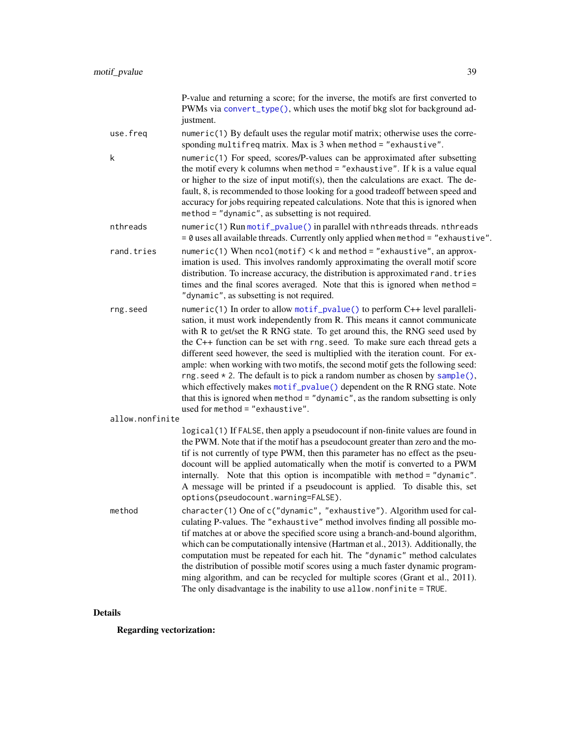|                 | P-value and returning a score; for the inverse, the motifs are first converted to<br>PWMs via convert_type(), which uses the motif bkg slot for background ad-<br>justment.                                                                                                                                                                                                                                                                                                                                                                                                                                                                                                                                                                                                        |
|-----------------|------------------------------------------------------------------------------------------------------------------------------------------------------------------------------------------------------------------------------------------------------------------------------------------------------------------------------------------------------------------------------------------------------------------------------------------------------------------------------------------------------------------------------------------------------------------------------------------------------------------------------------------------------------------------------------------------------------------------------------------------------------------------------------|
| use.freq        | numeric(1) By default uses the regular motif matrix; otherwise uses the corre-<br>sponding multifreq matrix. Max is $3$ when method = "exhaustive".                                                                                                                                                                                                                                                                                                                                                                                                                                                                                                                                                                                                                                |
| k               | numeric(1) For speed, scores/P-values can be approximated after subsetting<br>the motif every k columns when method = "exhaustive". If k is a value equal<br>or higher to the size of input motif(s), then the calculations are exact. The de-<br>fault, 8, is recommended to those looking for a good tradeoff between speed and<br>accuracy for jobs requiring repeated calculations. Note that this is ignored when<br>method = "dynamic", as subsetting is not required.                                                                                                                                                                                                                                                                                                       |
| nthreads        | numeric(1) Run motif_pvalue() in parallel with nthreads threads. nthreads<br>= 0 uses all available threads. Currently only applied when method = "exhaustive".                                                                                                                                                                                                                                                                                                                                                                                                                                                                                                                                                                                                                    |
| rand.tries      | numeric(1) When ncol(motif) < k and method = "exhaustive", an approx-<br>imation is used. This involves randomly approximating the overall motif score<br>distribution. To increase accuracy, the distribution is approximated rand. tries<br>times and the final scores averaged. Note that this is ignored when method =<br>"dynamic", as subsetting is not required.                                                                                                                                                                                                                                                                                                                                                                                                            |
| rng.seed        | numeric(1) In order to allow motif_pvalue() to perform C++ level paralleli-<br>sation, it must work independently from R. This means it cannot communicate<br>with R to get/set the R RNG state. To get around this, the RNG seed used by<br>the C++ function can be set with rng. seed. To make sure each thread gets a<br>different seed however, the seed is multiplied with the iteration count. For ex-<br>ample: when working with two motifs, the second motif gets the following seed:<br>$rng. seed * 2. The default is to pick a random number as chosen by sample(),$<br>which effectively makes motif_pvalue() dependent on the R RNG state. Note<br>that this is ignored when method = "dynamic", as the random subsetting is only<br>used for method = "exhaustive". |
| allow.nonfinite | logical(1) If FALSE, then apply a pseudocount if non-finite values are found in<br>the PWM. Note that if the motif has a pseudocount greater than zero and the mo-<br>tif is not currently of type PWM, then this parameter has no effect as the pseu-<br>docount will be applied automatically when the motif is converted to a PWM<br>internally. Note that this option is incompatible with method = "dynamic".<br>A message will be printed if a pseudocount is applied. To disable this, set<br>options(pseudocount.warning=FALSE).                                                                                                                                                                                                                                           |
| method          | character(1) One of c("dynamic", "exhaustive"). Algorithm used for cal-<br>culating P-values. The "exhaustive" method involves finding all possible mo-<br>tif matches at or above the specified score using a branch-and-bound algorithm,<br>which can be computationally intensive (Hartman et al., 2013). Additionally, the<br>computation must be repeated for each hit. The "dynamic" method calculates<br>the distribution of possible motif scores using a much faster dynamic program-<br>ming algorithm, and can be recycled for multiple scores (Grant et al., 2011).<br>The only disadvantage is the inability to use allow.nonfinite = TRUE.                                                                                                                           |

# Details

Regarding vectorization: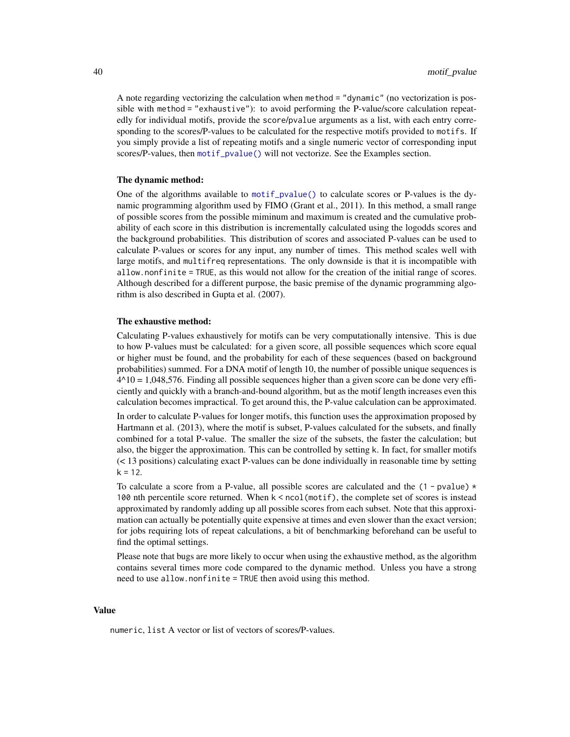A note regarding vectorizing the calculation when method = "dynamic" (no vectorization is possible with method = "exhaustive"): to avoid performing the P-value/score calculation repeatedly for individual motifs, provide the score/pvalue arguments as a list, with each entry corresponding to the scores/P-values to be calculated for the respective motifs provided to motifs. If you simply provide a list of repeating motifs and a single numeric vector of corresponding input scores/P-values, then [motif\\_pvalue\(\)](#page-37-0) will not vectorize. See the Examples section.

### The dynamic method:

One of the algorithms available to [motif\\_pvalue\(\)](#page-37-0) to calculate scores or P-values is the dynamic programming algorithm used by FIMO (Grant et al., 2011). In this method, a small range of possible scores from the possible miminum and maximum is created and the cumulative probability of each score in this distribution is incrementally calculated using the logodds scores and the background probabilities. This distribution of scores and associated P-values can be used to calculate P-values or scores for any input, any number of times. This method scales well with large motifs, and multifreq representations. The only downside is that it is incompatible with allow.nonfinite = TRUE, as this would not allow for the creation of the initial range of scores. Although described for a different purpose, the basic premise of the dynamic programming algorithm is also described in Gupta et al. (2007).

### The exhaustive method:

Calculating P-values exhaustively for motifs can be very computationally intensive. This is due to how P-values must be calculated: for a given score, all possible sequences which score equal or higher must be found, and the probability for each of these sequences (based on background probabilities) summed. For a DNA motif of length 10, the number of possible unique sequences is  $4^{\text{A}}10 = 1,048,576$ . Finding all possible sequences higher than a given score can be done very efficiently and quickly with a branch-and-bound algorithm, but as the motif length increases even this calculation becomes impractical. To get around this, the P-value calculation can be approximated.

In order to calculate P-values for longer motifs, this function uses the approximation proposed by Hartmann et al. (2013), where the motif is subset, P-values calculated for the subsets, and finally combined for a total P-value. The smaller the size of the subsets, the faster the calculation; but also, the bigger the approximation. This can be controlled by setting k. In fact, for smaller motifs (< 13 positions) calculating exact P-values can be done individually in reasonable time by setting  $k = 12.$ 

To calculate a score from a P-value, all possible scores are calculated and the  $(1 - pvalue) *$ 100 nth percentile score returned. When k < ncol(motif), the complete set of scores is instead approximated by randomly adding up all possible scores from each subset. Note that this approximation can actually be potentially quite expensive at times and even slower than the exact version; for jobs requiring lots of repeat calculations, a bit of benchmarking beforehand can be useful to find the optimal settings.

Please note that bugs are more likely to occur when using the exhaustive method, as the algorithm contains several times more code compared to the dynamic method. Unless you have a strong need to use allow.nonfinite = TRUE then avoid using this method.

### Value

numeric, list A vector or list of vectors of scores/P-values.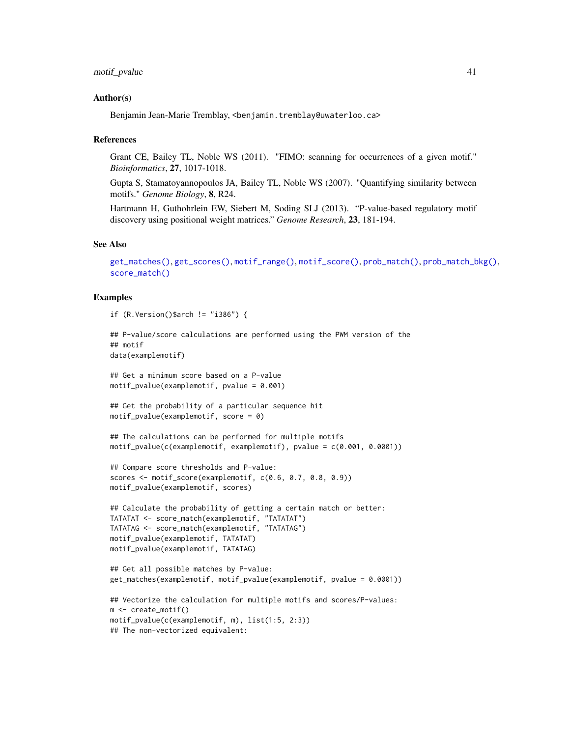### Author(s)

Benjamin Jean-Marie Tremblay, <benjamin.tremblay@uwaterloo.ca>

### References

Grant CE, Bailey TL, Noble WS (2011). "FIMO: scanning for occurrences of a given motif." *Bioinformatics*, 27, 1017-1018.

Gupta S, Stamatoyannopoulos JA, Bailey TL, Noble WS (2007). "Quantifying similarity between motifs." *Genome Biology*, 8, R24.

Hartmann H, Guthohrlein EW, Siebert M, Soding SLJ (2013). "P-value-based regulatory motif discovery using positional weight matrices." *Genome Research*, 23, 181-194.

# See Also

```
get_matches(), get_scores(), motif_range(), motif_score(), prob_match(), prob_match_bkg(),
score_match()
```

```
if (R.Version()$arch != "i386") {
```

```
## P-value/score calculations are performed using the PWM version of the
## motif
data(examplemotif)
## Get a minimum score based on a P-value
motif_pvalue(examplemotif, pvalue = 0.001)
## Get the probability of a particular sequence hit
motif_pvalue(examplemotif, score = 0)
## The calculations can be performed for multiple motifs
motif_pvalue(c(examplemotif, examplemotif), pvalue = c(0.001, 0.0001))
## Compare score thresholds and P-value:
scores <- motif_score(examplemotif, c(0.6, 0.7, 0.8, 0.9))
motif_pvalue(examplemotif, scores)
## Calculate the probability of getting a certain match or better:
TATATAT <- score_match(examplemotif, "TATATAT")
TATATAG <- score_match(examplemotif, "TATATAG")
motif_pvalue(examplemotif, TATATAT)
motif_pvalue(examplemotif, TATATAG)
## Get all possible matches by P-value:
get_matches(examplemotif, motif_pvalue(examplemotif, pvalue = 0.0001))
## Vectorize the calculation for multiple motifs and scores/P-values:
m <- create_motif()
motif_pvalue(c(examplemotif, m), list(1:5, 2:3))
## The non-vectorized equivalent:
```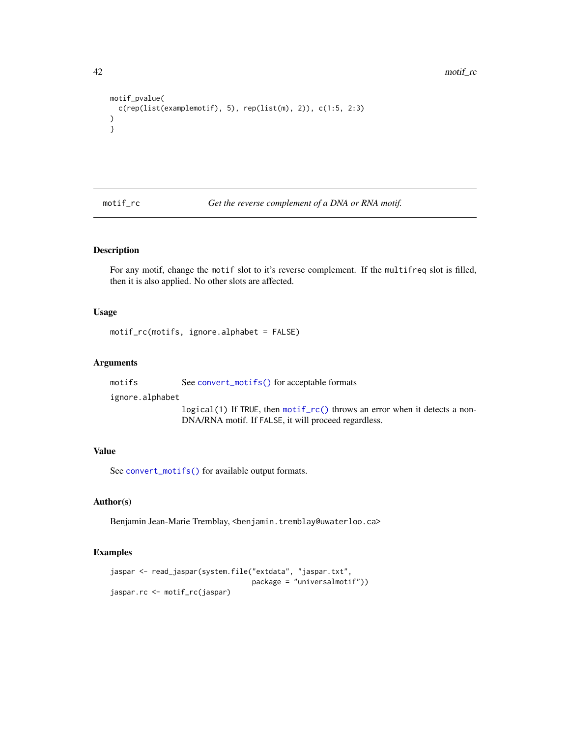```
motif_pvalue(
  c(rep(list(examplemotif), 5), rep(list(m), 2)), c(1:5, 2:3)
)
}
```
<span id="page-41-0"></span>motif\_rc *Get the reverse complement of a DNA or RNA motif.*

# Description

For any motif, change the motif slot to it's reverse complement. If the multifreq slot is filled, then it is also applied. No other slots are affected.

# Usage

motif\_rc(motifs, ignore.alphabet = FALSE)

# Arguments

motifs See [convert\\_motifs\(\)](#page-9-0) for acceptable formats

ignore.alphabet

logical(1) If TRUE, then [motif\\_rc\(\)](#page-41-0) throws an error when it detects a non-DNA/RNA motif. If FALSE, it will proceed regardless.

## Value

See [convert\\_motifs\(\)](#page-9-0) for available output formats.

# Author(s)

Benjamin Jean-Marie Tremblay, <benjamin.tremblay@uwaterloo.ca>

```
jaspar <- read_jaspar(system.file("extdata", "jaspar.txt",
                                  package = "universalmotif"))
jaspar.rc <- motif_rc(jaspar)
```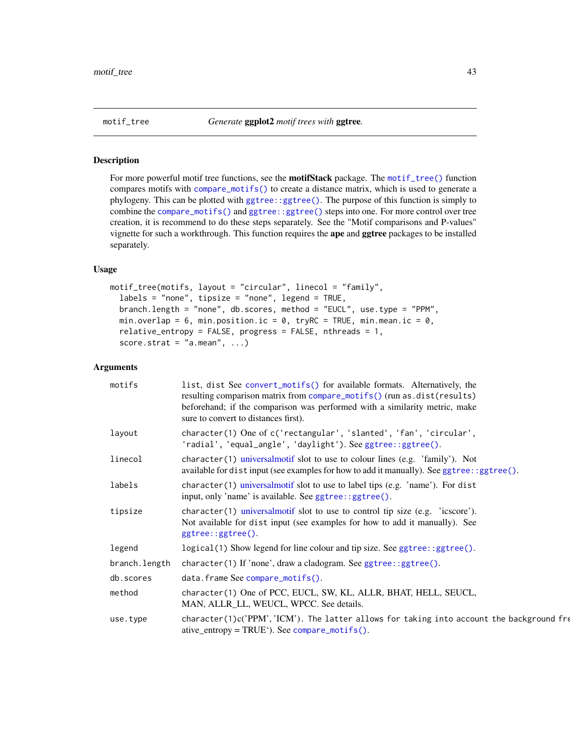<span id="page-42-0"></span>

For more powerful motif tree functions, see the **motifStack** package. The [motif\\_tree\(\)](#page-42-0) function compares motifs with [compare\\_motifs\(\)](#page-5-0) to create a distance matrix, which is used to generate a phylogeny. This can be plotted with [ggtree::ggtree\(\)](#page-0-0). The purpose of this function is simply to combine the [compare\\_motifs\(\)](#page-5-0) and [ggtree::ggtree\(\)](#page-0-0) steps into one. For more control over tree creation, it is recommend to do these steps separately. See the "Motif comparisons and P-values" vignette for such a workthrough. This function requires the ape and ggtree packages to be installed separately.

## Usage

```
motif_tree(motifs, layout = "circular", linecol = "family",
 labels = "none", tipsize = "none", legend = TRUE,branch.length = "none", db.scores, method = "EUCL", use.type = "PPM",
 min.overlap = 6, min.position.ic = 0, tryRC = TRUE, min.mean.ic = 0,
  relative_entropy = FALSE, progress = FALSE, nthreads = 1,
  score.strat = "a.mean", ...)
```
## Arguments

| motifs        | list, dist See convert_motifs() for available formats. Alternatively, the<br>resulting comparison matrix from compare_motifs() (run as.dist(results)<br>beforehand; if the comparison was performed with a similarity metric, make<br>sure to convert to distances first). |
|---------------|----------------------------------------------------------------------------------------------------------------------------------------------------------------------------------------------------------------------------------------------------------------------------|
| layout        | character(1) One of c('rectangular', 'slanted', 'fan', 'circular',<br>'radial', 'equal_angle', 'daylight'). See ggtree::ggtree().                                                                                                                                          |
| linecol       | character (1) universalmotif slot to use to colour lines (e.g. 'family'). Not<br>available for distinput (see examples for how to add it manually). See ggtree: : ggtree().                                                                                                |
| labels        | character(1) universalmotif slot to use to label tips (e.g. 'name'). For dist<br>input, only 'name' is available. See ggtree: : ggtree().                                                                                                                                  |
| tipsize       | $character(1)$ universalmotif slot to use to control tip size (e.g. 'icscore').<br>Not available for dist input (see examples for how to add it manually). See<br>ggtree::ggtree().                                                                                        |
| legend        | $logical(1)$ Show legend for line colour and tip size. See ggtree: :ggtree().                                                                                                                                                                                              |
| branch.length | character(1) If 'none', draw a cladogram. See ggtree::ggtree().                                                                                                                                                                                                            |
| db.scores     | data.frame See compare_motifs().                                                                                                                                                                                                                                           |
| method        | character(1) One of PCC, EUCL, SW, KL, ALLR, BHAT, HELL, SEUCL,<br>MAN, ALLR_LL, WEUCL, WPCC. See details.                                                                                                                                                                 |
| use.type      | $character(1)c('PPM', 'ICM').$ The latter allows for taking into account the background fre<br>$ative_entropy = TRUE$ ; See compare_motifs().                                                                                                                              |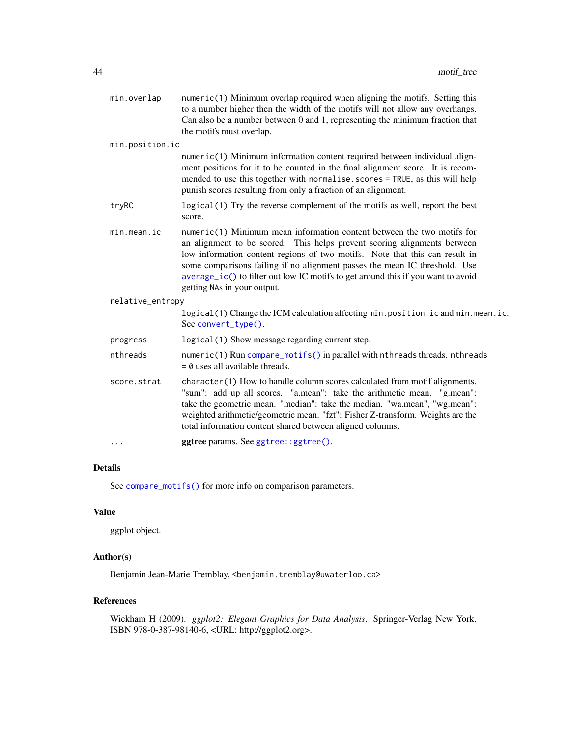| min.overlap      | numeric(1) Minimum overlap required when aligning the motifs. Setting this<br>to a number higher then the width of the motifs will not allow any overhangs.<br>Can also be a number between 0 and 1, representing the minimum fraction that                                                                                                                                                                                        |
|------------------|------------------------------------------------------------------------------------------------------------------------------------------------------------------------------------------------------------------------------------------------------------------------------------------------------------------------------------------------------------------------------------------------------------------------------------|
|                  | the motifs must overlap.                                                                                                                                                                                                                                                                                                                                                                                                           |
| min.position.ic  |                                                                                                                                                                                                                                                                                                                                                                                                                                    |
|                  | numeric(1) Minimum information content required between individual align-<br>ment positions for it to be counted in the final alignment score. It is recom-<br>mended to use this together with normalise.scores = TRUE, as this will help<br>punish scores resulting from only a fraction of an alignment.                                                                                                                        |
| tryRC            | logical (1) Try the reverse complement of the motifs as well, report the best<br>score.                                                                                                                                                                                                                                                                                                                                            |
| min. mean.       | numeric(1) Minimum mean information content between the two motifs for<br>an alignment to be scored. This helps prevent scoring alignments between<br>low information content regions of two motifs. Note that this can result in<br>some comparisons failing if no alignment passes the mean IC threshold. Use<br>average_ic() to filter out low IC motifs to get around this if you want to avoid<br>getting NAs in your output. |
| relative_entropy |                                                                                                                                                                                                                                                                                                                                                                                                                                    |
|                  | logical(1) Change the ICM calculation affecting min.position.ic and min.mean.ic.<br>See convert_type().                                                                                                                                                                                                                                                                                                                            |
| progress         | logical(1) Show message regarding current step.                                                                                                                                                                                                                                                                                                                                                                                    |
| nthreads         | numeric(1) Run compare_motifs() in parallel with nthreads threads. nthreads<br>$= 0$ uses all available threads.                                                                                                                                                                                                                                                                                                                   |
| score.strat      | character(1) How to handle column scores calculated from motif alignments.<br>"sum": add up all scores. "a.mean": take the arithmetic mean. "g.mean":<br>take the geometric mean. "median": take the median. "wa.mean", "wg.mean":<br>weighted arithmetic/geometric mean. "fzt": Fisher Z-transform. Weights are the<br>total information content shared between aligned columns.                                                  |
| $\cdots$         | ggtree params. See ggtree::ggtree().                                                                                                                                                                                                                                                                                                                                                                                               |
|                  |                                                                                                                                                                                                                                                                                                                                                                                                                                    |

# Details

See [compare\\_motifs\(\)](#page-5-0) for more info on comparison parameters.

# Value

ggplot object.

# Author(s)

Benjamin Jean-Marie Tremblay, <br/>benjamin.tremblay@uwaterloo.ca>

# References

Wickham H (2009). *ggplot2: Elegant Graphics for Data Analysis*. Springer-Verlag New York. ISBN 978-0-387-98140-6, <URL: http://ggplot2.org>.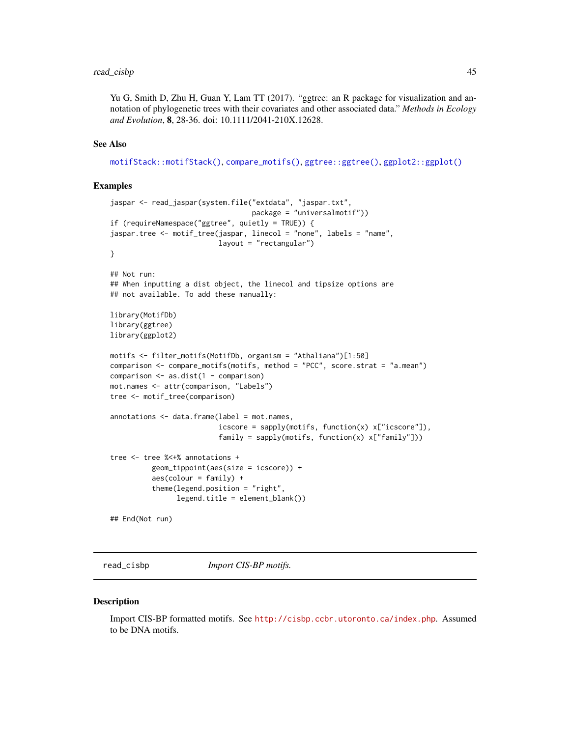# read\_cisbp 45

Yu G, Smith D, Zhu H, Guan Y, Lam TT (2017). "ggtree: an R package for visualization and annotation of phylogenetic trees with their covariates and other associated data." *Methods in Ecology and Evolution*, 8, 28-36. doi: 10.1111/2041-210X.12628.

# See Also

[motifStack::motifStack\(\)](#page-0-0), [compare\\_motifs\(\)](#page-5-0), [ggtree::ggtree\(\)](#page-0-0), [ggplot2::ggplot\(\)](#page-0-0)

### Examples

```
jaspar <- read_jaspar(system.file("extdata", "jaspar.txt",
                                  package = "universalmotif"))
if (requireNamespace("ggtree", quietly = TRUE)) {
jaspar.tree <- motif_tree(jaspar, linecol = "none", labels = "name",
                          layout = "rectangular")
}
## Not run:
## When inputting a dist object, the linecol and tipsize options are
## not available. To add these manually:
library(MotifDb)
library(ggtree)
library(ggplot2)
motifs <- filter_motifs(MotifDb, organism = "Athaliana")[1:50]
comparison <- compare_motifs(motifs, method = "PCC", score.strat = "a.mean")
comparison <- as.dist(1 - comparison)
mot.names <- attr(comparison, "Labels")
tree <- motif_tree(comparison)
annotations \leq data.frame(label = mot.names,
                          icscore = sapply(motifs, function(x) x["icscore"]),
                          family = sapply(motifs, function(x) x["family"]))
tree <- tree %<+% annotations +
          geom_tippoint(aes(size = icscore)) +
          aes(colour = family) +
          theme(legend.position = "right",
                legend.title = element_blank())
## End(Not run)
```
<span id="page-44-0"></span>read\_cisbp *Import CIS-BP motifs.*

### **Description**

Import CIS-BP formatted motifs. See <http://cisbp.ccbr.utoronto.ca/index.php>. Assumed to be DNA motifs.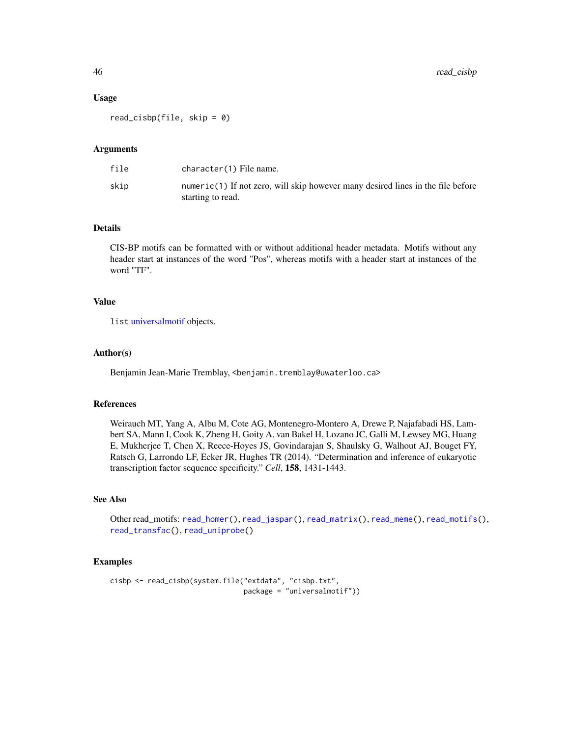### Usage

read\_cisbp(file, skip = 0)

### Arguments

| file | character(1) File name.                                                                              |
|------|------------------------------------------------------------------------------------------------------|
| skip | numeric(1) If not zero, will skip however many desired lines in the file before<br>starting to read. |

## Details

CIS-BP motifs can be formatted with or without additional header metadata. Motifs without any header start at instances of the word "Pos", whereas motifs with a header start at instances of the word "TF".

# Value

list [universalmotif](#page-70-0) objects.

### Author(s)

Benjamin Jean-Marie Tremblay, <benjamin.tremblay@uwaterloo.ca>

## References

Weirauch MT, Yang A, Albu M, Cote AG, Montenegro-Montero A, Drewe P, Najafabadi HS, Lambert SA, Mann I, Cook K, Zheng H, Goity A, van Bakel H, Lozano JC, Galli M, Lewsey MG, Huang E, Mukherjee T, Chen X, Reece-Hoyes JS, Govindarajan S, Shaulsky G, Walhout AJ, Bouget FY, Ratsch G, Larrondo LF, Ecker JR, Hughes TR (2014). "Determination and inference of eukaryotic transcription factor sequence specificity." *Cell*, 158, 1431-1443.

# See Also

Other read\_motifs: [read\\_homer\(](#page-46-0)), [read\\_jaspar\(](#page-47-0)), [read\\_matrix\(](#page-48-0)), [read\\_meme\(](#page-49-0)), [read\\_motifs\(](#page-50-0)), [read\\_transfac\(](#page-51-0)), [read\\_uniprobe\(](#page-52-0))

```
cisbp <- read_cisbp(system.file("extdata", "cisbp.txt",
                               package = "universalmotif"))
```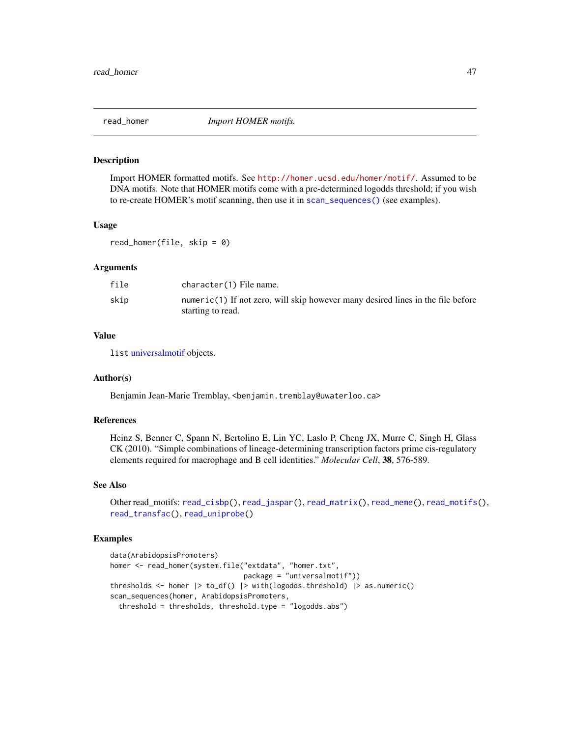<span id="page-46-0"></span>

Import HOMER formatted motifs. See <http://homer.ucsd.edu/homer/motif/>. Assumed to be DNA motifs. Note that HOMER motifs come with a pre-determined logodds threshold; if you wish to re-create HOMER's motif scanning, then use it in [scan\\_sequences\(\)](#page-57-0) (see examples).

# Usage

read\_homer(file, skip = 0)

### Arguments

| file | character(1) File name.                                                                              |
|------|------------------------------------------------------------------------------------------------------|
| skip | numeric(1) If not zero, will skip however many desired lines in the file before<br>starting to read. |

# Value

list [universalmotif](#page-70-0) objects.

### Author(s)

Benjamin Jean-Marie Tremblay, <br />benjamin.tremblay@uwaterloo.ca>

# References

Heinz S, Benner C, Spann N, Bertolino E, Lin YC, Laslo P, Cheng JX, Murre C, Singh H, Glass CK (2010). "Simple combinations of lineage-determining transcription factors prime cis-regulatory elements required for macrophage and B cell identities." *Molecular Cell*, 38, 576-589.

### See Also

```
Other read_motifs: read_cisbp(), read_jaspar(), read_matrix(), read_meme(), read_motifs(),
read_transfac(), read_uniprobe()
```

```
data(ArabidopsisPromoters)
homer <- read_homer(system.file("extdata", "homer.txt",
                               package = "universalmotif"))
thresholds <- homer |> to_df() |> with(logodds.threshold) |> as.numeric()
scan_sequences(homer, ArabidopsisPromoters,
 threshold = thresholds, threshold.type = "logodds.abs")
```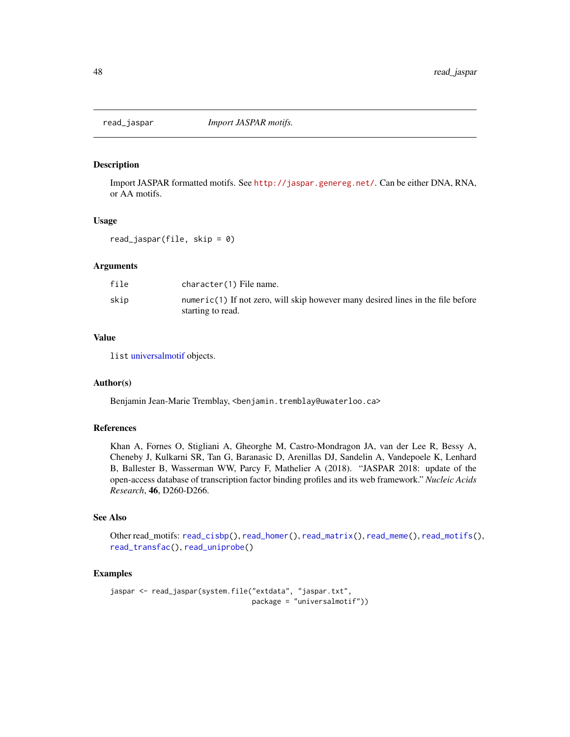<span id="page-47-0"></span>

Import JASPAR formatted motifs. See <http://jaspar.genereg.net/>. Can be either DNA, RNA, or AA motifs.

### Usage

read\_jaspar(file, skip = 0)

# Arguments

| file | character(1) File name.                                                                              |
|------|------------------------------------------------------------------------------------------------------|
| skip | numeric(1) If not zero, will skip however many desired lines in the file before<br>starting to read. |

# Value

list [universalmotif](#page-70-0) objects.

## Author(s)

Benjamin Jean-Marie Tremblay, <benjamin.tremblay@uwaterloo.ca>

### References

Khan A, Fornes O, Stigliani A, Gheorghe M, Castro-Mondragon JA, van der Lee R, Bessy A, Cheneby J, Kulkarni SR, Tan G, Baranasic D, Arenillas DJ, Sandelin A, Vandepoele K, Lenhard B, Ballester B, Wasserman WW, Parcy F, Mathelier A (2018). "JASPAR 2018: update of the open-access database of transcription factor binding profiles and its web framework." *Nucleic Acids Research*, 46, D260-D266.

# See Also

Other read\_motifs: [read\\_cisbp\(](#page-44-0)), [read\\_homer\(](#page-46-0)), [read\\_matrix\(](#page-48-0)), [read\\_meme\(](#page-49-0)), [read\\_motifs\(](#page-50-0)), [read\\_transfac\(](#page-51-0)), [read\\_uniprobe\(](#page-52-0))

```
jaspar <- read_jaspar(system.file("extdata", "jaspar.txt",
                                 package = "universalmotif"))
```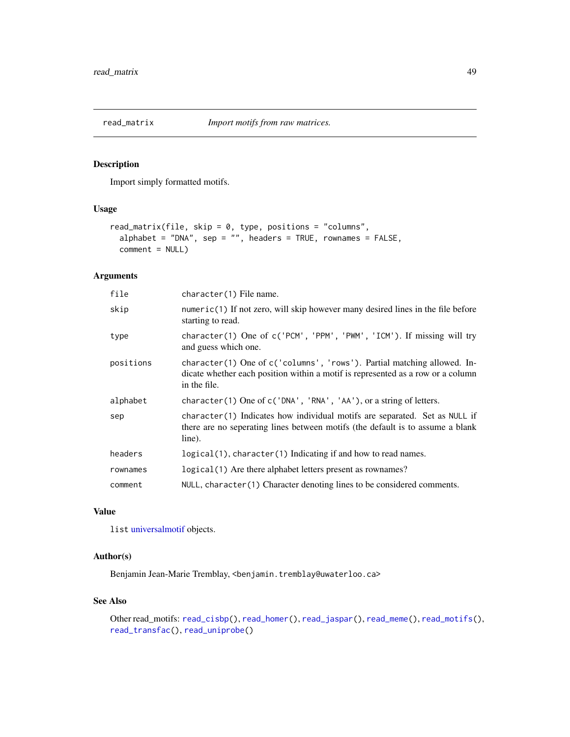<span id="page-48-0"></span>

Import simply formatted motifs.

## Usage

```
read_matrix(file, skip = 0, type, positions = "columns",
  alphabet = "DNA", sep = "", headers = TRUE, rownames = FALSE,
 comment = NULL)
```
# Arguments

| file      | character(1) File name.                                                                                                                                                    |
|-----------|----------------------------------------------------------------------------------------------------------------------------------------------------------------------------|
| skip      | $numeric(1)$ If not zero, will skip however many desired lines in the file before<br>starting to read.                                                                     |
| type      | character(1) One of c('PCM', 'PPM', 'PWM', 'ICM'). If missing will try<br>and guess which one.                                                                             |
| positions | character(1) One of c('columns', 'rows'). Partial matching allowed. In-<br>dicate whether each position within a motif is represented as a row or a column<br>in the file. |
| alphabet  | character(1) One of c('DNA', 'RNA', 'AA'), or a string of letters.                                                                                                         |
| sep       | character(1) Indicates how individual motifs are separated. Set as NULL if<br>there are no seperating lines between motifs (the default is to assume a blank<br>line).     |
| headers   | $logical(1)$ , character(1) Indicating if and how to read names.                                                                                                           |
| rownames  | logical(1) Are there alphabet letters present as rownames?                                                                                                                 |
| comment   | NULL, character(1) Character denoting lines to be considered comments.                                                                                                     |

## Value

list [universalmotif](#page-70-0) objects.

# Author(s)

Benjamin Jean-Marie Tremblay, <benjamin.tremblay@uwaterloo.ca>

## See Also

```
Other read_motifs: read_cisbp(), read_homer(), read_jaspar(), read_meme(), read_motifs(),
read_transfac(), read_uniprobe()
```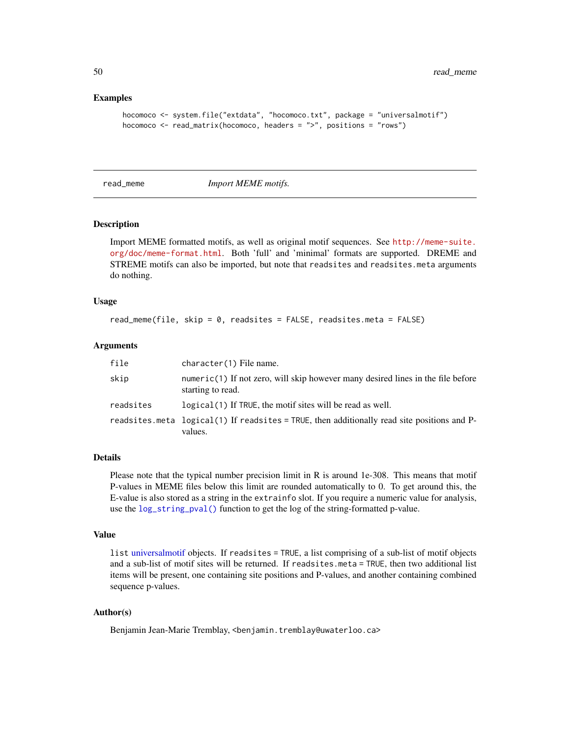### Examples

```
hocomoco <- system.file("extdata", "hocomoco.txt", package = "universalmotif")
hocomoco \leq read_matrix(hocomoco, headers = ">", positions = "rows")
```
<span id="page-49-0"></span>read\_meme *Import MEME motifs.*

# **Description**

Import MEME formatted motifs, as well as original motif sequences. See [http://meme-suite.](http://meme-suite.org/doc/meme-format.html) [org/doc/meme-format.html](http://meme-suite.org/doc/meme-format.html). Both 'full' and 'minimal' formats are supported. DREME and STREME motifs can also be imported, but note that readsites and readsites.meta arguments do nothing.

### Usage

```
read_meme(file, skip = 0, readsites = FALSE, readsites.meta = FALSE)
```
### Arguments

| file      | character(1) File name.                                                                                  |
|-----------|----------------------------------------------------------------------------------------------------------|
| skip      | $numeric(1)$ If not zero, will skip however many desired lines in the file before<br>starting to read.   |
| readsites | logical (1) If TRUE, the motif sites will be read as well.                                               |
|           | readsites meta $logical(1)$ If readsites = TRUE, then additionally read site positions and P-<br>values. |

## Details

Please note that the typical number precision limit in R is around 1e-308. This means that motif P-values in MEME files below this limit are rounded automatically to 0. To get around this, the E-value is also stored as a string in the extrainfo slot. If you require a numeric value for analysis, use the [log\\_string\\_pval\(\)](#page-75-0) function to get the log of the string-formatted p-value.

### Value

list [universalmotif](#page-70-0) objects. If readsites = TRUE, a list comprising of a sub-list of motif objects and a sub-list of motif sites will be returned. If readsites.meta = TRUE, then two additional list items will be present, one containing site positions and P-values, and another containing combined sequence p-values.

## Author(s)

Benjamin Jean-Marie Tremblay, <benjamin.tremblay@uwaterloo.ca>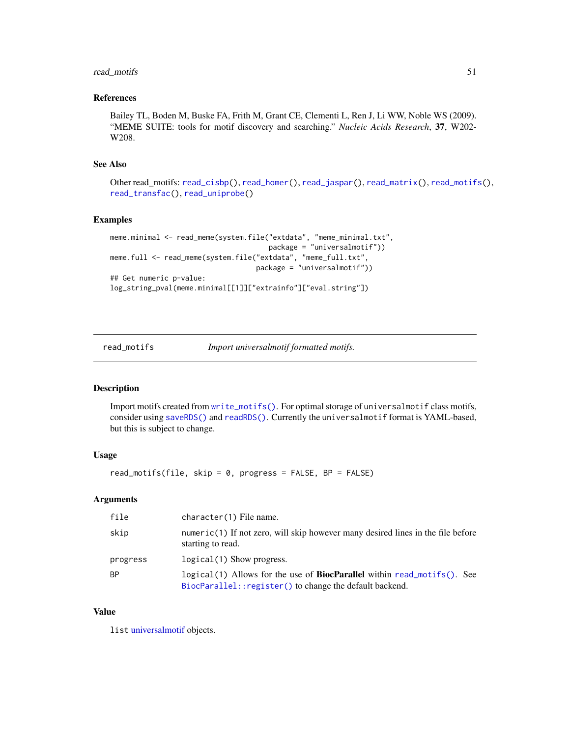# read\_motifs 51

# References

Bailey TL, Boden M, Buske FA, Frith M, Grant CE, Clementi L, Ren J, Li WW, Noble WS (2009). "MEME SUITE: tools for motif discovery and searching." *Nucleic Acids Research*, 37, W202- W208.

# See Also

Other read\_motifs: [read\\_cisbp\(](#page-44-0)), [read\\_homer\(](#page-46-0)), [read\\_jaspar\(](#page-47-0)), [read\\_matrix\(](#page-48-0)), [read\\_motifs\(](#page-50-0)), [read\\_transfac\(](#page-51-0)), [read\\_uniprobe\(](#page-52-0))

# Examples

```
meme.minimal <- read_meme(system.file("extdata", "meme_minimal.txt",
                                      package = "universalmotif"))
meme.full <- read_meme(system.file("extdata", "meme_full.txt",
                                   package = "universalmotif"))
## Get numeric p-value:
log_string_pval(meme.minimal[[1]]["extrainfo"]["eval.string"])
```
<span id="page-50-0"></span>read\_motifs *Import universalmotif formatted motifs.*

## Description

Import motifs created from [write\\_motifs\(\)](#page-95-0). For optimal storage of universalmotif class motifs, consider using [saveRDS\(\)](#page-0-0) and [readRDS\(\)](#page-0-0). Currently the universalmotif format is YAML-based, but this is subject to change.

# Usage

read\_motifs(file, skip = 0, progress = FALSE, BP = FALSE)

### Arguments

| file      | character(1) File name.                                                                                                                    |
|-----------|--------------------------------------------------------------------------------------------------------------------------------------------|
| skip      | $numeric(1)$ If not zero, will skip however many desired lines in the file before<br>starting to read.                                     |
| progress  | logical(1) Show progress.                                                                                                                  |
| <b>BP</b> | logical(1) Allows for the use of <b>BiocParallel</b> within read_motifs(). See<br>BiocParallel:: register() to change the default backend. |

### Value

list [universalmotif](#page-70-0) objects.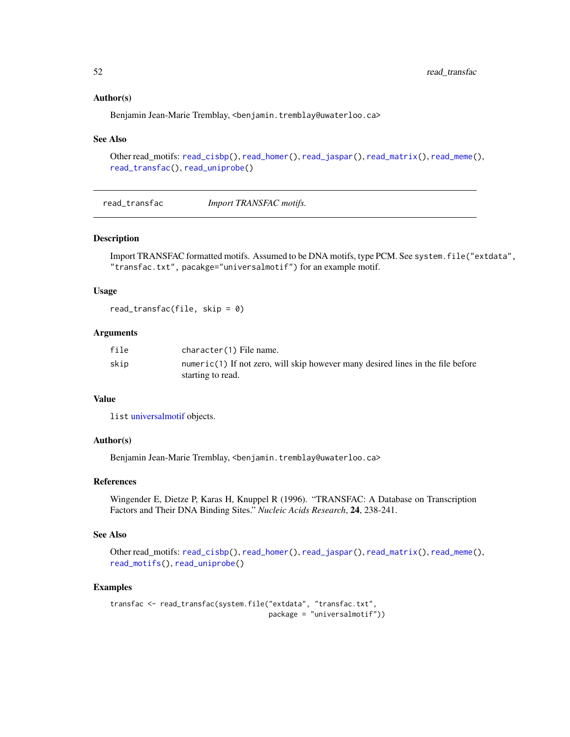## Author(s)

Benjamin Jean-Marie Tremblay, <benjamin.tremblay@uwaterloo.ca>

### See Also

```
Other read_motifs: read_cisbp(), read_homer(), read_jaspar(), read_matrix(), read_meme(),
read_transfac(), read_uniprobe()
```
<span id="page-51-0"></span>read\_transfac *Import TRANSFAC motifs.*

### Description

Import TRANSFAC formatted motifs. Assumed to be DNA motifs, type PCM. See system.file("extdata", "transfac.txt", pacakge="universalmotif") for an example motif.

## Usage

read\_transfac(file, skip =  $0$ )

# Arguments

| file | character(1) File name.                                                         |
|------|---------------------------------------------------------------------------------|
| skip | numeric(1) If not zero, will skip however many desired lines in the file before |
|      | starting to read.                                                               |

# Value

list [universalmotif](#page-70-0) objects.

# Author(s)

Benjamin Jean-Marie Tremblay, <benjamin.tremblay@uwaterloo.ca>

# References

Wingender E, Dietze P, Karas H, Knuppel R (1996). "TRANSFAC: A Database on Transcription Factors and Their DNA Binding Sites." *Nucleic Acids Research*, 24, 238-241.

## See Also

```
Other read_motifs: read_cisbp(), read_homer(), read_jaspar(), read_matrix(), read_meme(),
read_motifs(), read_uniprobe()
```

```
transfac <- read_transfac(system.file("extdata", "transfac.txt",
                                     package = "universalmotif"))
```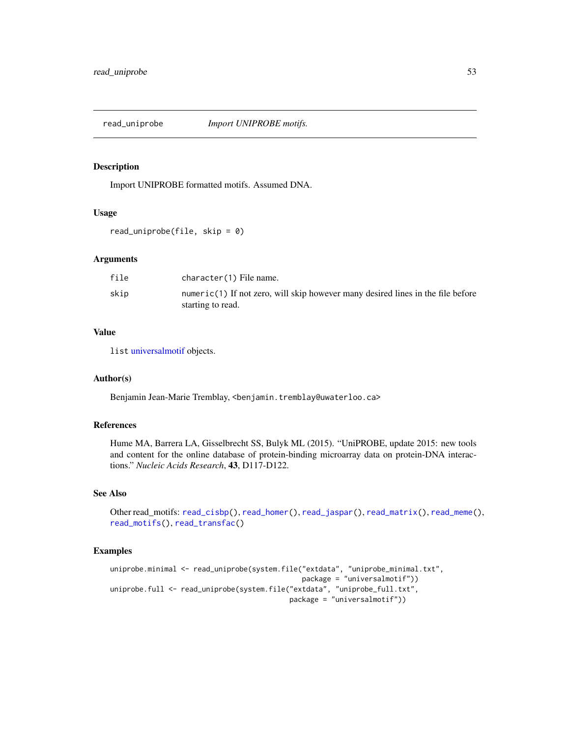<span id="page-52-0"></span>

Import UNIPROBE formatted motifs. Assumed DNA.

## Usage

read\_uniprobe(file, skip = 0)

## Arguments

| file | character(1) File name.                                                                              |
|------|------------------------------------------------------------------------------------------------------|
| skip | numeric(1) If not zero, will skip however many desired lines in the file before<br>starting to read. |

## Value

list [universalmotif](#page-70-0) objects.

# Author(s)

Benjamin Jean-Marie Tremblay, <benjamin.tremblay@uwaterloo.ca>

# References

Hume MA, Barrera LA, Gisselbrecht SS, Bulyk ML (2015). "UniPROBE, update 2015: new tools and content for the online database of protein-binding microarray data on protein-DNA interactions." *Nucleic Acids Research*, 43, D117-D122.

### See Also

Other read\_motifs: [read\\_cisbp\(](#page-44-0)), [read\\_homer\(](#page-46-0)), [read\\_jaspar\(](#page-47-0)), [read\\_matrix\(](#page-48-0)), [read\\_meme\(](#page-49-0)), [read\\_motifs\(](#page-50-0)), [read\\_transfac\(](#page-51-0))

```
uniprobe.minimal <- read_uniprobe(system.file("extdata", "uniprobe_minimal.txt",
                                              package = "universalmotif"))
uniprobe.full <- read_uniprobe(system.file("extdata", "uniprobe_full.txt",
                                           package = "universalmotif"))
```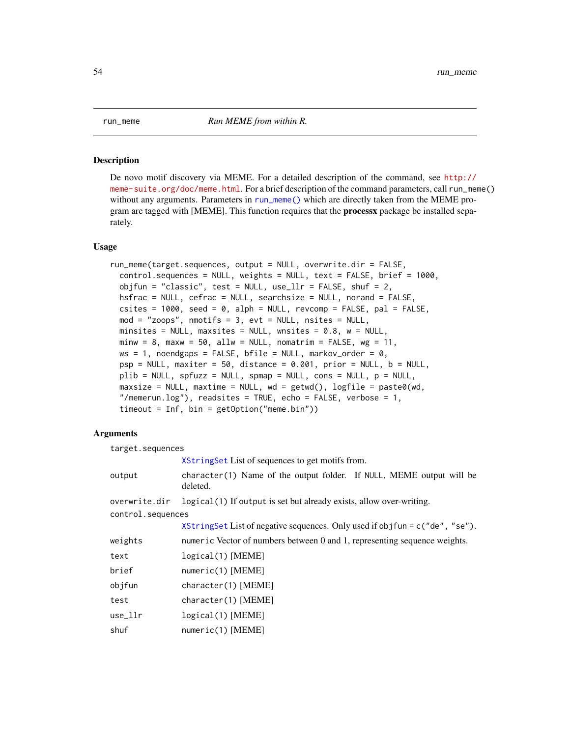<span id="page-53-0"></span>De novo motif discovery via MEME. For a detailed description of the command, see [http://](http://meme-suite.org/doc/meme.html) [meme-suite.org/doc/meme.html](http://meme-suite.org/doc/meme.html). For a brief description of the command parameters, call run\_meme() without any arguments. Parameters in [run\\_meme\(\)](#page-53-0) which are directly taken from the MEME program are tagged with [MEME]. This function requires that the **processx** package be installed separately.

### Usage

```
run_meme(target.sequences, output = NULL, overwrite.dir = FALSE,
 control.sequences = NULL, weights = NULL, text = FALSE, brief = 1000,
 objfun = "classic", test = NULL, use_llr = FALSE, shuf = 2,
 hsfrac = NULL, cefrac = NULL, searchsize = NULL, norand = FALSE,
 csites = 1000, seed = 0, alph = NULL, revcomp = FALSE, pal = FALSE,
 mod = "z oops", nmotifs = 3, evt = NULL, nsites = NULL,
 minsites = NULL, maxsites = NULL, wnsites = 0.8, w = NULL,
 minw = 8, maxw = 50, allw = NULL, nomatrix = FALSE, wg = 11,
 ws = 1, noendgaps = FALSE, bfile = NULL, markov_order = 0,
 psp = NULL, maxiter = 50, distance = 0.001, prior = NULL, b = NULL,
 plib = NULL, spruzz = NULL, smap = NULL, cons = NULL, p = NULL,
 maxsize = NULL, maxtime = NULL, wd = getwd(), logfile = past@(wd),
 "/memerun.log"), readsites = TRUE, echo = FALSE, verbose = 1,
 timeout = Inf, bin = getOption("meme.bin"))
```
# Arguments

| target.sequences  |                                                                                    |  |
|-------------------|------------------------------------------------------------------------------------|--|
|                   | XStringSet List of sequences to get motifs from.                                   |  |
| output            | $character(1)$ Name of the output folder. If NULL, MEME output will be<br>deleted. |  |
| overwrite.dir     | logical (1) If output is set but already exists, allow over-writing.               |  |
| control.sequences |                                                                                    |  |
|                   | XStringSet List of negative sequences. Only used if objfun = $c$ ("de", "se").     |  |
| weights           | numeric Vector of numbers between 0 and 1, representing sequence weights.          |  |
| text              | $logical(1)$ [MEME]                                                                |  |
| brief             | numeric(1) [MEME]                                                                  |  |
| objfun            | character(1) [MEME]                                                                |  |
| test              | character(1) [MEME]                                                                |  |
| use_llr           | $logical(1)$ [MEME]                                                                |  |
| shuf              | $numeric(1)$ [MEME]                                                                |  |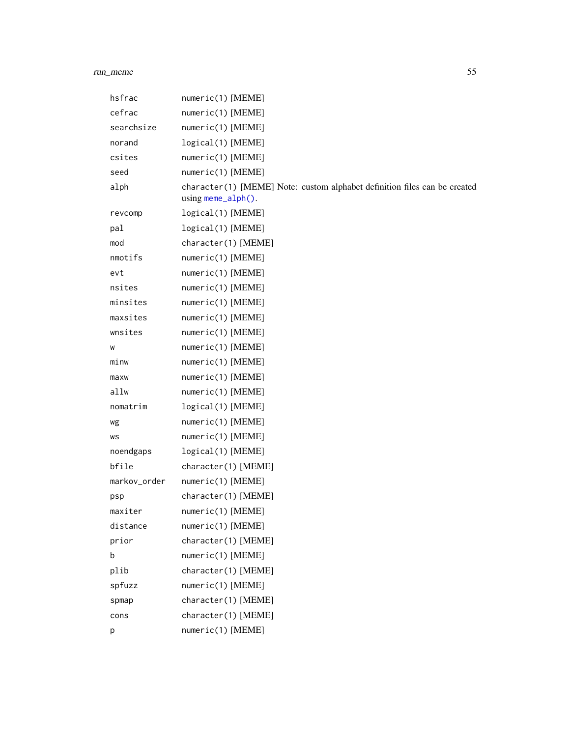# run\_meme 55

| numeric(1) [MEME]                                                                                 |
|---------------------------------------------------------------------------------------------------|
| numeric(1) [MEME]                                                                                 |
| numeric(1) [MEME]                                                                                 |
| logical(1) [MEME]                                                                                 |
| numeric(1) [MEME]                                                                                 |
| numeric(1) [MEME]                                                                                 |
| character(1) [MEME] Note: custom alphabet definition files can be created<br>$using$ meme_alph(). |
| logical(1) [MEME]                                                                                 |
| logical(1) [MEME]                                                                                 |
| character(1) [MEME]                                                                               |
| numeric(1) [MEME]                                                                                 |
| numeric(1) [MEME]                                                                                 |
| numeric(1) [MEME]                                                                                 |
| numeric(1) [MEME]                                                                                 |
| numeric(1) [MEME]                                                                                 |
| numeric(1) [MEME]                                                                                 |
| numeric(1) [MEME]                                                                                 |
| numeric(1) [MEME]                                                                                 |
| numeric(1) [MEME]                                                                                 |
| numeric(1) [MEME]                                                                                 |
| logical(1) [MEME]                                                                                 |
| numeric(1) [MEME]                                                                                 |
| numeric(1) [MEME]                                                                                 |
| logical(1) [MEME]                                                                                 |
| character(1) [MEME]                                                                               |
| numeric(1) [MEME]                                                                                 |
| character(1) [MEME]                                                                               |
| numeric(1) [MEME]                                                                                 |
| numeric(1) [MEME]                                                                                 |
| character(1) [MEME]                                                                               |
| $numeric(1)$ [MEME]                                                                               |
| character(1) [MEME]                                                                               |
| numeric(1) [MEME]                                                                                 |
| character(1) [MEME]                                                                               |
| character(1) [MEME]                                                                               |
| numeric(1) [MEME]                                                                                 |
|                                                                                                   |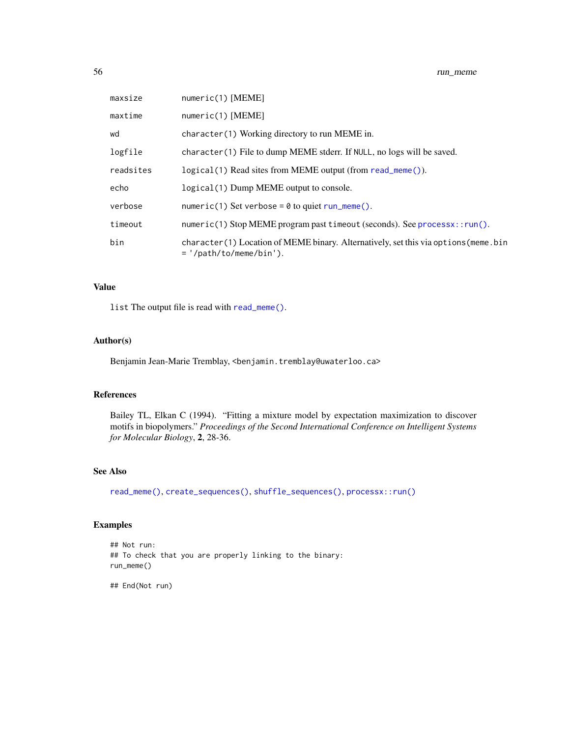| maxsize   | $numeric(1)$ [MEME]                                                                                                |
|-----------|--------------------------------------------------------------------------------------------------------------------|
| maxtime   | $numeric(1)$ [MEME]                                                                                                |
| wd        | character(1) Working directory to run MEME in.                                                                     |
| logfile   | character(1) File to dump MEME stderr. If NULL, no logs will be saved.                                             |
| readsites | logical(1) Read sites from MEME output (from read_meme()).                                                         |
| echo      | logical(1) Dump MEME output to console.                                                                            |
| verbose   | numeric(1) Set verbose = $\theta$ to quiet run_meme().                                                             |
| timeout   | numeric(1) Stop MEME program past timeout (seconds). See processx::run().                                          |
| bin       | character (1) Location of MEME binary. Alternatively, set this via options (meme. bin<br>$=$ '/path/to/meme/bin'). |

# Value

list The output file is read with [read\\_meme\(\)](#page-49-0).

## Author(s)

Benjamin Jean-Marie Tremblay, <br/>benjamin.tremblay@uwaterloo.ca>

# References

Bailey TL, Elkan C (1994). "Fitting a mixture model by expectation maximization to discover motifs in biopolymers." *Proceedings of the Second International Conference on Intelligent Systems for Molecular Biology*, 2, 28-36.

# See Also

[read\\_meme\(\)](#page-49-0), [create\\_sequences\(\)](#page-20-0), [shuffle\\_sequences\(\)](#page-65-0), [processx::run\(\)](#page-0-0)

# Examples

```
## Not run:
## To check that you are properly linking to the binary:
run_meme()
```
## End(Not run)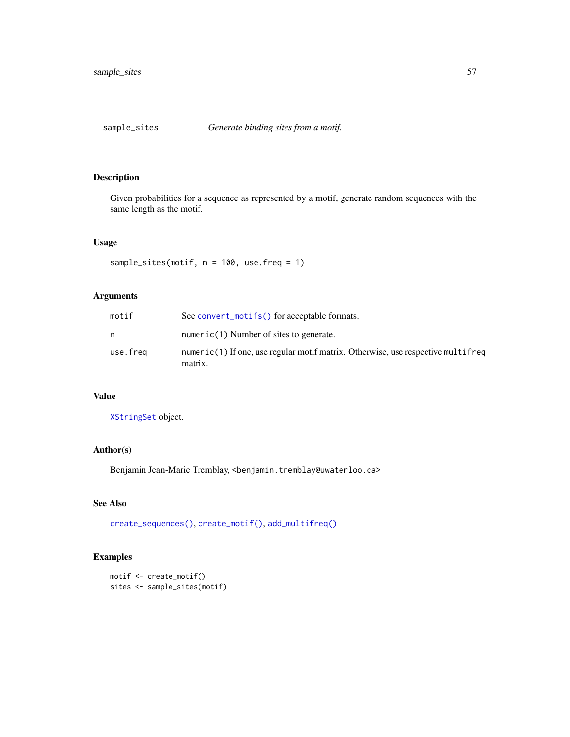Given probabilities for a sequence as represented by a motif, generate random sequences with the same length as the motif.

## Usage

sample\_sites(motif, n = 100, use.freq = 1)

# Arguments

| motif    | See convert_motifs() for acceptable formats.                                                |
|----------|---------------------------------------------------------------------------------------------|
| n        | numeric(1) Number of sites to generate.                                                     |
| use.freq | numeric(1) If one, use regular motif matrix. Otherwise, use respective multifreq<br>matrix. |

## Value

[XStringSet](#page-0-0) object.

# Author(s)

Benjamin Jean-Marie Tremblay, <benjamin.tremblay@uwaterloo.ca>

# See Also

[create\\_sequences\(\)](#page-20-0), [create\\_motif\(\)](#page-15-0), [add\\_multifreq\(\)](#page-2-0)

```
motif <- create_motif()
sites <- sample_sites(motif)
```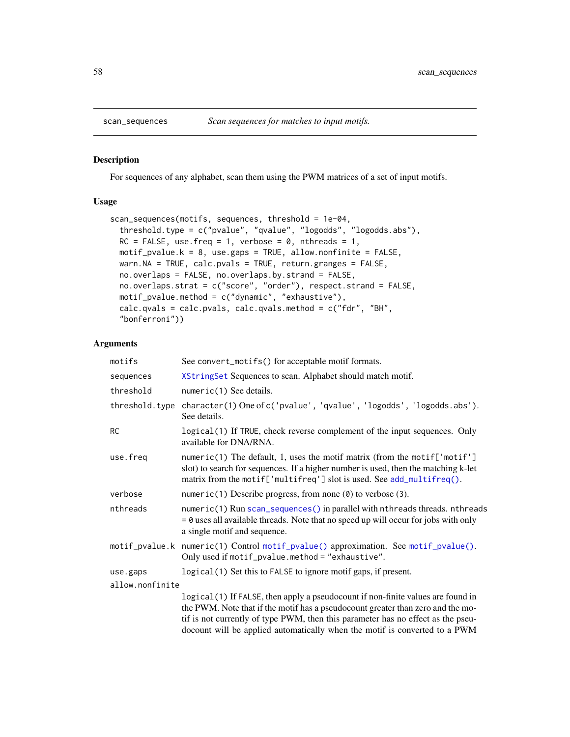For sequences of any alphabet, scan them using the PWM matrices of a set of input motifs.

## Usage

```
scan_sequences(motifs, sequences, threshold = 1e-04,
  threshold.type = c("pvalue", "qvalue", "logodds", "logodds.abs"),
 RC = FALSE, use.freq = 1, verbose = 0, nthreads = 1,
 motif_pvalue.k = 8, use.gaps = TRUE, allow.nonfinite = FALSE,
 warn.NA = TRUE, calc.pvals = TRUE, return.granges = FALSE,
 no.overlaps = FALSE, no.overlaps.by.strand = FALSE,
 no.overlaps.strat = c("score", "order"), respect.strand = FALSE,
 motif_pvalue.method = c("dynamic", "exhaustive"),
 calc.qvals = calc.pvals, calc.qvals.method = c("fdr", "BH",
  "bonferroni"))
```
# Arguments

| motifs          | See convert_motifs() for acceptable motif formats.                                                                                                                                                                                                     |  |
|-----------------|--------------------------------------------------------------------------------------------------------------------------------------------------------------------------------------------------------------------------------------------------------|--|
| sequences       | XStringSet Sequences to scan. Alphabet should match motif.                                                                                                                                                                                             |  |
| threshold       | numeric(1) See details.                                                                                                                                                                                                                                |  |
| threshold.type  | character(1) One of c('pvalue', 'qvalue', 'logodds', 'logodds.abs').<br>See details.                                                                                                                                                                   |  |
| <b>RC</b>       | logical(1) If TRUE, check reverse complement of the input sequences. Only<br>available for DNA/RNA.                                                                                                                                                    |  |
| use.freq        | numeric(1) The default, 1, uses the motif matrix (from the motif['motif']<br>slot) to search for sequences. If a higher number is used, then the matching k-let<br>matrix from the motif['multifreq'] slot is used. See add_multifreq().               |  |
| verbose         | numeric(1) Describe progress, from none $(\theta)$ to verbose (3).                                                                                                                                                                                     |  |
| nthreads        | numeric(1) Run scan_sequences() in parallel with nthreads threads. nthreads<br>$= 0$ uses all available threads. Note that no speed up will occur for jobs with only<br>a single motif and sequence.                                                   |  |
|                 | motif_pvalue.k numeric(1) Control motif_pvalue() approximation. See motif_pvalue().<br>Only used if motif_pvalue.method = "exhaustive".                                                                                                                |  |
| use.gaps        | logical (1) Set this to FALSE to ignore motif gaps, if present.                                                                                                                                                                                        |  |
| allow.nonfinite |                                                                                                                                                                                                                                                        |  |
|                 | logical(1) If FALSE, then apply a pseudocount if non-finite values are found in<br>the PWM. Note that if the motif has a pseudocount greater than zero and the mo-<br>tif is not currently of type PWM, then this parameter has no effect as the pseu- |  |

tif is not currently of type PWM, then this parameter has no effect as the pseudocount will be applied automatically when the motif is converted to a PWM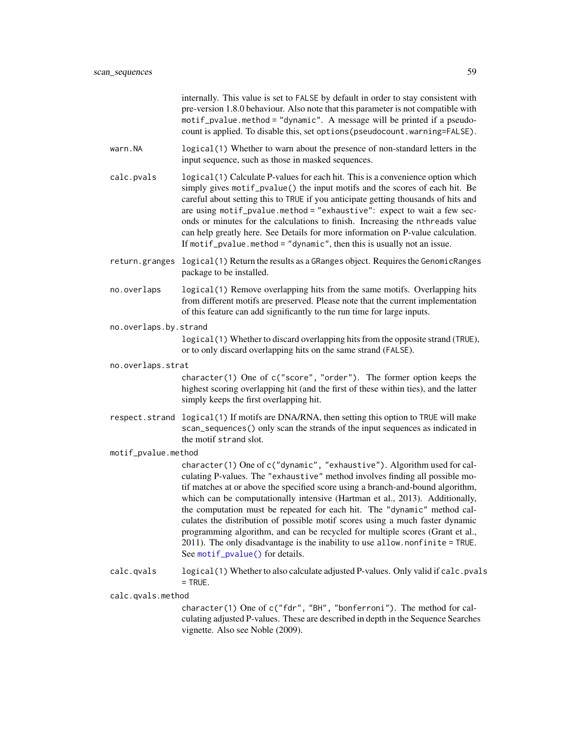| internally. This value is set to FALSE by default in order to stay consistent with |
|------------------------------------------------------------------------------------|
| pre-version 1.8.0 behaviour. Also note that this parameter is not compatible with  |
| motif_pvalue.method = "dynamic". A message will be printed if a pseudo-            |
| count is applied. To disable this, set options (pseudocount warning=FALSE).        |
|                                                                                    |

- warn.NA logical(1) Whether to warn about the presence of non-standard letters in the input sequence, such as those in masked sequences.
- calc.pvals logical(1) Calculate P-values for each hit. This is a convenience option which simply gives motif\_pvalue() the input motifs and the scores of each hit. Be careful about setting this to TRUE if you anticipate getting thousands of hits and are using motif\_pvalue.method = "exhaustive": expect to wait a few seconds or minutes for the calculations to finish. Increasing the nthreads value can help greatly here. See Details for more information on P-value calculation. If motif\_pvalue.method = "dynamic", then this is usually not an issue.
- return.granges logical(1) Return the results as a GRanges object. Requires the GenomicRanges package to be installed.
- no.overlaps logical(1) Remove overlapping hits from the same motifs. Overlapping hits from different motifs are preserved. Please note that the current implementation of this feature can add significantly to the run time for large inputs.
- no.overlaps.by.strand

logical(1) Whether to discard overlapping hits from the opposite strand (TRUE), or to only discard overlapping hits on the same strand (FALSE).

no.overlaps.strat

character(1) One of c("score", "order"). The former option keeps the highest scoring overlapping hit (and the first of these within ties), and the latter simply keeps the first overlapping hit.

respect.strand logical(1) If motifs are DNA/RNA, then setting this option to TRUE will make scan\_sequences() only scan the strands of the input sequences as indicated in the motif strand slot.

## motif\_pvalue.method

character(1) One of c("dynamic", "exhaustive"). Algorithm used for calculating P-values. The "exhaustive" method involves finding all possible motif matches at or above the specified score using a branch-and-bound algorithm, which can be computationally intensive (Hartman et al., 2013). Additionally, the computation must be repeated for each hit. The "dynamic" method calculates the distribution of possible motif scores using a much faster dynamic programming algorithm, and can be recycled for multiple scores (Grant et al., 2011). The only disadvantage is the inability to use allow.nonfinite = TRUE. See [motif\\_pvalue\(\)](#page-37-0) for details.

calc.qvals logical(1) Whether to also calculate adjusted P-values. Only valid if calc.pvals  $=$  TRUE.

calc.qvals.method

character(1) One of c("fdr", "BH", "bonferroni"). The method for calculating adjusted P-values. These are described in depth in the Sequence Searches vignette. Also see Noble (2009).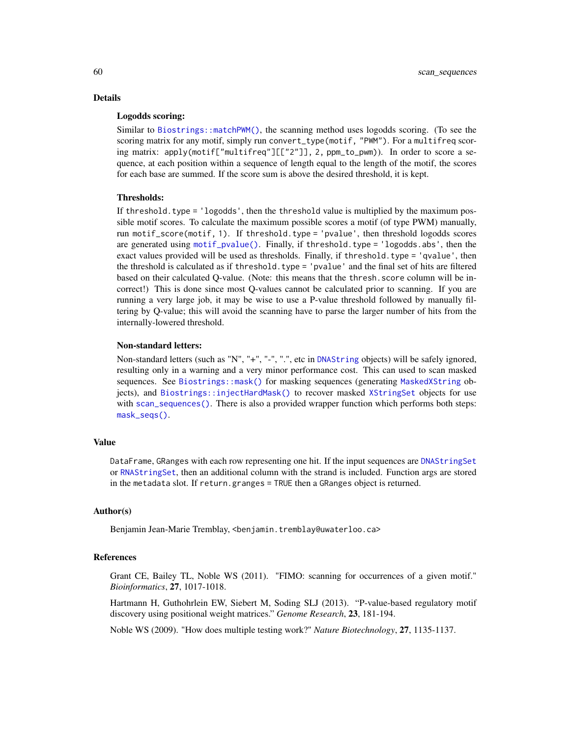# Details

# Logodds scoring:

Similar to [Biostrings::matchPWM\(\)](#page-0-0), the scanning method uses logodds scoring. (To see the scoring matrix for any motif, simply run convert\_type(motif, "PWM"). For a multifreq scoring matrix: apply(motif["multifreq"][["2"]], 2, ppm\_to\_pwm)). In order to score a sequence, at each position within a sequence of length equal to the length of the motif, the scores for each base are summed. If the score sum is above the desired threshold, it is kept.

### Thresholds:

If threshold, type  $=$  'logodds', then the threshold value is multiplied by the maximum possible motif scores. To calculate the maximum possible scores a motif (of type PWM) manually, run motif\_score(motif, 1). If threshold.type = 'pvalue', then threshold logodds scores are generated using [motif\\_pvalue\(\)](#page-37-0). Finally, if threshold.type = 'logodds.abs', then the exact values provided will be used as thresholds. Finally, if threshold.type = 'qvalue', then the threshold is calculated as if threshold.type = 'pvalue' and the final set of hits are filtered based on their calculated Q-value. (Note: this means that the thresh.score column will be incorrect!) This is done since most Q-values cannot be calculated prior to scanning. If you are running a very large job, it may be wise to use a P-value threshold followed by manually filtering by Q-value; this will avoid the scanning have to parse the larger number of hits from the internally-lowered threshold.

## Non-standard letters:

Non-standard letters (such as "N", "+", "-", ".", etc in [DNAString](#page-0-0) objects) will be safely ignored, resulting only in a warning and a very minor performance cost. This can used to scan masked sequences. See [Biostrings::mask\(\)](#page-0-0) for masking sequences (generating [MaskedXString](#page-0-0) objects), and [Biostrings::injectHardMask\(\)](#page-0-0) to recover masked [XStringSet](#page-0-0) objects for use with [scan\\_sequences\(\)](#page-57-0). There is also a provided wrapper function which performs both steps: [mask\\_seqs\(\)](#page-82-0).

### Value

DataFrame, GRanges with each row representing one hit. If the input sequences are [DNAStringSet](#page-0-0) or [RNAStringSet](#page-0-0), then an additional column with the strand is included. Function args are stored in the metadata slot. If return.granges = TRUE then a GRanges object is returned.

## Author(s)

Benjamin Jean-Marie Tremblay, <benjamin.tremblay@uwaterloo.ca>

## References

Grant CE, Bailey TL, Noble WS (2011). "FIMO: scanning for occurrences of a given motif." *Bioinformatics*, 27, 1017-1018.

Hartmann H, Guthohrlein EW, Siebert M, Soding SLJ (2013). "P-value-based regulatory motif discovery using positional weight matrices." *Genome Research*, 23, 181-194.

Noble WS (2009). "How does multiple testing work?" *Nature Biotechnology*, 27, 1135-1137.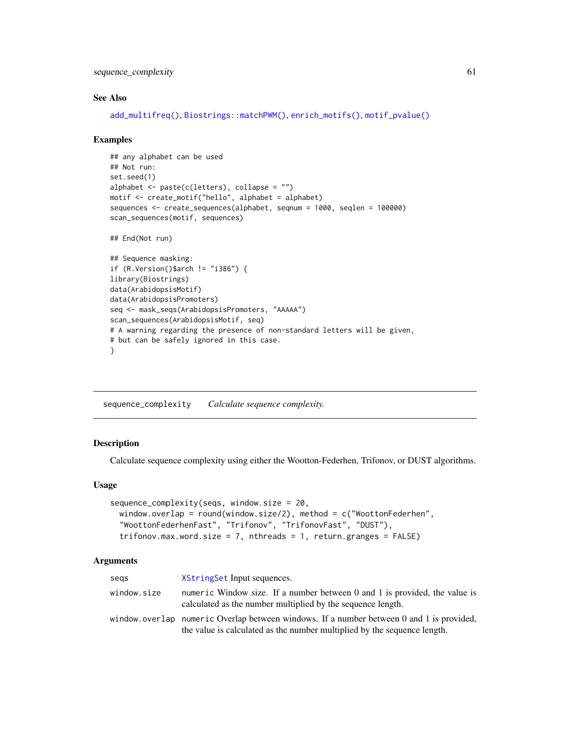sequence\_complexity 61

### See Also

```
add_multifreq(), Biostrings::matchPWM(), enrich_motifs(), motif_pvalue()
```
### Examples

```
## any alphabet can be used
## Not run:
set.seed(1)
alphabet <- paste(c(letters), collapse = "")
motif <- create_motif("hello", alphabet = alphabet)
sequences <- create_sequences(alphabet, seqnum = 1000, seqlen = 100000)
scan_sequences(motif, sequences)
## End(Not run)
## Sequence masking:
if (R.Version()$arch != "i386") {
library(Biostrings)
data(ArabidopsisMotif)
data(ArabidopsisPromoters)
seq <- mask_seqs(ArabidopsisPromoters, "AAAAA")
scan_sequences(ArabidopsisMotif, seq)
# A warning regarding the presence of non-standard letters will be given,
# but can be safely ignored in this case.
```
<span id="page-60-0"></span>sequence\_complexity *Calculate sequence complexity.*

## Description

}

Calculate sequence complexity using either the Wootton-Federhen, Trifonov, or DUST algorithms.

### Usage

```
sequence_complexity(seqs, window.size = 20,
 window.overlap = round(window.size/2), method = c("WoottonFederhen",
  "WoottonFederhenFast", "Trifonov", "TrifonovFast", "DUST"),
  trifonov.max.word.size = 7, nthreads = 1, return.granges = FALSE)
```
### Arguments

| segs        | XStringSet Input sequences.                                                                                                                                               |
|-------------|---------------------------------------------------------------------------------------------------------------------------------------------------------------------------|
| window.size | numeric Window size. If a number between 0 and 1 is provided, the value is<br>calculated as the number multiplied by the sequence length.                                 |
|             | window, overlap numeric Overlap between windows. If a number between $0$ and $1$ is provided,<br>the value is calculated as the number multiplied by the sequence length. |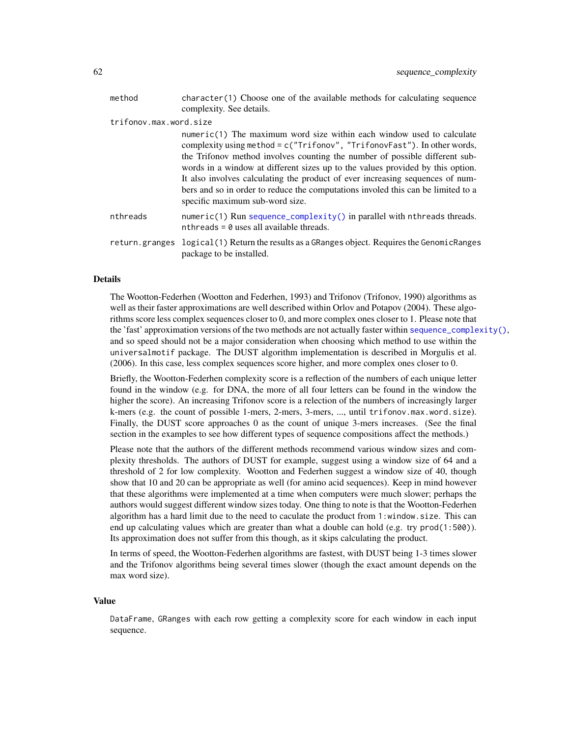| method                 | character (1) Choose one of the available methods for calculating sequence<br>complexity. See details.                                                                                                                                                                                                                                                                                                                                                                                                                         |
|------------------------|--------------------------------------------------------------------------------------------------------------------------------------------------------------------------------------------------------------------------------------------------------------------------------------------------------------------------------------------------------------------------------------------------------------------------------------------------------------------------------------------------------------------------------|
| trifonov.max.word.size |                                                                                                                                                                                                                                                                                                                                                                                                                                                                                                                                |
|                        | $numeric(1)$ The maximum word size within each window used to calculate<br>complexity using method = $c('Trifonov", "TrifonovFast").$ In other words,<br>the Trifonov method involves counting the number of possible different sub-<br>words in a window at different sizes up to the values provided by this option.<br>It also involves calculating the product of ever increasing sequences of num-<br>bers and so in order to reduce the computations involed this can be limited to a<br>specific maximum sub-word size. |
| nthreads               | $numeric(1)$ Run sequence_complexity() in parallel with nthreads threads.<br>nthreads = $\theta$ uses all available threads.                                                                                                                                                                                                                                                                                                                                                                                                   |
| return.granges         | logical (1) Return the results as a GRanges object. Requires the GenomicRanges<br>package to be installed.                                                                                                                                                                                                                                                                                                                                                                                                                     |
|                        |                                                                                                                                                                                                                                                                                                                                                                                                                                                                                                                                |

## Details

The Wootton-Federhen (Wootton and Federhen, 1993) and Trifonov (Trifonov, 1990) algorithms as well as their faster approximations are well described within Orlov and Potapov (2004). These algorithms score less complex sequences closer to 0, and more complex ones closer to 1. Please note that the 'fast' approximation versions of the two methods are not actually faster within [sequence\\_complexity\(\)](#page-60-0), and so speed should not be a major consideration when choosing which method to use within the universalmotif package. The DUST algorithm implementation is described in Morgulis et al. (2006). In this case, less complex sequences score higher, and more complex ones closer to 0.

Briefly, the Wootton-Federhen complexity score is a reflection of the numbers of each unique letter found in the window (e.g. for DNA, the more of all four letters can be found in the window the higher the score). An increasing Trifonov score is a relection of the numbers of increasingly larger k-mers (e.g. the count of possible 1-mers, 2-mers, 3-mers, ..., until trifonov.max.word.size). Finally, the DUST score approaches 0 as the count of unique 3-mers increases. (See the final section in the examples to see how different types of sequence compositions affect the methods.)

Please note that the authors of the different methods recommend various window sizes and complexity thresholds. The authors of DUST for example, suggest using a window size of 64 and a threshold of 2 for low complexity. Wootton and Federhen suggest a window size of 40, though show that 10 and 20 can be appropriate as well (for amino acid sequences). Keep in mind however that these algorithms were implemented at a time when computers were much slower; perhaps the authors would suggest different window sizes today. One thing to note is that the Wootton-Federhen algorithm has a hard limit due to the need to caculate the product from 1:window.size. This can end up calculating values which are greater than what a double can hold (e.g. try prod(1:500)). Its approximation does not suffer from this though, as it skips calculating the product.

In terms of speed, the Wootton-Federhen algorithms are fastest, with DUST being 1-3 times slower and the Trifonov algorithms being several times slower (though the exact amount depends on the max word size).

### Value

DataFrame, GRanges with each row getting a complexity score for each window in each input sequence.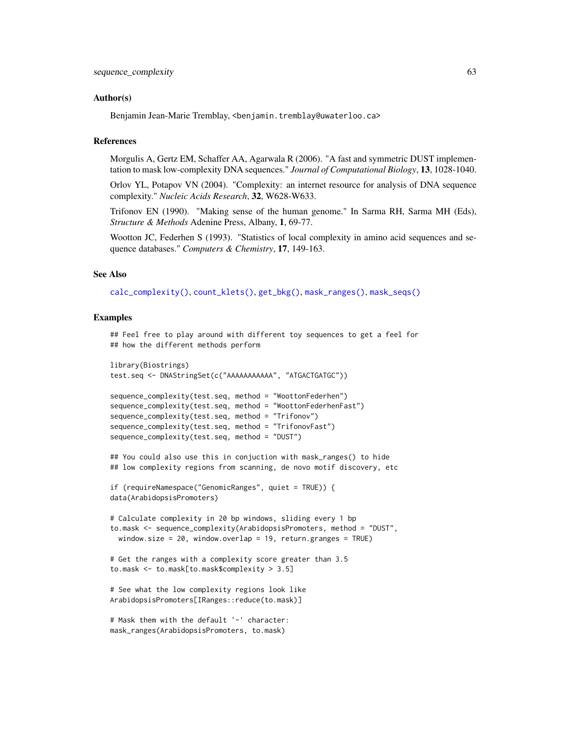### Author(s)

Benjamin Jean-Marie Tremblay, <benjamin.tremblay@uwaterloo.ca>

## **References**

Morgulis A, Gertz EM, Schaffer AA, Agarwala R (2006). "A fast and symmetric DUST implementation to mask low-complexity DNA sequences." *Journal of Computational Biology*, 13, 1028-1040.

Orlov YL, Potapov VN (2004). "Complexity: an internet resource for analysis of DNA sequence complexity." *Nucleic Acids Research*, 32, W628-W633.

Trifonov EN (1990). "Making sense of the human genome." In Sarma RH, Sarma MH (Eds), *Structure & Methods* Adenine Press, Albany, 1, 69-77.

Wootton JC, Federhen S (1993). "Statistics of local complexity in amino acid sequences and sequence databases." *Computers & Chemistry*, 17, 149-163.

## See Also

[calc\\_complexity\(\)](#page-82-0), [count\\_klets\(\)](#page-82-0), [get\\_bkg\(\)](#page-27-0), [mask\\_ranges\(\)](#page-82-0), [mask\\_seqs\(\)](#page-82-0)

### Examples

```
## Feel free to play around with different toy sequences to get a feel for
## how the different methods perform
```

```
library(Biostrings)
test.seq <- DNAStringSet(c("AAAAAAAAAAA", "ATGACTGATGC"))
```

```
sequence_complexity(test.seq, method = "WoottonFederhen")
sequence_complexity(test.seq, method = "WoottonFederhenFast")
sequence_complexity(test.seq, method = "Trifonov")
sequence_complexity(test.seq, method = "TrifonovFast")
sequence_complexity(test.seq, method = "DUST")
```
## You could also use this in conjuction with mask\_ranges() to hide ## low complexity regions from scanning, de novo motif discovery, etc

```
if (requireNamespace("GenomicRanges", quiet = TRUE)) {
data(ArabidopsisPromoters)
```

```
# Calculate complexity in 20 bp windows, sliding every 1 bp
to.mask <- sequence_complexity(ArabidopsisPromoters, method = "DUST",
 window.size = 20, window.overlap = 19, return.granges = TRUE)
```

```
# Get the ranges with a complexity score greater than 3.5
to.mask <- to.mask[to.mask$complexity > 3.5]
```

```
# See what the low complexity regions look like
ArabidopsisPromoters[IRanges::reduce(to.mask)]
```

```
# Mask them with the default '-' character:
mask_ranges(ArabidopsisPromoters, to.mask)
```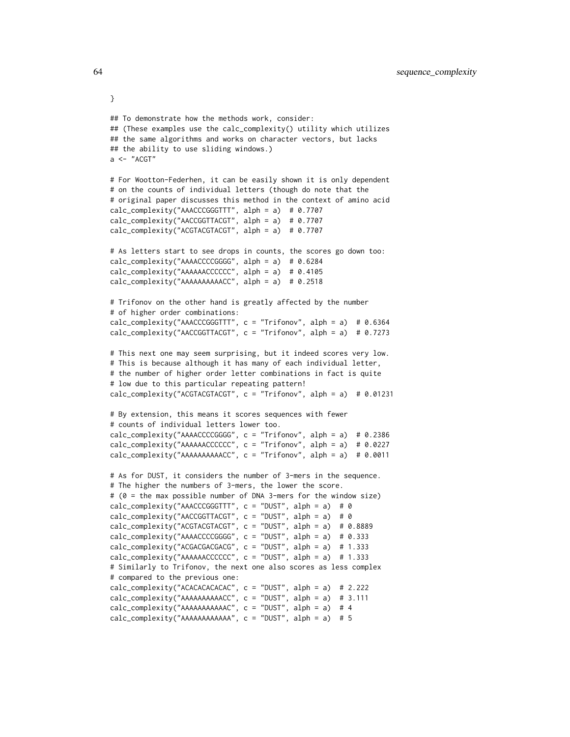```
## To demonstrate how the methods work, consider:
## (These examples use the calc_complexity() utility which utilizes
## the same algorithms and works on character vectors, but lacks
## the ability to use sliding windows.)
a \leftarrow "ACGT"
# For Wootton-Federhen, it can be easily shown it is only dependent
# on the counts of individual letters (though do note that the
# original paper discusses this method in the context of amino acid
calc_complexity("AAACCCGGGTTT", alph = a) # 0.7707
calc_complexity("AACCGGTTACGT", alph = a) # 0.7707
calc_complexity("ACGTACGTACGT", alph = a) # 0.7707
# As letters start to see drops in counts, the scores go down too:
calc_complexity("AAAACCCCGGGG", alph = a) # 0.6284
calc_complexity("AAAAAACCCCCC", alph = a) # 0.4105
calc_complexity("AAAAAAAAAACC", alph = a) # 0.2518
# Trifonov on the other hand is greatly affected by the number
# of higher order combinations:
calc_complexity("AAACCCGGGTTT", c = "Trifonov", alph = a) # 0.6364
calc_complexity("AACCGGTTACGT", c = "Trifonov", alph = a) # 0.7273
# This next one may seem surprising, but it indeed scores very low.
# This is because although it has many of each individual letter,
# the number of higher order letter combinations in fact is quite
# low due to this particular repeating pattern!
calc_complexity("ACGTACGTACGT", c = "Trifonov", alph = a) # 0.01231
# By extension, this means it scores sequences with fewer
# counts of individual letters lower too.
calc_complexity("AAAACCCCGGGG", c = "Trifonov", alph = a) # 0.2386
calc_complexity("AAAAAACCCCCC", c = "Trifonov", alph = a) # 0.0227
calc_complexity("AAAAAAAAAACC", c = "Trifonov", alph = a) # 0.0011
# As for DUST, it considers the number of 3-mers in the sequence.
# The higher the numbers of 3-mers, the lower the score.
# (0 = the max possible number of DNA 3-mers for the window size)
calc_complexity("AAACCCGGGTTT", c = "DUST", alph = a) # 0
calc_complexity("AACCGGTTACGT", c = "DUST", alph = a) # 0
calc_complexity("ACGTACGTACGT", c = "DUST", alph = a) # 0.8889
calc_complexity("AAAACCCCGGGG", c = "DUST", alph = a) # 0.333
calc_complexity("ACGACGACGACG", c = "DUST", alph = a) # 1.333
calc_complexity("AAAAAACCCCCC", c = "DUST", alph = a) # 1.333
# Similarly to Trifonov, the next one also scores as less complex
# compared to the previous one:
calc_complexity("ACACACACACAC", c = "DUST", alph = a) # 2.222
calc\_complexity("AAAAAAAAACC", c = "DUST", alpha = a) # 3.111calc_complexity("AAAAAAAAAAAC", c = "DUST", alph = a) # 4
calc_complexity("AAAAAAAAAAAA", c = "DUST", alph = a) # 5
```
}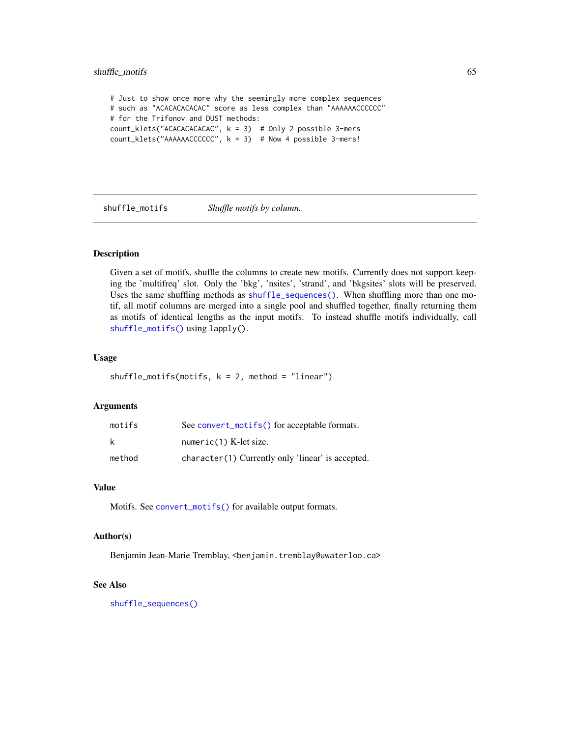# shuffle\_motifs 65

# Just to show once more why the seemingly more complex sequences # such as "ACACACACACAC" score as less complex than "AAAAAACCCCCC" # for the Trifonov and DUST methods: count\_klets("ACACACACACAC", k = 3) # Only 2 possible 3-mers count\_klets("AAAAAACCCCCC", k = 3) # Now 4 possible 3-mers!

<span id="page-64-0"></span>shuffle\_motifs *Shuffle motifs by column.*

## Description

Given a set of motifs, shuffle the columns to create new motifs. Currently does not support keeping the 'multifreq' slot. Only the 'bkg', 'nsites', 'strand', and 'bkgsites' slots will be preserved. Uses the same shuffling methods as [shuffle\\_sequences\(\)](#page-65-0). When shuffling more than one motif, all motif columns are merged into a single pool and shuffled together, finally returning them as motifs of identical lengths as the input motifs. To instead shuffle motifs individually, call [shuffle\\_motifs\(\)](#page-64-0) using lapply().

# Usage

shuffle\_motifs(motifs,  $k = 2$ , method = "linear")

## Arguments

| motifs | See convert_motifs() for acceptable formats.      |
|--------|---------------------------------------------------|
| k      | numeric $(1)$ K-let size.                         |
| method | character(1) Currently only 'linear' is accepted. |

## Value

Motifs. See [convert\\_motifs\(\)](#page-9-0) for available output formats.

# Author(s)

Benjamin Jean-Marie Tremblay, <benjamin.tremblay@uwaterloo.ca>

### See Also

[shuffle\\_sequences\(\)](#page-65-0)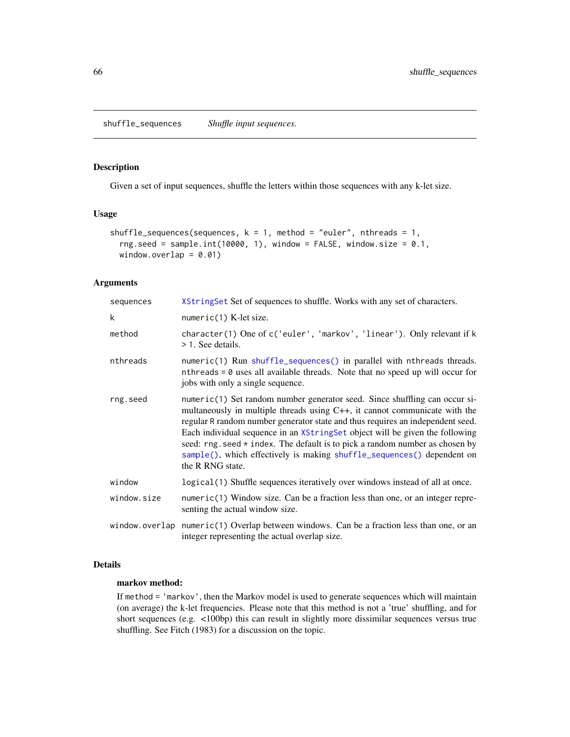<span id="page-65-0"></span>Given a set of input sequences, shuffle the letters within those sequences with any k-let size.

# Usage

```
shuffle_sequences(sequences, k = 1, method = "euler", nthreads = 1,
 rng.seed = sample.int(10000, 1), window = FALSE, window.size = 0.1,
 window.overlap = 0.01)
```
# Arguments

| sequences   | XStringSet Set of sequences to shuffle. Works with any set of characters.                                                                                                                                                                                                                                                                                                                                                                                                                                        |  |
|-------------|------------------------------------------------------------------------------------------------------------------------------------------------------------------------------------------------------------------------------------------------------------------------------------------------------------------------------------------------------------------------------------------------------------------------------------------------------------------------------------------------------------------|--|
| k           | $numeric(1)$ K-let size.                                                                                                                                                                                                                                                                                                                                                                                                                                                                                         |  |
| method      | character(1) One of c('euler', 'markov', 'linear'). Only relevant if k<br>> 1. See details.                                                                                                                                                                                                                                                                                                                                                                                                                      |  |
| nthreads    | numeric(1) Run shuffle_sequences() in parallel with nthreads threads.<br>nthreads $= 0$ uses all available threads. Note that no speed up will occur for<br>jobs with only a single sequence.                                                                                                                                                                                                                                                                                                                    |  |
| rng.seed    | numeric(1) Set random number generator seed. Since shuffling can occur si-<br>multaneously in multiple threads using $C_{++}$ , it cannot communicate with the<br>regular R random number generator state and thus requires an independent seed.<br>Each individual sequence in an XStringSet object will be given the following<br>seed: $rng. seed * index. The default is to pick a random number as chosen by$<br>sample(), which effectively is making shuffle_sequences() dependent on<br>the R RNG state. |  |
| window      | logical (1) Shuffle sequences iteratively over windows instead of all at once.                                                                                                                                                                                                                                                                                                                                                                                                                                   |  |
| window.size | $numeric(1)$ Window size. Can be a fraction less than one, or an integer repre-<br>senting the actual window size.                                                                                                                                                                                                                                                                                                                                                                                               |  |
|             | window.overlap numeric(1) Overlap between windows. Can be a fraction less than one, or an<br>integer representing the actual overlap size.                                                                                                                                                                                                                                                                                                                                                                       |  |

## Details

# markov method:

If method = 'markov', then the Markov model is used to generate sequences which will maintain (on average) the k-let frequencies. Please note that this method is not a 'true' shuffling, and for short sequences (e.g. <100bp) this can result in slightly more dissimilar sequences versus true shuffling. See Fitch (1983) for a discussion on the topic.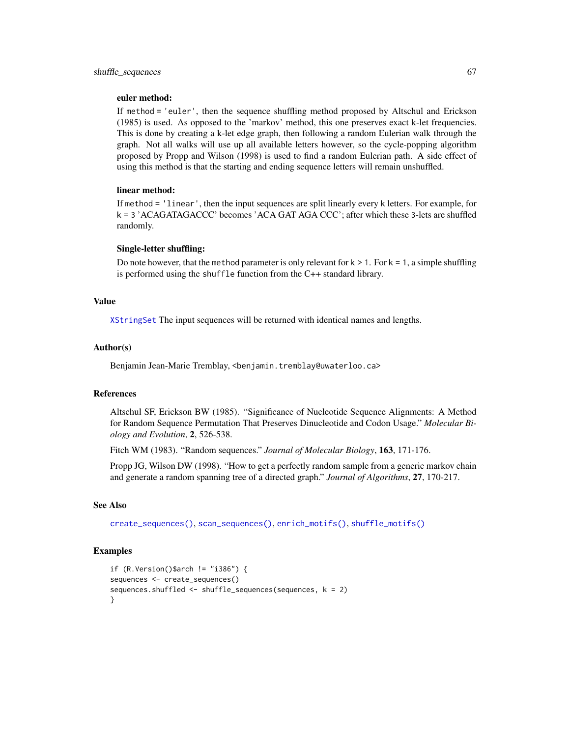### euler method:

If method = 'euler', then the sequence shuffling method proposed by Altschul and Erickson (1985) is used. As opposed to the 'markov' method, this one preserves exact k-let frequencies. This is done by creating a k-let edge graph, then following a random Eulerian walk through the graph. Not all walks will use up all available letters however, so the cycle-popping algorithm proposed by Propp and Wilson (1998) is used to find a random Eulerian path. A side effect of using this method is that the starting and ending sequence letters will remain unshuffled.

### linear method:

If method = 'linear', then the input sequences are split linearly every k letters. For example, for k = 3 'ACAGATAGACCC' becomes 'ACA GAT AGA CCC'; after which these 3-lets are shuffled randomly.

### Single-letter shuffling:

Do note however, that the method parameter is only relevant for  $k > 1$ . For  $k = 1$ , a simple shuffling is performed using the shuffle function from the C++ standard library.

## Value

[XStringSet](#page-0-0) The input sequences will be returned with identical names and lengths.

### Author(s)

Benjamin Jean-Marie Tremblay, <benjamin.tremblay@uwaterloo.ca>

# References

Altschul SF, Erickson BW (1985). "Significance of Nucleotide Sequence Alignments: A Method for Random Sequence Permutation That Preserves Dinucleotide and Codon Usage." *Molecular Biology and Evolution*, 2, 526-538.

Fitch WM (1983). "Random sequences." *Journal of Molecular Biology*, 163, 171-176.

Propp JG, Wilson DW (1998). "How to get a perfectly random sample from a generic markov chain and generate a random spanning tree of a directed graph." *Journal of Algorithms*, 27, 170-217.

## See Also

```
create_sequences(), scan_sequences(), enrich_motifs(), shuffle_motifs()
```

```
if (R.Version()$arch != "i386") {
sequences <- create_sequences()
sequences.shuffled <- shuffle_sequences(sequences, k = 2)
}
```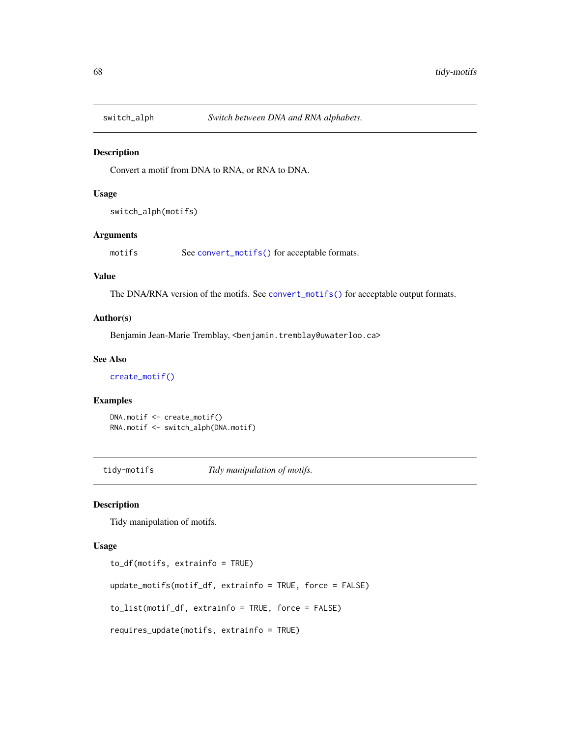Convert a motif from DNA to RNA, or RNA to DNA.

### Usage

```
switch_alph(motifs)
```
# Arguments

motifs See [convert\\_motifs\(\)](#page-9-0) for acceptable formats.

## Value

The DNA/RNA version of the motifs. See [convert\\_motifs\(\)](#page-9-0) for acceptable output formats.

# Author(s)

Benjamin Jean-Marie Tremblay, <benjamin.tremblay@uwaterloo.ca>

## See Also

[create\\_motif\(\)](#page-15-0)

## Examples

DNA.motif <- create\_motif() RNA.motif <- switch\_alph(DNA.motif)

tidy-motifs *Tidy manipulation of motifs.*

# <span id="page-67-0"></span>Description

Tidy manipulation of motifs.

# Usage

```
to_df(motifs, extrainfo = TRUE)
update_motifs(motif_df, extrainfo = TRUE, force = FALSE)
to_list(motif_df, extrainfo = TRUE, force = FALSE)
requires_update(motifs, extrainfo = TRUE)
```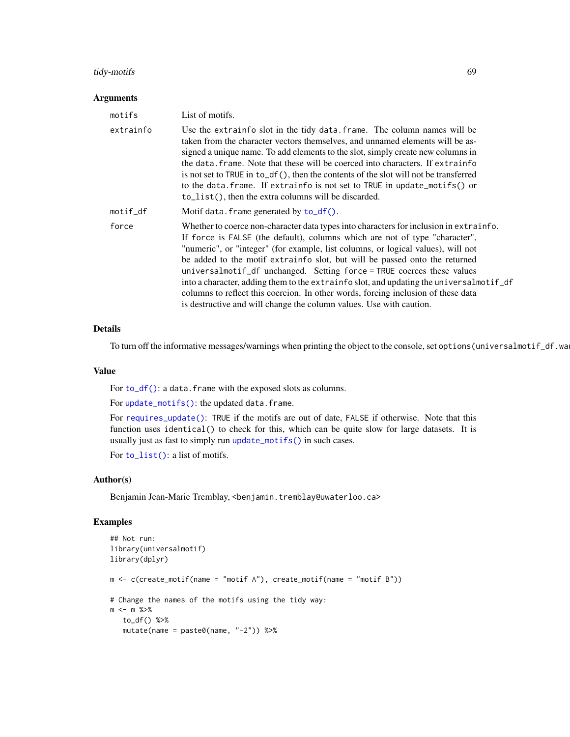# tidy-motifs 69

### Arguments

| motifs    | List of motifs.                                                                                                                                                                                                                                                                                                                                                                                                                                                                                                                                                                                                                                                            |
|-----------|----------------------------------------------------------------------------------------------------------------------------------------------------------------------------------------------------------------------------------------------------------------------------------------------------------------------------------------------------------------------------------------------------------------------------------------------------------------------------------------------------------------------------------------------------------------------------------------------------------------------------------------------------------------------------|
| extrainfo | Use the extrain fo slot in the tidy data. frame. The column names will be<br>taken from the character vectors themselves, and unnamed elements will be as-<br>signed a unique name. To add elements to the slot, simply create new columns in<br>the data, frame. Note that these will be coerced into characters. If extrainfo<br>is not set to TRUE in $to_d f()$ , then the contents of the slot will not be transferred<br>to the data. frame. If extrain fo is not set to TRUE in update_motifs() or<br>$to$ list(), then the extra columns will be discarded.                                                                                                        |
| motif_df  | Motif data. frame generated by to_df().                                                                                                                                                                                                                                                                                                                                                                                                                                                                                                                                                                                                                                    |
| force     | Whether to coerce non-character data types into characters for inclusion in extrainfo.<br>If force is FALSE (the default), columns which are not of type "character",<br>"numeric", or "integer" (for example, list columns, or logical values), will not<br>be added to the motif extrainfo slot, but will be passed onto the returned<br>universalmotif_df unchanged. Setting force = TRUE coerces these values<br>into a character, adding them to the extrain fo slot, and updating the universal motif df<br>columns to reflect this coercion. In other words, forcing inclusion of these data<br>is destructive and will change the column values. Use with caution. |

### Details

To turn off the informative messages/warnings when printing the object to the console, set options (universalmotif\_df.wa

### Value

For  $to_df()$ : a data. frame with the exposed slots as columns.

For [update\\_motifs\(\)](#page-67-0): the updated data.frame.

For [requires\\_update\(\)](#page-67-0): TRUE if the motifs are out of date, FALSE if otherwise. Note that this function uses identical() to check for this, which can be quite slow for large datasets. It is usually just as fast to simply run [update\\_motifs\(\)](#page-67-0) in such cases.

For [to\\_list\(\)](#page-67-0): a list of motifs.

### Author(s)

Benjamin Jean-Marie Tremblay, <benjamin.tremblay@uwaterloo.ca>

```
## Not run:
library(universalmotif)
library(dplyr)
m \leq c (create_motif(name = "motif A"), create_motif(name = "motif B"))
# Change the names of the motifs using the tidy way:
m <- m %>%
  to_df() %>%
   mutate(name = paste0(name, "-2")) %>%
```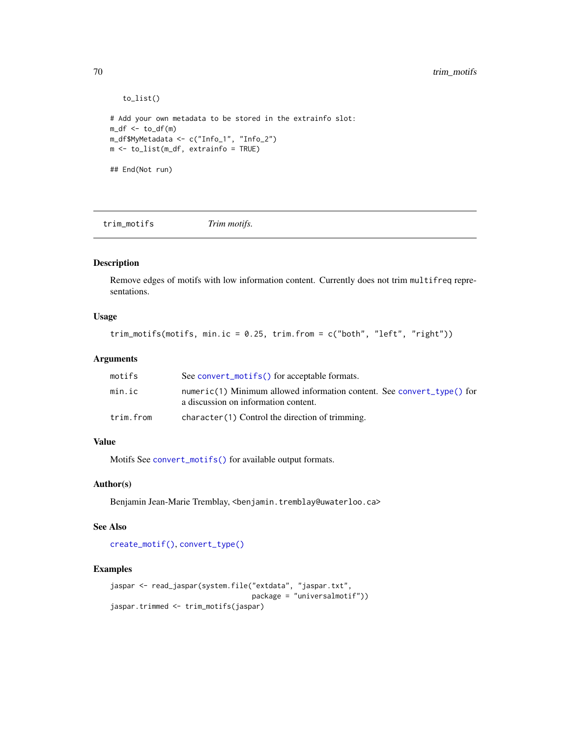```
to_list()
# Add your own metadata to be stored in the extrainfo slot:
m_d f \leftarrow to_d f(m)m_df$MyMetadata <- c("Info_1", "Info_2")
m <- to_list(m_df, extrainfo = TRUE)
## End(Not run)
```
trim\_motifs *Trim motifs.*

## Description

Remove edges of motifs with low information content. Currently does not trim multifreq representations.

# Usage

```
trim_motifs(motifs, min.ic = 0.25, trim.from = c("both", "left", "right"))
```
# Arguments

| motifs    | See convert_motifs() for acceptable formats.                                                                   |
|-----------|----------------------------------------------------------------------------------------------------------------|
| min.ic    | numeric(1) Minimum allowed information content. See convert_type() for<br>a discussion on information content. |
| trim.from | character(1) Control the direction of trimming.                                                                |

### Value

Motifs See [convert\\_motifs\(\)](#page-9-0) for available output formats.

### Author(s)

Benjamin Jean-Marie Tremblay, <benjamin.tremblay@uwaterloo.ca>

# See Also

[create\\_motif\(\)](#page-15-0), [convert\\_type\(\)](#page-13-0)

```
jaspar <- read_jaspar(system.file("extdata", "jaspar.txt",
                                  package = "universalmotif"))
jaspar.trimmed <- trim_motifs(jaspar)
```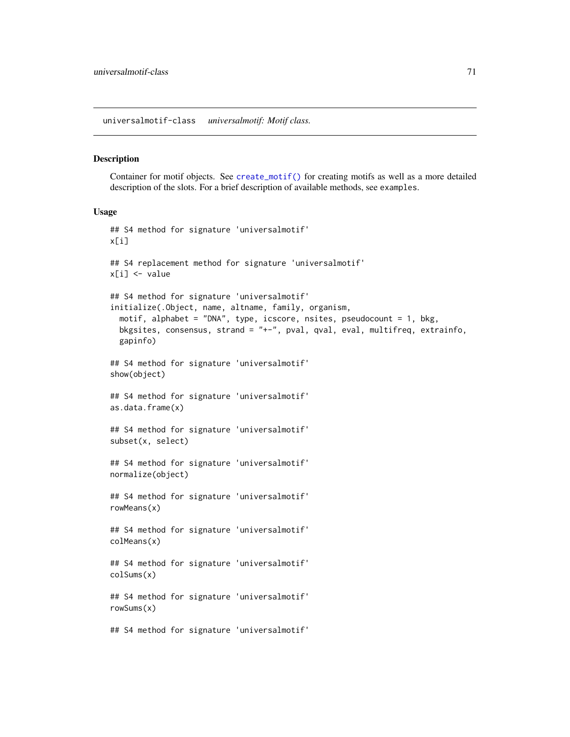<span id="page-70-0"></span>universalmotif-class *universalmotif: Motif class.*

### **Description**

Container for motif objects. See [create\\_motif\(\)](#page-15-0) for creating motifs as well as a more detailed description of the slots. For a brief description of available methods, see examples.

## Usage

```
## S4 method for signature 'universalmotif'
x[i]
## S4 replacement method for signature 'universalmotif'
x[i] <- value
## S4 method for signature 'universalmotif'
initialize(.Object, name, altname, family, organism,
  motif, alphabet = "DNA", type, icscore, nsites, pseudocount = 1, bkg,
  bkgsites, consensus, strand = "+-", pval, qval, eval, multifreq, extrainfo,
  gapinfo)
## S4 method for signature 'universalmotif'
show(object)
## S4 method for signature 'universalmotif'
as.data.frame(x)
## S4 method for signature 'universalmotif'
subset(x, select)
## S4 method for signature 'universalmotif'
normalize(object)
## S4 method for signature 'universalmotif'
rowMeans(x)
## S4 method for signature 'universalmotif'
colMeans(x)
## S4 method for signature 'universalmotif'
colSums(x)
## S4 method for signature 'universalmotif'
rowSums(x)
## S4 method for signature 'universalmotif'
```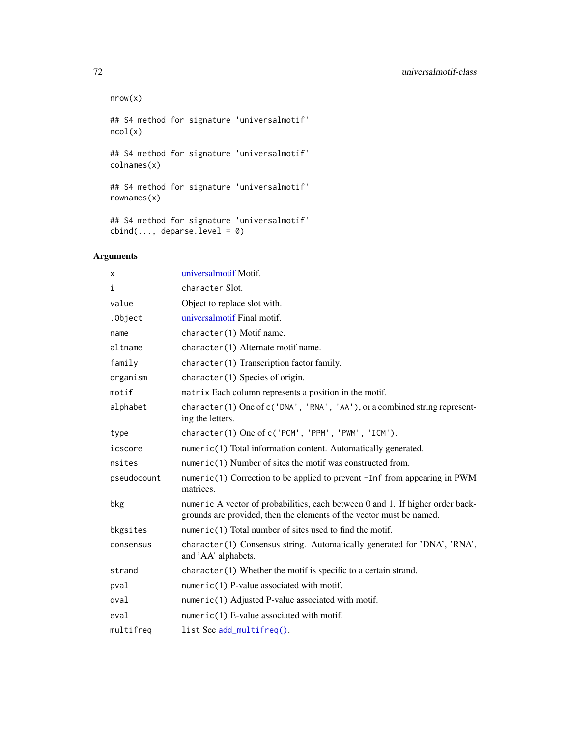```
nrow(x)
## S4 method for signature 'universalmotif'
ncol(x)
## S4 method for signature 'universalmotif'
colnames(x)
## S4 method for signature 'universalmotif'
rownames(x)
## S4 method for signature 'universalmotif'
```
 $cbind(..., deparse.level = 0)$ 

# Arguments

| x           | universalmotif Motif.                                                                                                                                  |
|-------------|--------------------------------------------------------------------------------------------------------------------------------------------------------|
| i           | character Slot.                                                                                                                                        |
| value       | Object to replace slot with.                                                                                                                           |
| .Object     | universalmotif Final motif.                                                                                                                            |
| name        | character(1) Motif name.                                                                                                                               |
| altname     | character(1) Alternate motif name.                                                                                                                     |
| family      | character(1) Transcription factor family.                                                                                                              |
| organism    | character(1) Species of origin.                                                                                                                        |
| motif       | matrix Each column represents a position in the motif.                                                                                                 |
| alphabet    | character(1) One of c('DNA', 'RNA', 'AA'), or a combined string represent-<br>ing the letters.                                                         |
| type        | character(1) One of c('PCM', 'PPM', 'PWM', 'ICM').                                                                                                     |
| icscore     | numeric(1) Total information content. Automatically generated.                                                                                         |
| nsites      | numeric(1) Number of sites the motif was constructed from.                                                                                             |
| pseudocount | numeric(1) Correction to be applied to prevent -Inf from appearing in PWM<br>matrices.                                                                 |
| bkg         | numeric A vector of probabilities, each between 0 and 1. If higher order back-<br>grounds are provided, then the elements of the vector must be named. |
| bkgsites    | numeric(1) Total number of sites used to find the motif.                                                                                               |
| consensus   | character(1) Consensus string. Automatically generated for 'DNA', 'RNA',<br>and 'AA' alphabets.                                                        |
| strand      | character(1) Whether the motif is specific to a certain strand.                                                                                        |
| pval        | numeric(1) P-value associated with motif.                                                                                                              |
| qval        | numeric(1) Adjusted P-value associated with motif.                                                                                                     |
| eval        | numeric(1) E-value associated with motif.                                                                                                              |
| multifreq   | list See add_multifreq().                                                                                                                              |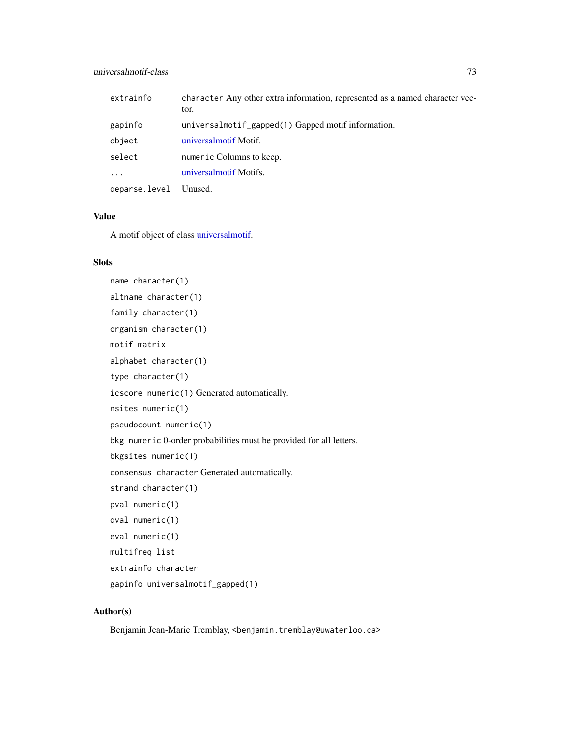# <span id="page-72-0"></span>universalmotif-class 73

| extrainfo     | character Any other extra information, represented as a named character vec-<br>tor. |
|---------------|--------------------------------------------------------------------------------------|
| gapinfo       | universalmotif_gapped(1) Gapped motif information.                                   |
| object        | universalmotif Motif.                                                                |
| select        | numeric Columns to keep.                                                             |
| $\cdot$       | universalmotif Motifs.                                                               |
| deparse.level | Unused.                                                                              |

# Value

A motif object of class [universalmotif.](#page-70-0)

# Slots

```
name character(1)
altname character(1)
family character(1)
organism character(1)
motif matrix
alphabet character(1)
type character(1)
icscore numeric(1) Generated automatically.
nsites numeric(1)
pseudocount numeric(1)
bkg numeric 0-order probabilities must be provided for all letters.
bkgsites numeric(1)
consensus character Generated automatically.
strand character(1)
pval numeric(1)
qval numeric(1)
eval numeric(1)
multifreq list
extrainfo character
gapinfo universalmotif_gapped(1)
```
# Author(s)

Benjamin Jean-Marie Tremblay, <benjamin.tremblay@uwaterloo.ca>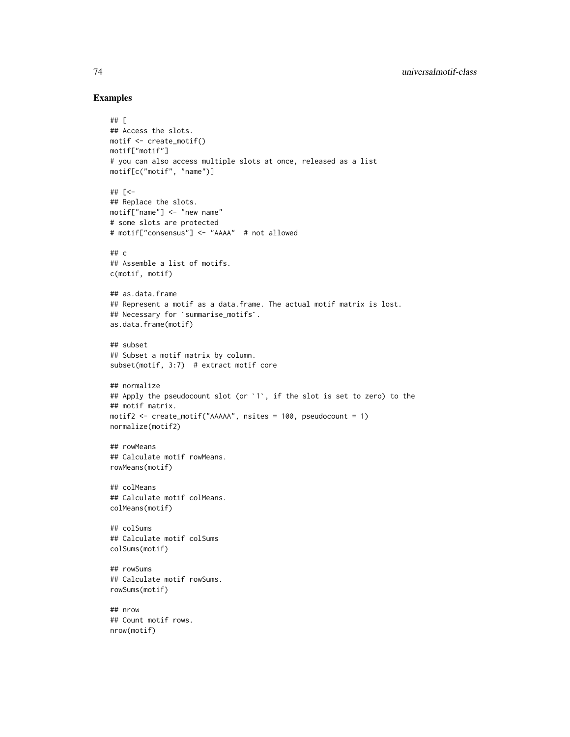```
## [
## Access the slots.
motif <- create_motif()
motif["motif"]
# you can also access multiple slots at once, released as a list
motif[c("motif", "name")]
## [<-
## Replace the slots.
motif["name"] <- "new name"
# some slots are protected
# motif["consensus"] <- "AAAA" # not allowed
## c
## Assemble a list of motifs.
c(motif, motif)
## as.data.frame
## Represent a motif as a data.frame. The actual motif matrix is lost.
## as.data.frame<br>## Represent a motif as a data.frame<br>## Necessary for `summarise_motifs`.
as.data.frame(motif)
## subset
## Subset a motif matrix by column.
subset(motif, 3:7) # extract motif core
## normalize
## Apply the pseudocount slot (or `1`, if the slot is set to zero) to the
## motif matrix.
motif2 <- create_motif("AAAAA", nsites = 100, pseudocount = 1)
normalize(motif2)
## rowMeans
## Calculate motif rowMeans.
rowMeans(motif)
## colMeans
## Calculate motif colMeans.
colMeans(motif)
## colSums
## Calculate motif colSums
colSums(motif)
## rowSums
## Calculate motif rowSums.
rowSums(motif)
## nrow
## Count motif rows.
nrow(motif)
```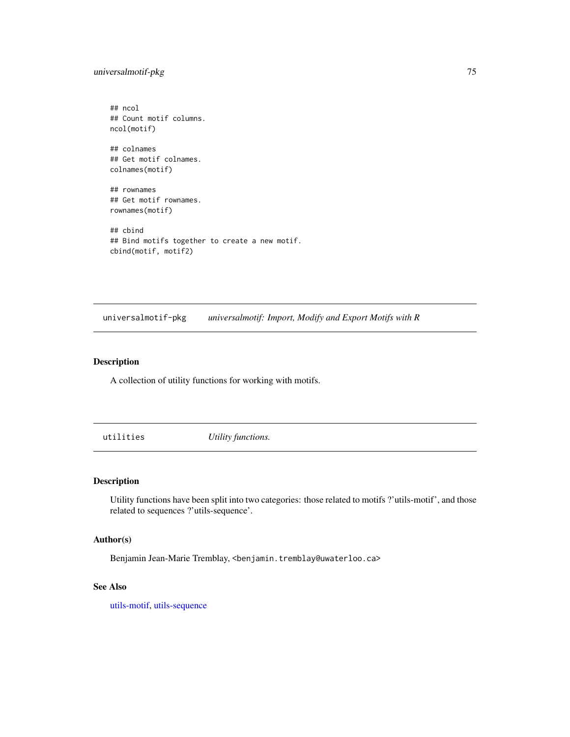# <span id="page-74-0"></span>universalmotif-pkg 75

rownames(motif)

## ncol ## Count motif columns. ncol(motif) ## colnames ## Get motif colnames. colnames(motif) ## rownames ## Get motif rownames.

## cbind ## Bind motifs together to create a new motif. cbind(motif, motif2)

universalmotif-pkg *universalmotif: Import, Modify and Export Motifs with R*

# Description

A collection of utility functions for working with motifs.

utilities *Utility functions.*

#### Description

Utility functions have been split into two categories: those related to motifs ?'utils-motif', and those related to sequences ?'utils-sequence'.

#### Author(s)

Benjamin Jean-Marie Tremblay, <benjamin.tremblay@uwaterloo.ca>

#### See Also

[utils-motif,](#page-75-0) [utils-sequence](#page-81-0)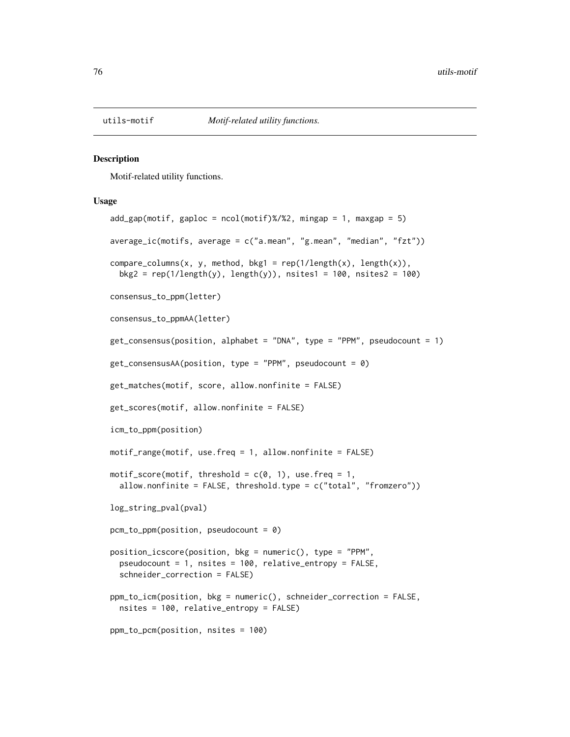<span id="page-75-2"></span><span id="page-75-1"></span><span id="page-75-0"></span>

Motif-related utility functions.

#### Usage

```
add\_gap(motif, gaploc = ncol(motif)%/%2, mingap = 1, maxgap = 5)
average_ic(motifs, average = c("a.mean", "g.mean", "median", "fzt"))
compare\_columns(x, y, method, bkg1 = rep(1/length(x), length(x)),bkg2 = rep(1/length(y), length(y)), nsites1 = 100, nsites2 = 100)
consensus_to_ppm(letter)
consensus_to_ppmAA(letter)
get_consensus(position, alphabet = "DNA", type = "PPM", pseudocount = 1)
get\_consensusAA(position, type = "PPM", pseudocount = 0)get_matches(motif, score, allow.nonfinite = FALSE)
get_scores(motif, allow.nonfinite = FALSE)
icm_to_ppm(position)
motif_range(motif, use.freq = 1, allow.nonfinite = FALSE)
motif_score(motif, threshold = c(0, 1), use.freq = 1,
 allow.nonfinite = FALSE, threshold.type = c("total", "fromzero"))
log_string_pval(pval)
pcm_to_ppm(position, pseudocount = 0)
position_icscore(position, bkg = numeric(), type = "PPM",
 pseudocount = 1, nsites = 100, relative_entropy = FALSE,
  schneider_correction = FALSE)
ppm_to_icm(position, bkg = numeric(), schneider_correction = FALSE,
 nsites = 100, relative_entropy = FALSE)
ppm_to_pcm(position, nsites = 100)
```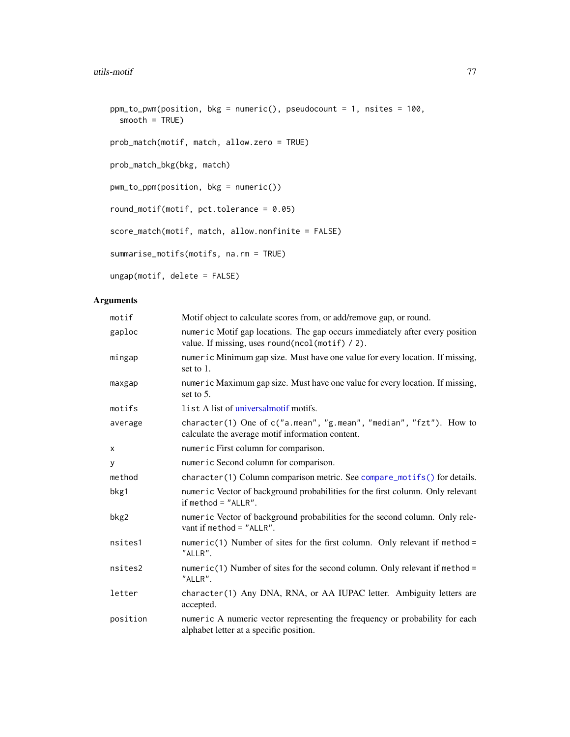```
ppm_to_pwm(position, bkg = numeric(), pseudocount = 1, nsites = 100,
 smooth = TRUE)
prob_match(motif, match, allow.zero = TRUE)
prob_match_bkg(bkg, match)
pwm_to_ppm(position, bkg = numeric())
round_motif(motif, pct.tolerance = 0.05)
score_match(motif, match, allow.nonfinite = FALSE)
summarise_motifs(motifs, na.rm = TRUE)
ungap(motif, delete = FALSE)
```
# Arguments

| motif    | Motif object to calculate scores from, or add/remove gap, or round.                                                             |
|----------|---------------------------------------------------------------------------------------------------------------------------------|
| gaploc   | numeric Motif gap locations. The gap occurs immediately after every position<br>value. If missing, uses round(ncol(motif) / 2). |
| mingap   | numeric Minimum gap size. Must have one value for every location. If missing,<br>set to $1$ .                                   |
| maxgap   | numeric Maximum gap size. Must have one value for every location. If missing,<br>set to $5$ .                                   |
| motifs   | list A list of universalmotif motifs.                                                                                           |
| average  | character(1) One of c("a.mean", "g.mean", "median", "fzt"). How to<br>calculate the average motif information content.          |
| X        | numeric First column for comparison.                                                                                            |
| У        | numeric Second column for comparison.                                                                                           |
| method   | character(1) Column comparison metric. See compare_motifs() for details.                                                        |
| bkg1     | numeric Vector of background probabilities for the first column. Only relevant<br>if method $=$ "ALLR".                         |
| bkg2     | numeric Vector of background probabilities for the second column. Only rele-<br>vant if method = $"ALLR".$                      |
| nsites1  | numeric(1) Number of sites for the first column. Only relevant if method =<br>"ALLR".                                           |
| nsites2  | numeric(1) Number of sites for the second column. Only relevant if method =<br>"ALLR".                                          |
| letter   | character(1) Any DNA, RNA, or AA IUPAC letter. Ambiguity letters are<br>accepted.                                               |
| position | numeric A numeric vector representing the frequency or probability for each<br>alphabet letter at a specific position.          |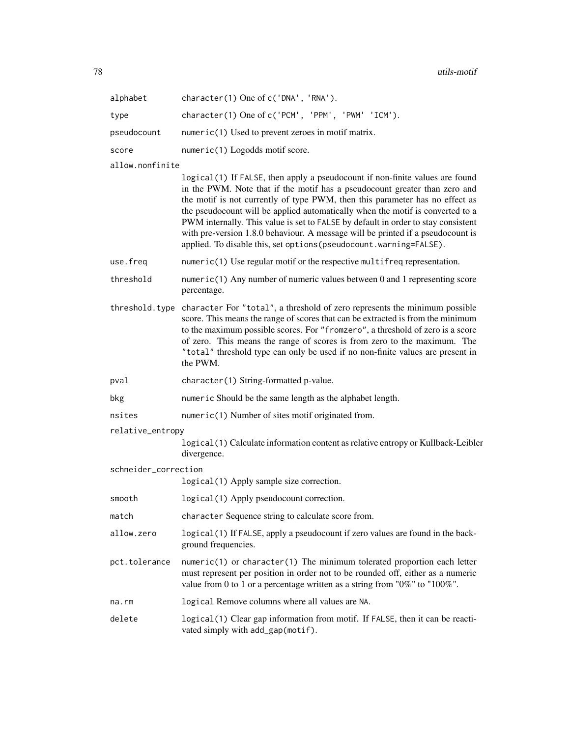78 utils-motif

| alphabet        | $character(1)$ One of $c('DNA', 'RNA').$                                                                                                                                                                                                                                                                                                                                                                           |  |
|-----------------|--------------------------------------------------------------------------------------------------------------------------------------------------------------------------------------------------------------------------------------------------------------------------------------------------------------------------------------------------------------------------------------------------------------------|--|
| type            | character(1) One of c('PCM', 'PPM', 'PWM' 'ICM').                                                                                                                                                                                                                                                                                                                                                                  |  |
| pseudocount     | numeric(1) Used to prevent zeroes in motif matrix.                                                                                                                                                                                                                                                                                                                                                                 |  |
| score           | $numeric(1)$ Logodds motif score.                                                                                                                                                                                                                                                                                                                                                                                  |  |
| allow.nonfinite |                                                                                                                                                                                                                                                                                                                                                                                                                    |  |
|                 | logical (1) If FALSE, then apply a pseudocount if non-finite values are found<br>in the PWM. Note that if the motif has a pseudocount greater than zero and<br>the motif is not currently of type PWM, then this parameter has no effect as<br>the pseudocount will be applied automatically when the motif is converted to a<br>PWM internally. This value is set to FALSE by default in order to stay consistent |  |

use.freq numeric(1) Use regular motif or the respective multifreq representation.

- threshold numeric(1) Any number of numeric values between 0 and 1 representing score percentage.
- threshold.type character For "total", a threshold of zero represents the minimum possible score. This means the range of scores that can be extracted is from the minimum to the maximum possible scores. For "fromzero", a threshold of zero is a score of zero. This means the range of scores is from zero to the maximum. The "total" threshold type can only be used if no non-finite values are present in the PWM.

pval character(1) String-formatted p-value.

- bkg numeric Should be the same length as the alphabet length.
- nsites numeric(1) Number of sites motif originated from.
- relative\_entropy

logical(1) Calculate information content as relative entropy or Kullback-Leibler divergence.

with pre-version 1.8.0 behaviour. A message will be printed if a pseudocount is

applied. To disable this, set options(pseudocount.warning=FALSE).

schneider\_correction

logical(1) Apply sample size correction.

smooth logical(1) Apply pseudocount correction.

match character Sequence string to calculate score from.

- allow.zero logical(1) If FALSE, apply a pseudocount if zero values are found in the background frequencies.
- pct.tolerance numeric(1) or character(1) The minimum tolerated proportion each letter must represent per position in order not to be rounded off, either as a numeric value from 0 to 1 or a percentage written as a string from "0%" to "100%".
- na.rm logical Remove columns where all values are NA.
- delete logical(1) Clear gap information from motif. If FALSE, then it can be reactivated simply with add\_gap(motif).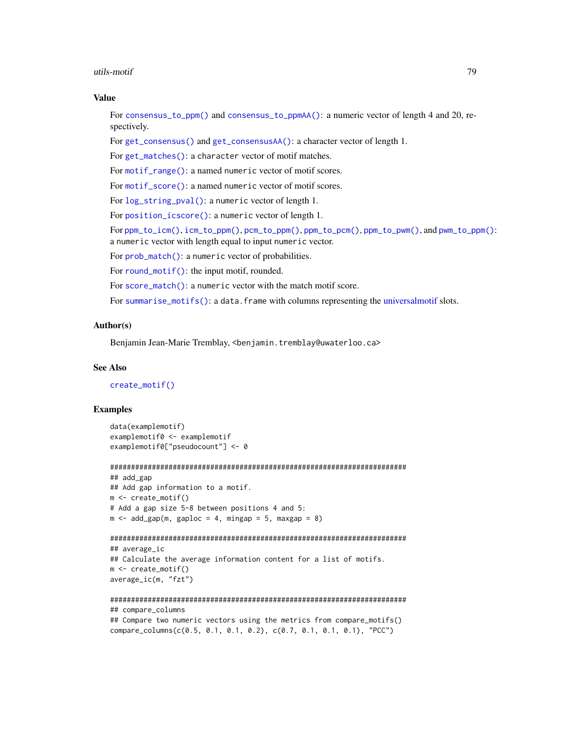#### <span id="page-78-0"></span>utils-motif 79

#### Value

For [consensus\\_to\\_ppm\(\)](#page-75-1) and [consensus\\_to\\_ppmAA\(\)](#page-75-1): a numeric vector of length 4 and 20, respectively.

For [get\\_consensus\(\)](#page-75-1) and [get\\_consensusAA\(\)](#page-75-1): a character vector of length 1.

For [get\\_matches\(\)](#page-75-1): a character vector of motif matches.

For [motif\\_range\(\)](#page-75-1): a named numeric vector of motif scores.

For [motif\\_score\(\)](#page-75-1): a named numeric vector of motif scores.

For [log\\_string\\_pval\(\)](#page-75-1): a numeric vector of length 1.

For [position\\_icscore\(\)](#page-75-1): a numeric vector of length 1.

For [ppm\\_to\\_icm\(\)](#page-75-1), [icm\\_to\\_ppm\(\)](#page-75-1), [pcm\\_to\\_ppm\(\)](#page-75-1), [ppm\\_to\\_pcm\(\)](#page-75-1), [ppm\\_to\\_pwm\(\)](#page-75-1), and [pwm\\_to\\_ppm\(\)](#page-75-1): a numeric vector with length equal to input numeric vector.

For [prob\\_match\(\)](#page-75-1): a numeric vector of probabilities.

For [round\\_motif\(\)](#page-75-1): the input motif, rounded.

For [score\\_match\(\)](#page-75-1): a numeric vector with the match motif score.

For [summarise\\_motifs\(\)](#page-75-1): a data.frame with columns representing the [universalmotif](#page-70-0) slots.

# Author(s)

Benjamin Jean-Marie Tremblay, <benjamin.tremblay@uwaterloo.ca>

#### See Also

[create\\_motif\(\)](#page-15-0)

```
data(examplemotif)
examplemotif0 <- examplemotif
examplemotif0["pseudocount"] <- 0
```

```
#######################################################################
## add_gap
## Add gap information to a motif.
m <- create_motif()
# Add a gap size 5-8 between positions 4 and 5:
m \le - add_gap(m, gaploc = 4, mingap = 5, maxgap = 8)
```

```
#######################################################################
## average_ic
```

```
## Calculate the average information content for a list of motifs.
m <- create_motif()
average_ic(m, "fzt")
```

```
#######################################################################
## compare_columns
## Compare two numeric vectors using the metrics from compare_motifs()
compare_columns(c(0.5, 0.1, 0.1, 0.2), c(0.7, 0.1, 0.1, 0.1), "PCC")
```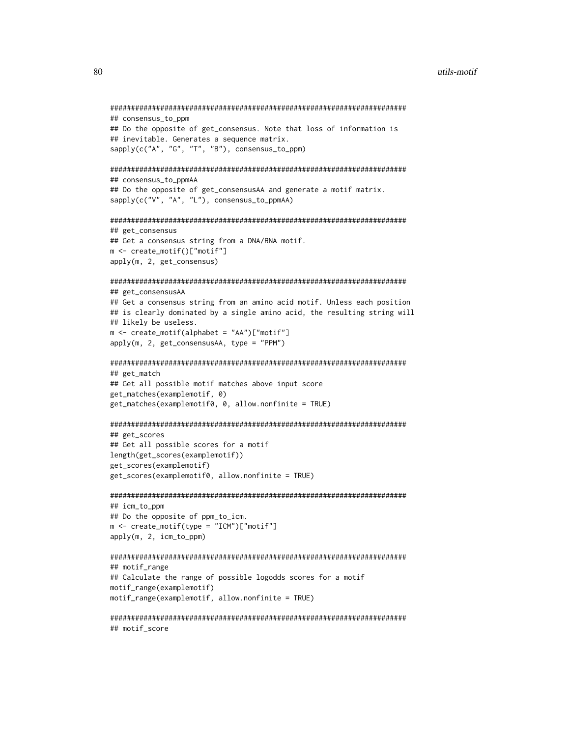```
#######################################################################
## consensus_to_ppm
## Do the opposite of get_consensus. Note that loss of information is
## inevitable. Generates a sequence matrix.
sapply(c("A", "G", "T", "B"), consensus_to_ppm)
#######################################################################
## consensus_to_ppmAA
## Do the opposite of get_consensusAA and generate a motif matrix.
sapply(c("V", "A", "L"), consensus_to_ppmAA)
#######################################################################
## get_consensus
## Get a consensus string from a DNA/RNA motif.
m <- create_motif()["motif"]
apply(m, 2, get_consensus)
#######################################################################
## get_consensusAA
## Get a consensus string from an amino acid motif. Unless each position
## is clearly dominated by a single amino acid, the resulting string will
## likely be useless.
m <- create_motif(alphabet = "AA")["motif"]
apply(m, 2, get_consensusAA, type = "PPM")
#######################################################################
## get_match
## Get all possible motif matches above input score
get_matches(examplemotif, 0)
get_matches(examplemotif0, 0, allow.nonfinite = TRUE)
#######################################################################
## get_scores
## Get all possible scores for a motif
length(get_scores(examplemotif))
get_scores(examplemotif)
get_scores(examplemotif0, allow.nonfinite = TRUE)
#######################################################################
## icm_to_ppm
## Do the opposite of ppm_to_icm.
m <- create_motif(type = "ICM")["motif"]
apply(m, 2, icm_to_ppm)
```

```
#######################################################################
## motif_range
## Calculate the range of possible logodds scores for a motif
motif_range(examplemotif)
motif_range(examplemotif, allow.nonfinite = TRUE)
```

```
#######################################################################
## motif_score
```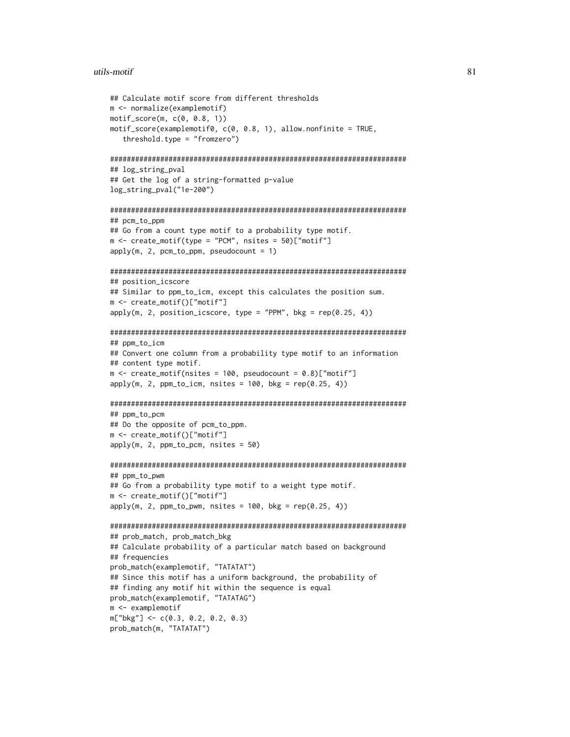#### utils-motif 81

```
## Calculate motif score from different thresholds
m <- normalize(examplemotif)
motif_score(m, c(0, 0.8, 1))
motif_score(examplemotif0, c(0, 0.8, 1), allow.nonfinite = TRUE,
   threshold.type = "fromzero")
#######################################################################
## log_string_pval
## Get the log of a string-formatted p-value
log_string_pval("1e-200")
#######################################################################
## pcm to ppm
## Go from a count type motif to a probability type motif.
m <- create_motif(type = "PCM", nsites = 50)["motif"]
apply(m, 2, pcm_to_ppm, pseudocount = 1)#######################################################################
## position_icscore
## Similar to ppm_to_icm, except this calculates the position sum.
m <- create_motif()["motif"]
apply(m, 2, position_i}{score, type = "PPM", bkg = rep(0.25, 4))#######################################################################
## ppm_to_icm
## Convert one column from a probability type motif to an information
## content type motif.
m \le create_motif(nsites = 100, pseudocount = 0.8)["motif"]
apply(m, 2, ppm_to_icm, nsites = 100, bkg = rep(0.25, 4))#######################################################################
## ppm_to_pcm
## Do the opposite of pcm_to_ppm.
m <- create_motif()["motif"]
apply(m, 2, ppm_to_pcm, nsites = 50)
#######################################################################
## ppm_to_pwm
## Go from a probability type motif to a weight type motif.
m <- create_motif()["motif"]
apply(m, 2, ppm_to_pwm, nsites = 100, bkg = rep(0.25, 4))#######################################################################
## prob_match, prob_match_bkg
## Calculate probability of a particular match based on background
## frequencies
prob_match(examplemotif, "TATATAT")
## Since this motif has a uniform background, the probability of
## finding any motif hit within the sequence is equal
prob_match(examplemotif, "TATATAG")
m <- examplemotif
m["bkg"] <- c(0.3, 0.2, 0.2, 0.3)
prob_match(m, "TATATAT")
```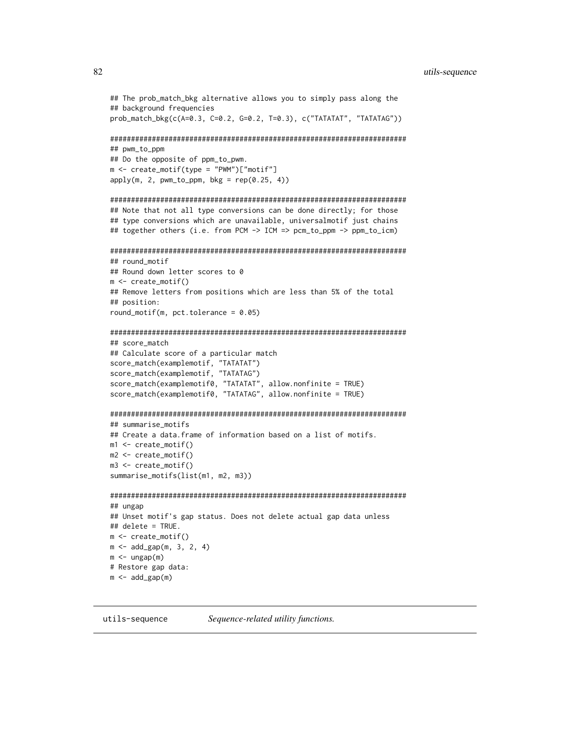```
## The prob_match_bkg alternative allows you to simply pass along the
## background frequencies
prob_match_bkg(c(A=0.3, C=0.2, G=0.2, T=0.3), c("TATATAT", "TATATAG"))
#######################################################################
## pwm_to_ppm
## Do the opposite of ppm_to_pwm.
m <- create_motif(type = "PWM")["motif"]
apply(m, 2, pwm_to_ppm, bkg = rep(0.25, 4))#######################################################################
## Note that not all type conversions can be done directly; for those
## type conversions which are unavailable, universalmotif just chains
## together others (i.e. from PCM -> ICM => pcm_to_ppm -> ppm_to_icm)
#######################################################################
## round_motif
## Round down letter scores to 0
m <- create_motif()
## Remove letters from positions which are less than 5% of the total
## position:
round_motif(m, pct.tolerance = 0.05)
#######################################################################
## score_match
## Calculate score of a particular match
score_match(examplemotif, "TATATAT")
score_match(examplemotif, "TATATAG")
score_match(examplemotif0, "TATATAT", allow.nonfinite = TRUE)
score_match(examplemotif0, "TATATAG", allow.nonfinite = TRUE)
#######################################################################
## summarise_motifs
## Create a data.frame of information based on a list of motifs.
m1 <- create_motif()
m2 <- create_motif()
m3 <- create_motif()
summarise_motifs(list(m1, m2, m3))
#######################################################################
## ungap
## Unset motif's gap status. Does not delete actual gap data unless
## delete = TRUE.
m <- create_motif()
m < - add_gap(m, 3, 2, 4)
m < - ungap(m)# Restore gap data:
m < - add_gap(m)
```
<span id="page-81-0"></span>utils-sequence *Sequence-related utility functions.*

<span id="page-81-1"></span>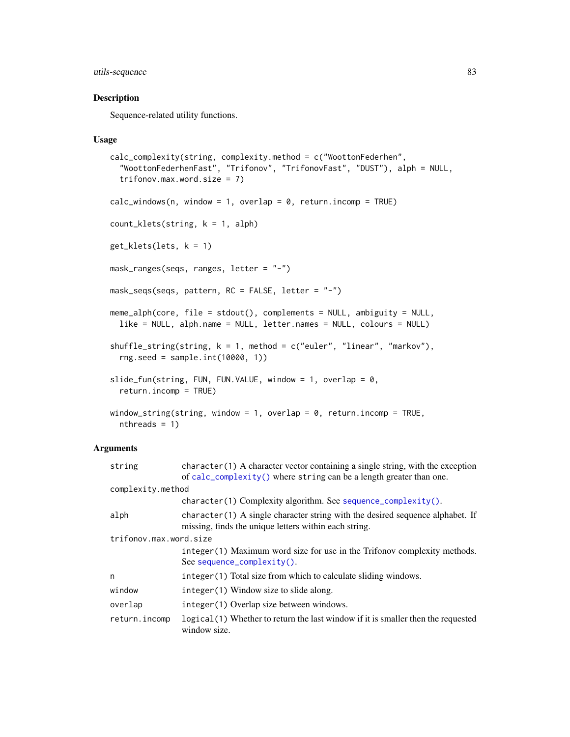# <span id="page-82-1"></span>utils-sequence 83

# <span id="page-82-0"></span>Description

Sequence-related utility functions.

#### Usage

```
calc_complexity(string, complexity.method = c("WoottonFederhen",
  "WoottonFederhenFast", "Trifonov", "TrifonovFast", "DUST"), alph = NULL,
  trifonov.max.word.size = 7)
calc\_windows(n, window = 1, overlap = 0, return.incomp = TRUE)count_klets(string, k = 1, alph)
get_klets(lets, k = 1)
mask_ranges(seqs, ranges, letter = "-")
mask_seqs(seqs, pattern, RC = FALSE, letter = "-")
meme_alph(core, file = stdout(), complements = NULL, ambiguity = NULL,
  like = NULL, alph.name = NULL, letter.names = NULL, colours = NULL)
shuffle_string(string, k = 1, method = c("euler", "linear", "markov"),
  rng.seed = sample.int(10000, 1))
slide_fun(string, FUN, FUN.VALUE, window = 1, overlap = 0,
  return.incomp = TRUE)
window_string(string, window = 1, overlap = 0, return.incomp = TRUE,
  nthreads = 1)
```
#### Arguments

| string                 | $character(1)$ A character vector containing a single string, with the exception<br>of calc_complexity() where string can be a length greater than one. |  |  |
|------------------------|---------------------------------------------------------------------------------------------------------------------------------------------------------|--|--|
|                        | complexity.method                                                                                                                                       |  |  |
|                        | character(1) Complexity algorithm. See sequence_complexity().                                                                                           |  |  |
| alph                   | $character(1)$ A single character string with the desired sequence alphabet. If<br>missing, finds the unique letters within each string.                |  |  |
| trifonov.max.word.size |                                                                                                                                                         |  |  |
|                        | integer (1) Maximum word size for use in the Trifonov complexity methods.<br>See sequence_complexity().                                                 |  |  |
| n                      | integer (1) Total size from which to calculate sliding windows.                                                                                         |  |  |
| window                 | integer(1) Window size to slide along.                                                                                                                  |  |  |
| overlap                | integer (1) Overlap size between windows.                                                                                                               |  |  |
| return.incomp          | logical (1) Whether to return the last window if it is smaller then the requested<br>window size.                                                       |  |  |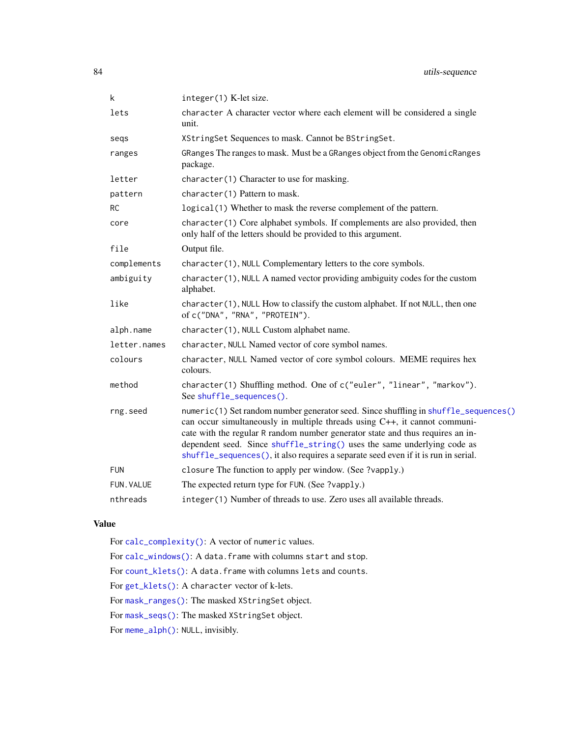<span id="page-83-0"></span>

| k            | integer(1) K-let size.                                                                                                                                                                                                                                                                                                                                                                                               |  |
|--------------|----------------------------------------------------------------------------------------------------------------------------------------------------------------------------------------------------------------------------------------------------------------------------------------------------------------------------------------------------------------------------------------------------------------------|--|
| lets         | character A character vector where each element will be considered a single<br>unit.                                                                                                                                                                                                                                                                                                                                 |  |
| segs         | XStringSet Sequences to mask. Cannot be BStringSet.                                                                                                                                                                                                                                                                                                                                                                  |  |
| ranges       | GRanges The ranges to mask. Must be a GRanges object from the GenomicRanges<br>package.                                                                                                                                                                                                                                                                                                                              |  |
| letter       | character(1) Character to use for masking.                                                                                                                                                                                                                                                                                                                                                                           |  |
| pattern      | character(1) Pattern to mask.                                                                                                                                                                                                                                                                                                                                                                                        |  |
| <b>RC</b>    | logical(1) Whether to mask the reverse complement of the pattern.                                                                                                                                                                                                                                                                                                                                                    |  |
| core         | character(1) Core alphabet symbols. If complements are also provided, then<br>only half of the letters should be provided to this argument.                                                                                                                                                                                                                                                                          |  |
| file         | Output file.                                                                                                                                                                                                                                                                                                                                                                                                         |  |
| complements  | character(1), NULL Complementary letters to the core symbols.                                                                                                                                                                                                                                                                                                                                                        |  |
| ambiguity    | character(1), NULL A named vector providing ambiguity codes for the custom<br>alphabet.                                                                                                                                                                                                                                                                                                                              |  |
| like         | character(1), NULL How to classify the custom alphabet. If not NULL, then one<br>of c("DNA", "RNA", "PROTEIN").                                                                                                                                                                                                                                                                                                      |  |
| alph.name    | character(1), NULL Custom alphabet name.                                                                                                                                                                                                                                                                                                                                                                             |  |
| letter.names | character, NULL Named vector of core symbol names.                                                                                                                                                                                                                                                                                                                                                                   |  |
| colours      | character, NULL Named vector of core symbol colours. MEME requires hex<br>colours.                                                                                                                                                                                                                                                                                                                                   |  |
| method       | character(1) Shuffling method. One of c("euler", "linear", "markov").<br>See shuffle_sequences().                                                                                                                                                                                                                                                                                                                    |  |
| rng.seed     | numeric(1) Set random number generator seed. Since shuffling in shuffle_sequences()<br>can occur simultaneously in multiple threads using C++, it cannot communi-<br>cate with the regular R random number generator state and thus requires an in-<br>dependent seed. Since shuffle_string() uses the same underlying code as<br>shuffle_sequences(), it also requires a separate seed even if it is run in serial. |  |
| <b>FUN</b>   | closure The function to apply per window. (See ?vapply.)                                                                                                                                                                                                                                                                                                                                                             |  |
| FUN. VALUE   | The expected return type for FUN. (See ?vapply.)                                                                                                                                                                                                                                                                                                                                                                     |  |
| nthreads     | integer(1) Number of threads to use. Zero uses all available threads.                                                                                                                                                                                                                                                                                                                                                |  |

# Value

For [calc\\_complexity\(\)](#page-82-0): A vector of numeric values.

For [calc\\_windows\(\)](#page-82-0): A data.frame with columns start and stop. For [count\\_klets\(\)](#page-82-0): A data.frame with columns lets and counts. For [get\\_klets\(\)](#page-82-0): A character vector of k-lets. For [mask\\_ranges\(\)](#page-82-0): The masked XStringSet object. For [mask\\_seqs\(\)](#page-82-0): The masked XStringSet object. For [meme\\_alph\(\)](#page-82-0): NULL, invisibly.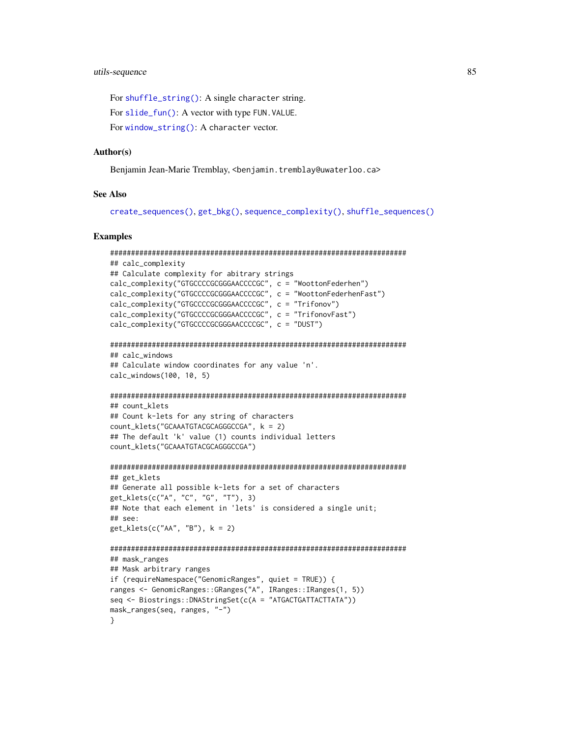<span id="page-84-0"></span>For [shuffle\\_string\(\)](#page-82-0): A single character string. For [slide\\_fun\(\)](#page-82-0): A vector with type FUN. VALUE. For [window\\_string\(\)](#page-82-0): A character vector.

#### Author(s)

Benjamin Jean-Marie Tremblay, <benjamin.tremblay@uwaterloo.ca>

#### See Also

```
create_sequences(), get_bkg(), sequence_complexity(), shuffle_sequences()
```

```
#######################################################################
## calc_complexity
## Calculate complexity for abitrary strings
calc_complexity("GTGCCCCGCGGGAACCCCGC", c = "WoottonFederhen")
calc_complexity("GTGCCCCGCGGGAACCCCGC", c = "WoottonFederhenFast")
calc_complexity("GTGCCCCGCGGGAACCCCGC", c = "Trifonov")
calc_complexity("GTGCCCCGCGGGAACCCCGC", c = "TrifonovFast")
calc_complexity("GTGCCCCGCGGGAACCCCGC", c = "DUST")
#######################################################################
## calc_windows
## Calculate window coordinates for any value 'n'.
calc_windows(100, 10, 5)
#######################################################################
## count klets
## Count k-lets for any string of characters
count_klets("GCAAATGTACGCAGGGCCGA", k = 2)
## The default 'k' value (1) counts individual letters
count_klets("GCAAATGTACGCAGGGCCGA")
#######################################################################
## get_klets
## Generate all possible k-lets for a set of characters
get_klets(c("A", "C", "G", "T"), 3)
## Note that each element in 'lets' is considered a single unit;
## see:
get_klets(c("AA", "B"), k = 2)
#######################################################################
## mask_ranges
## Mask arbitrary ranges
if (requireNamespace("GenomicRanges", quiet = TRUE)) {
ranges <- GenomicRanges::GRanges("A", IRanges::IRanges(1, 5))
seq <- Biostrings::DNAStringSet(c(A = "ATGACTGATTACTTATA"))
mask_ranges(seq, ranges, "-")
}
```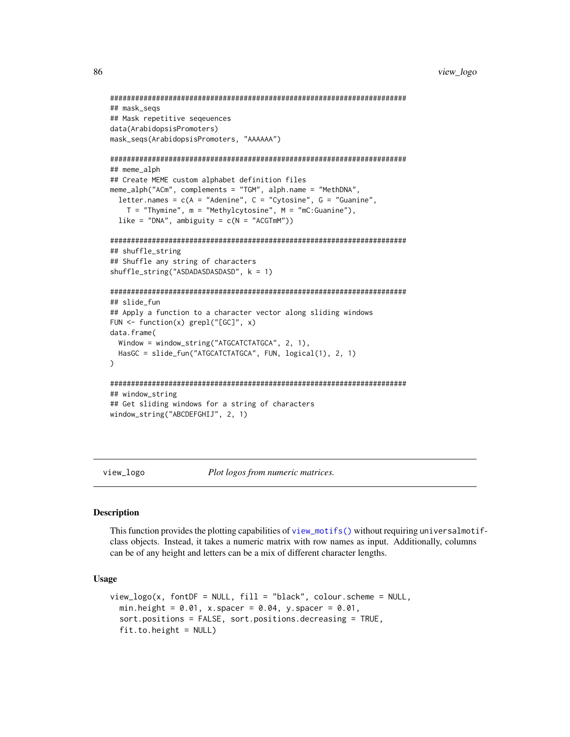```
#######################################################################
## mask_seqs
## Mask repetitive seqeuences
data(ArabidopsisPromoters)
mask_seqs(ArabidopsisPromoters, "AAAAAA")
#######################################################################
## meme_alph
## Create MEME custom alphabet definition files
meme_alph("ACm", complements = "TGM", alph.name = "MethDNA",
  letter.names = c(A = "Adenine", C = "Cytosine", G = "Guanine",
    T = "Thymine", m = "Methylcytosine", M = "mC:Guanine"),
  like = "DNA", ambiguity = c(N = "ACGTmM"))
#######################################################################
## shuffle_string
## Shuffle any string of characters
shuffle_string("ASDADASDASDASD", k = 1)
#######################################################################
## slide_fun
## Apply a function to a character vector along sliding windows
FUN <- function(x) grepl("[GC]", x)
data.frame(
  Window = window_string("ATGCATCTATGCA", 2, 1),
  HasGC = slide_fun("ATGCATCTATGCA", FUN, logical(1), 2, 1)
)
#######################################################################
## window_string
## Get sliding windows for a string of characters
window_string("ABCDEFGHIJ", 2, 1)
```
<span id="page-85-0"></span>view\_logo *Plot logos from numeric matrices.*

#### **Description**

This function provides the plotting capabilities of [view\\_motifs\(\)](#page-87-0) without requiring universalmotifclass objects. Instead, it takes a numeric matrix with row names as input. Additionally, columns can be of any height and letters can be a mix of different character lengths.

#### Usage

```
view\_logo(x, fontDF = NULL, fill = "black", colour.scheme = NULL,min.height = 0.01, x.spacer = 0.04, y.spacer = 0.01,
  sort.positions = FALSE, sort.positions.decreasing = TRUE,
  fit.to.height = NULL)
```
<span id="page-85-1"></span>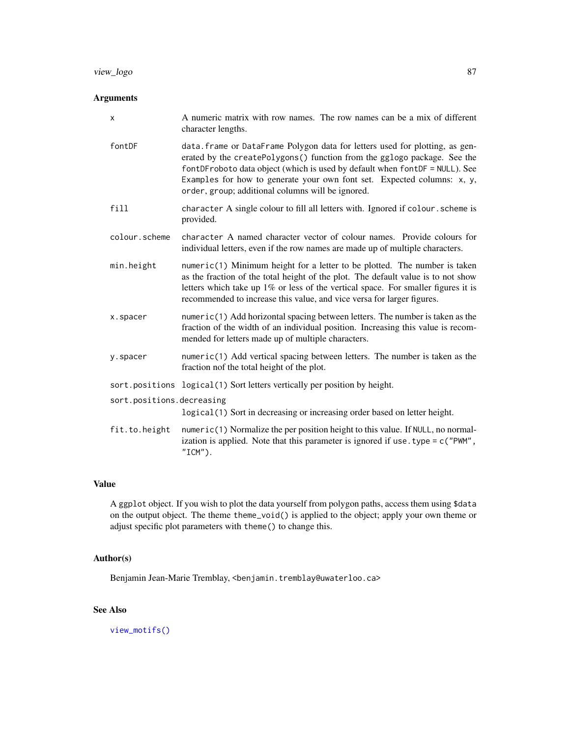# <span id="page-86-0"></span>view\_logo 87

# Arguments

| X                         | A numeric matrix with row names. The row names can be a mix of different<br>character lengths.                                                                                                                                                                                                                                                                         |
|---------------------------|------------------------------------------------------------------------------------------------------------------------------------------------------------------------------------------------------------------------------------------------------------------------------------------------------------------------------------------------------------------------|
| fontDF                    | data.frame or DataFrame Polygon data for letters used for plotting, as gen-<br>erated by the createPolygons() function from the gglogo package. See the<br>fontDFroboto data object (which is used by default when fontDF = NULL). See<br>Examples for how to generate your own font set. Expected columns: x, y,<br>order, group; additional columns will be ignored. |
| fill                      | character A single colour to fill all letters with. Ignored if colour. scheme is<br>provided.                                                                                                                                                                                                                                                                          |
| colour.scheme             | character A named character vector of colour names. Provide colours for<br>individual letters, even if the row names are made up of multiple characters.                                                                                                                                                                                                               |
| min.height                | $numeric(1)$ Minimum height for a letter to be plotted. The number is taken<br>as the fraction of the total height of the plot. The default value is to not show<br>letters which take up 1% or less of the vertical space. For smaller figures it is<br>recommended to increase this value, and vice versa for larger figures.                                        |
| x.spacer                  | $numeric(1)$ Add horizontal spacing between letters. The number is taken as the<br>fraction of the width of an individual position. Increasing this value is recom-<br>mended for letters made up of multiple characters.                                                                                                                                              |
| y.spacer                  | $numeric(1)$ Add vertical spacing between letters. The number is taken as the<br>fraction nof the total height of the plot.                                                                                                                                                                                                                                            |
|                           | sort.positions logical(1) Sort letters vertically per position by height.                                                                                                                                                                                                                                                                                              |
| sort.positions.decreasing | logical (1) Sort in decreasing or increasing order based on letter height.                                                                                                                                                                                                                                                                                             |
| fit.to.height             | numeric(1) Normalize the per position height to this value. If NULL, no normal-<br>ization is applied. Note that this parameter is ignored if use $type = c("PWM",$<br>$"ICM"$ ).                                                                                                                                                                                      |

#### Value

A ggplot object. If you wish to plot the data yourself from polygon paths, access them using \$data on the output object. The theme theme\_void() is applied to the object; apply your own theme or adjust specific plot parameters with theme() to change this.

# Author(s)

Benjamin Jean-Marie Tremblay, <benjamin.tremblay@uwaterloo.ca>

# See Also

[view\\_motifs\(\)](#page-87-0)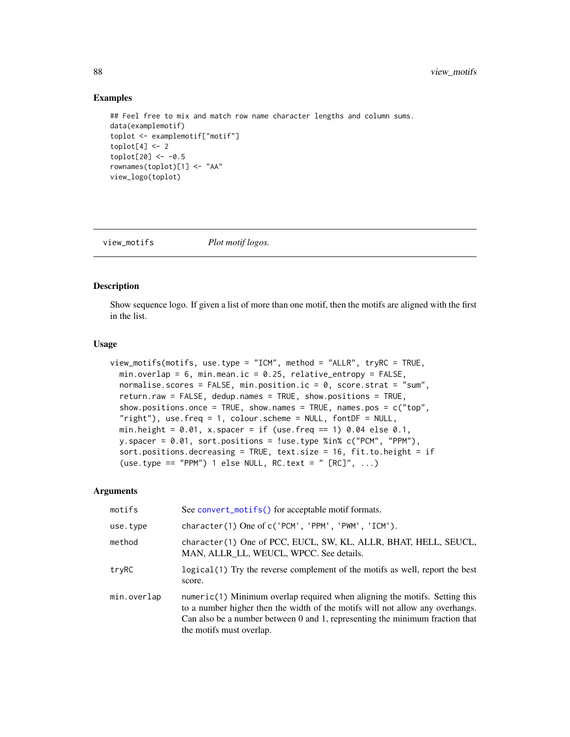#### Examples

```
## Feel free to mix and match row name character lengths and column sums.
data(examplemotif)
toplot <- examplemotif["motif"]
toplot[4] < -2toplot[20] < -0.5rownames(toplot)[1] <- "AA"
view_logo(toplot)
```
<span id="page-87-0"></span>

view\_motifs *Plot motif logos.*

# Description

Show sequence logo. If given a list of more than one motif, then the motifs are aligned with the first in the list.

#### Usage

```
view_motifs(motifs, use.type = "ICM", method = "ALLR", tryRC = TRUE,
 min.overlap = 6, min.mean.ic = 0.25, relative_entropy = FALSE,
 normalise.scores = FALSE, min.position.ic = 0, score.strat = "sum",
  return.raw = FALSE, dedup.names = TRUE, show.positions = TRUE,
  show.positions.once = TRUE, show.names = TRUE, names.pos = c("top",
  "right"), use.freq = 1, colour.scheme = NULL, fontDF = NULL,
 min.height = 0.01, x.spacer = if (use.freq == 1) 0.04 else 0.1,
 y.spacer = 0.01, sort.positions = !use.type %in% c("PCM", "PPM"),
  sort.positions.decreasing = TRUE, text.size = 16, fit.to.height = if
  (use.type == "PPM") 1 else NULL, RC.text = " [RC]^r, ...)
```
#### Arguments

| motifs      | See convert_motifs() for acceptable motif formats.                                                                                                                                                                                                                        |
|-------------|---------------------------------------------------------------------------------------------------------------------------------------------------------------------------------------------------------------------------------------------------------------------------|
| use.type    | character(1) One of c('PCM', 'PPM', 'PWM', 'ICM').                                                                                                                                                                                                                        |
| method      | character(1) One of PCC, EUCL, SW, KL, ALLR, BHAT, HELL, SEUCL,<br>MAN, ALLR LL, WEUCL, WPCC. See details.                                                                                                                                                                |
| tryRC       | logical(1) Try the reverse complement of the motifs as well, report the best<br>score.                                                                                                                                                                                    |
| min.overlap | $numeric(1)$ Minimum overlap required when aligning the motifs. Setting this<br>to a number higher then the width of the motifs will not allow any overhangs.<br>Can also be a number between 0 and 1, representing the minimum fraction that<br>the motifs must overlap. |

<span id="page-87-1"></span>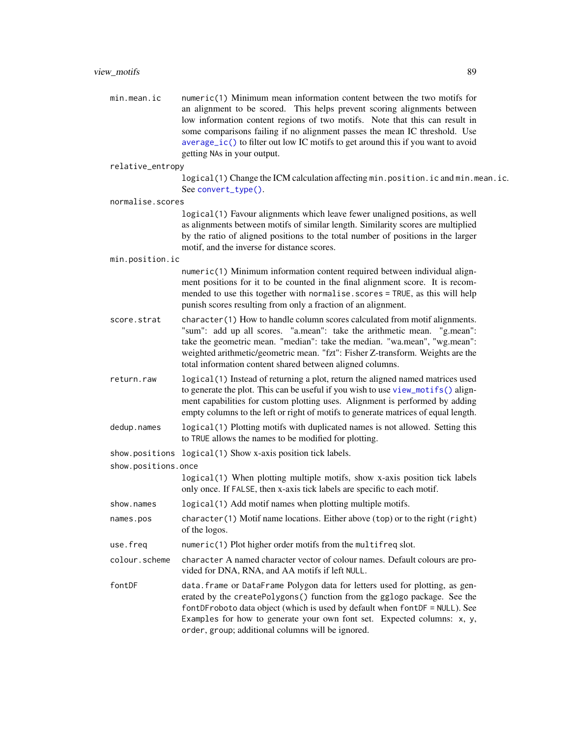<span id="page-88-0"></span>

| min.mean.ic | numeric $(1)$ Minimum mean information content between the two motifs for                           |
|-------------|-----------------------------------------------------------------------------------------------------|
|             | an alignment to be scored. This helps prevent scoring alignments between                            |
|             | low information content regions of two motifs. Note that this can result in                         |
|             | some comparisons failing if no alignment passes the mean IC threshold. Use                          |
|             | $\alpha$ average $\alpha$ ic () to filter out low IC motifs to get around this if you want to avoid |
|             | getting NAs in your output.                                                                         |
|             |                                                                                                     |

```
relative_entropy
```
logical(1) Change the ICM calculation affecting min.position.ic and min.mean.ic. See [convert\\_type\(\)](#page-13-0).

```
normalise.scores
```
logical(1) Favour alignments which leave fewer unaligned positions, as well as alignments between motifs of similar length. Similarity scores are multiplied by the ratio of aligned positions to the total number of positions in the larger motif, and the inverse for distance scores.

min.position.ic

numeric(1) Minimum information content required between individual alignment positions for it to be counted in the final alignment score. It is recommended to use this together with normalise.scores = TRUE, as this will help punish scores resulting from only a fraction of an alignment.

- score.strat character(1) How to handle column scores calculated from motif alignments. "sum": add up all scores. "a.mean": take the arithmetic mean. "g.mean": take the geometric mean. "median": take the median. "wa.mean", "wg.mean": weighted arithmetic/geometric mean. "fzt": Fisher Z-transform. Weights are the total information content shared between aligned columns.
- return.raw logical(1) Instead of returning a plot, return the aligned named matrices used to generate the plot. This can be useful if you wish to use [view\\_motifs\(\)](#page-87-0) alignment capabilities for custom plotting uses. Alignment is performed by adding empty columns to the left or right of motifs to generate matrices of equal length.
- dedup.names logical(1) Plotting motifs with duplicated names is not allowed. Setting this to TRUE allows the names to be modified for plotting.

show.positions logical(1) Show x-axis position tick labels.

```
show.positions.once
```
logical(1) When plotting multiple motifs, show x-axis position tick labels only once. If FALSE, then x-axis tick labels are specific to each motif.

```
show.names logical(1) Add motif names when plotting multiple motifs.
```
- names.pos character(1) Motif name locations. Either above (top) or to the right (right) of the logos.
- use.freq numeric(1) Plot higher order motifs from the multifreq slot.
- colour.scheme character A named character vector of colour names. Default colours are provided for DNA, RNA, and AA motifs if left NULL.
- fontDF data.frame or DataFrame Polygon data for letters used for plotting, as generated by the createPolygons() function from the gglogo package. See the fontDFroboto data object (which is used by default when fontDF = NULL). See Examples for how to generate your own font set. Expected columns: x, y, order, group; additional columns will be ignored.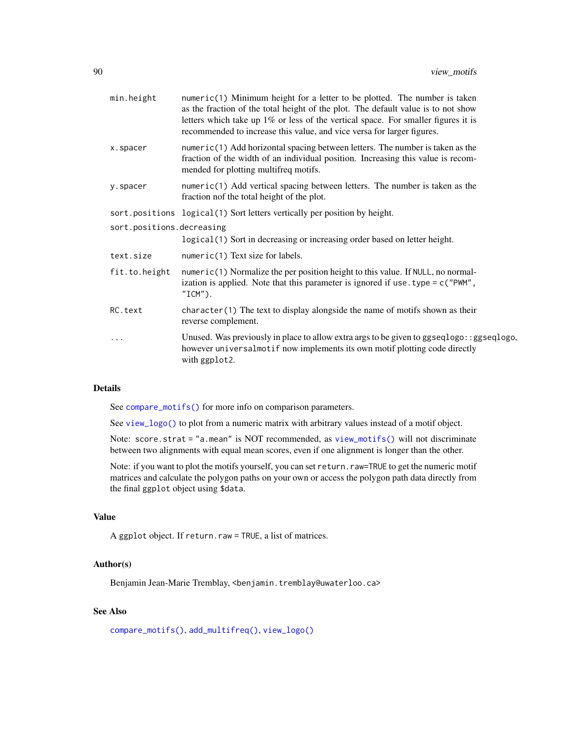<span id="page-89-0"></span>

| min.height                | $numeric(1)$ Minimum height for a letter to be plotted. The number is taken<br>as the fraction of the total height of the plot. The default value is to not show<br>letters which take up $1\%$ or less of the vertical space. For smaller figures it is<br>recommended to increase this value, and vice versa for larger figures. |  |
|---------------------------|------------------------------------------------------------------------------------------------------------------------------------------------------------------------------------------------------------------------------------------------------------------------------------------------------------------------------------|--|
| x.spacer                  | numeric(1) Add horizontal spacing between letters. The number is taken as the<br>fraction of the width of an individual position. Increasing this value is recom-<br>mended for plotting multifreq motifs.                                                                                                                         |  |
| y.spacer                  | $numeric(1)$ Add vertical spacing between letters. The number is taken as the<br>fraction nof the total height of the plot.                                                                                                                                                                                                        |  |
|                           | sort.positions logical(1) Sort letters vertically per position by height.                                                                                                                                                                                                                                                          |  |
| sort.positions.decreasing |                                                                                                                                                                                                                                                                                                                                    |  |
|                           | logical (1) Sort in decreasing or increasing order based on letter height.                                                                                                                                                                                                                                                         |  |
| text.size                 | numeric(1) Text size for labels.                                                                                                                                                                                                                                                                                                   |  |
| fit.to.height             | numeric(1) Normalize the per position height to this value. If $NULL$ , no normal-<br>ization is applied. Note that this parameter is ignored if use $type = c("PWM",$<br>$"ICM"$ ).                                                                                                                                               |  |
| RC.text                   | $character(1)$ The text to display alongside the name of motifs shown as their<br>reverse complement.                                                                                                                                                                                                                              |  |
| $\cdots$                  | Unused. Was previously in place to allow extra args to be given to $ggseqlogo$ : : $ggseqlogo$ ,<br>however universalmotif now implements its own motif plotting code directly<br>with ggplot2.                                                                                                                                    |  |

#### Details

See [compare\\_motifs\(\)](#page-5-0) for more info on comparison parameters.

See [view\\_logo\(\)](#page-85-0) to plot from a numeric matrix with arbitrary values instead of a motif object.

Note: score.strat = "a.mean" is NOT recommended, as [view\\_motifs\(\)](#page-87-0) will not discriminate between two alignments with equal mean scores, even if one alignment is longer than the other.

Note: if you want to plot the motifs yourself, you can set return.raw=TRUE to get the numeric motif matrices and calculate the polygon paths on your own or access the polygon path data directly from the final ggplot object using \$data.

# Value

A ggplot object. If return.raw = TRUE, a list of matrices.

### Author(s)

Benjamin Jean-Marie Tremblay, <benjamin.tremblay@uwaterloo.ca>

### See Also

[compare\\_motifs\(\)](#page-5-0), [add\\_multifreq\(\)](#page-2-0), [view\\_logo\(\)](#page-85-0)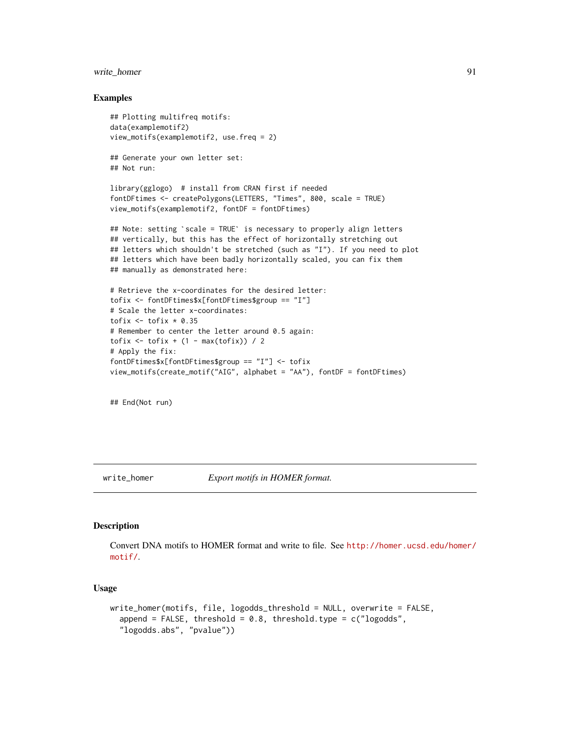# <span id="page-90-1"></span>write\_homer 91

#### Examples

```
## Plotting multifreq motifs:
data(examplemotif2)
view_motifs(examplemotif2, use.freq = 2)
## Generate your own letter set:
## Not run:
library(gglogo) # install from CRAN first if needed
fontDFtimes <- createPolygons(LETTERS, "Times", 800, scale = TRUE)
view_motifs(examplemotif2, fontDF = fontDFtimes)
## Note: setting `scale = TRUE` is necessary to properly align letters
## vertically, but this has the effect of horizontally stretching out
## letters which shouldn't be stretched (such as "I"). If you need to plot
## letters which have been badly horizontally scaled, you can fix them
## manually as demonstrated here:
# Retrieve the x-coordinates for the desired letter:
tofix <- fontDFtimes$x[fontDFtimes$group == "I"]
# Scale the letter x-coordinates:
tofix \le tofix * 0.35
# Remember to center the letter around 0.5 again:
\text{tofix} \leq \text{tofix} + (1 - \max(\text{tofix})) / 2# Apply the fix:
fontDFtimes$x[fontDFtimes$group == "I"] <- tofix
view_motifs(create_motif("AIG", alphabet = "AA"), fontDF = fontDFtimes)
```
## End(Not run)

<span id="page-90-0"></span>write\_homer *Export motifs in HOMER format.*

#### Description

Convert DNA motifs to HOMER format and write to file. See [http://homer.ucsd.edu/homer/](http://homer.ucsd.edu/homer/motif/) [motif/](http://homer.ucsd.edu/homer/motif/).

# Usage

```
write_homer(motifs, file, logodds_threshold = NULL, overwrite = FALSE,
  append = FALSE, threshold = 0.8, threshold.type = c("logodds","logodds.abs", "pvalue"))
```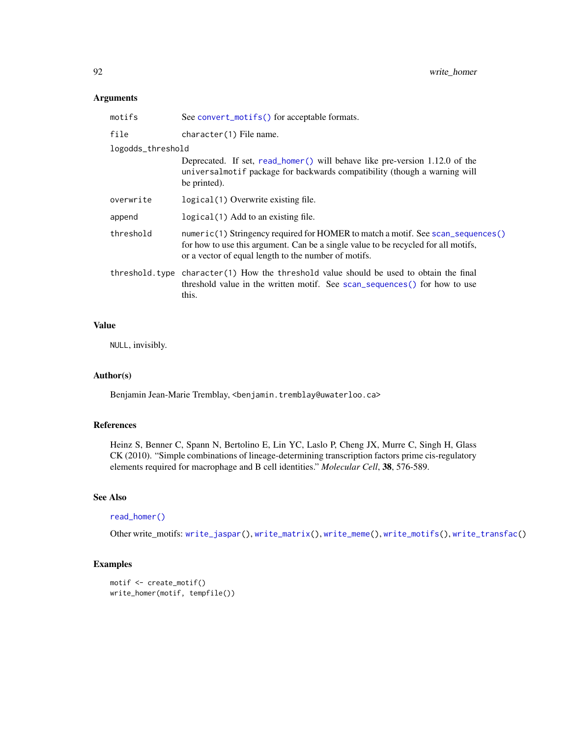# <span id="page-91-0"></span>Arguments

| See convert_motifs() for acceptable formats.                                                                                                                                                                                  |  |
|-------------------------------------------------------------------------------------------------------------------------------------------------------------------------------------------------------------------------------|--|
| character(1) File name.                                                                                                                                                                                                       |  |
| logodds_threshold                                                                                                                                                                                                             |  |
| Deprecated. If set, read_homer() will behave like pre-version 1.12.0 of the<br>universalmotif package for backwards compatibility (though a warning will<br>be printed).                                                      |  |
| logical (1) Overwrite existing file.                                                                                                                                                                                          |  |
| logical (1) Add to an existing file.                                                                                                                                                                                          |  |
| numeric(1) Stringency required for HOMER to match a motif. See scan_sequences()<br>for how to use this argument. Can be a single value to be recycled for all motifs,<br>or a vector of equal length to the number of motifs. |  |
| threshold type character(1) How the threshold value should be used to obtain the final<br>threshold value in the written motif. See scan_sequences() for how to use<br>this.                                                  |  |
|                                                                                                                                                                                                                               |  |

# Value

NULL, invisibly.

#### Author(s)

Benjamin Jean-Marie Tremblay, <benjamin.tremblay@uwaterloo.ca>

# References

Heinz S, Benner C, Spann N, Bertolino E, Lin YC, Laslo P, Cheng JX, Murre C, Singh H, Glass CK (2010). "Simple combinations of lineage-determining transcription factors prime cis-regulatory elements required for macrophage and B cell identities." *Molecular Cell*, 38, 576-589.

# See Also

# [read\\_homer\(\)](#page-46-0)

Other write\_motifs: [write\\_jaspar\(](#page-92-0)), [write\\_matrix\(](#page-93-0)), [write\\_meme\(](#page-94-0)), [write\\_motifs\(](#page-95-0)), [write\\_transfac\(](#page-96-0))

```
motif <- create_motif()
write_homer(motif, tempfile())
```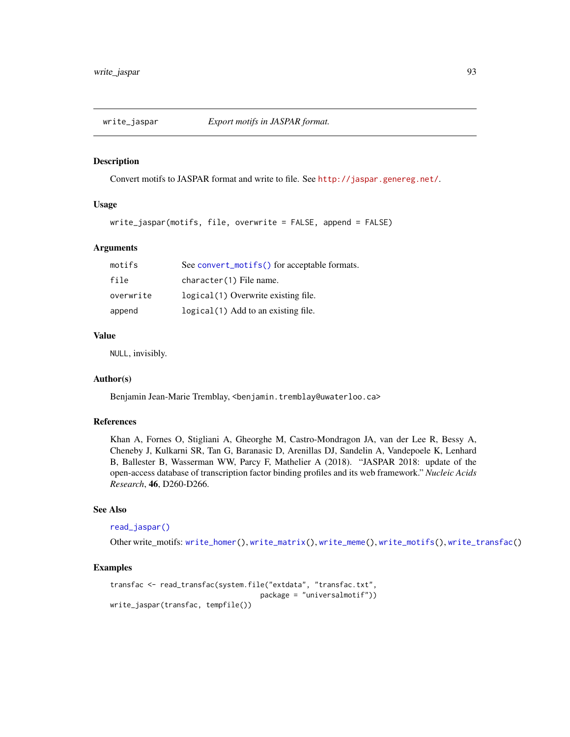<span id="page-92-1"></span><span id="page-92-0"></span>

Convert motifs to JASPAR format and write to file. See <http://jaspar.genereg.net/>.

# Usage

```
write_jaspar(motifs, file, overwrite = FALSE, append = FALSE)
```
#### Arguments

| motifs    | See convert_motifs() for acceptable formats. |
|-----------|----------------------------------------------|
| file      | character(1) File name.                      |
| overwrite | logical(1) Overwrite existing file.          |
| append    | logical(1) Add to an existing file.          |

#### Value

NULL, invisibly.

# Author(s)

Benjamin Jean-Marie Tremblay, <benjamin.tremblay@uwaterloo.ca>

# References

Khan A, Fornes O, Stigliani A, Gheorghe M, Castro-Mondragon JA, van der Lee R, Bessy A, Cheneby J, Kulkarni SR, Tan G, Baranasic D, Arenillas DJ, Sandelin A, Vandepoele K, Lenhard B, Ballester B, Wasserman WW, Parcy F, Mathelier A (2018). "JASPAR 2018: update of the open-access database of transcription factor binding profiles and its web framework." *Nucleic Acids Research*, 46, D260-D266.

# See Also

#### [read\\_jaspar\(\)](#page-47-0)

Other write\_motifs: [write\\_homer\(](#page-90-0)), [write\\_matrix\(](#page-93-0)), [write\\_meme\(](#page-94-0)), [write\\_motifs\(](#page-95-0)), [write\\_transfac\(](#page-96-0))

```
transfac <- read_transfac(system.file("extdata", "transfac.txt",
                                    package = "universalmotif"))
write_jaspar(transfac, tempfile())
```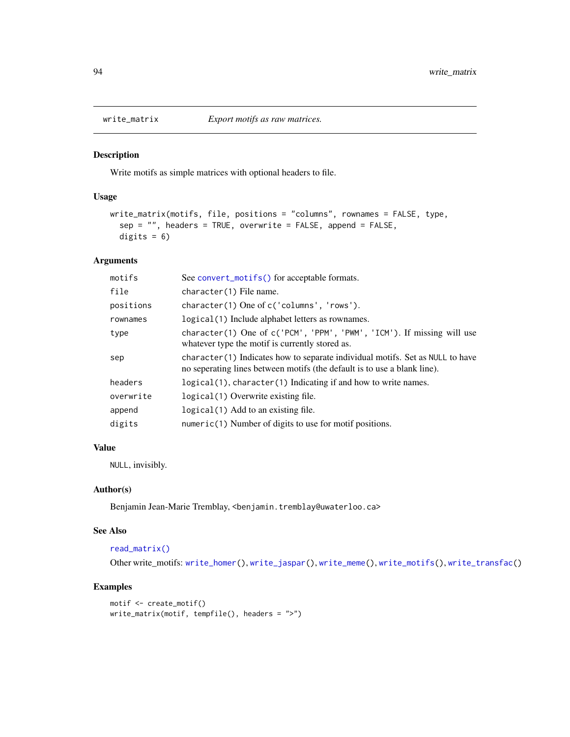<span id="page-93-1"></span><span id="page-93-0"></span>

Write motifs as simple matrices with optional headers to file.

#### Usage

```
write_matrix(motifs, file, positions = "columns", rownames = FALSE, type,
  sep = "", headers = TRUE, overwrite = FALSE, append = FALSE,
 digits = 6)
```
# Arguments

| motifs    | See convert_motifs() for acceptable formats.                                                                                                               |
|-----------|------------------------------------------------------------------------------------------------------------------------------------------------------------|
| file      | character(1) File name.                                                                                                                                    |
| positions | character(1) One of c('columns', 'rows').                                                                                                                  |
| rownames  | logical(1) Include alphabet letters as rownames.                                                                                                           |
| type      | character(1) One of c('PCM', 'PPM', 'PWM', 'ICM'). If missing will use<br>whatever type the motif is currently stored as.                                  |
| sep       | character (1) Indicates how to separate individual motifs. Set as NULL to have<br>no seperating lines between motifs (the default is to use a blank line). |
| headers   | logical(1), character(1) Indicating if and how to write names.                                                                                             |
| overwrite | logical (1) Overwrite existing file.                                                                                                                       |
| append    | $logical(1)$ Add to an existing file.                                                                                                                      |
| digits    | $numeric(1)$ Number of digits to use for motif positions.                                                                                                  |
|           |                                                                                                                                                            |

# Value

NULL, invisibly.

#### Author(s)

Benjamin Jean-Marie Tremblay, <benjamin.tremblay@uwaterloo.ca>

#### See Also

#### [read\\_matrix\(\)](#page-48-0)

Other write\_motifs: [write\\_homer\(](#page-90-0)), [write\\_jaspar\(](#page-92-0)), [write\\_meme\(](#page-94-0)), [write\\_motifs\(](#page-95-0)), [write\\_transfac\(](#page-96-0))

```
motif <- create_motif()
write_matrix(motif, tempfile(), headers = ">")
```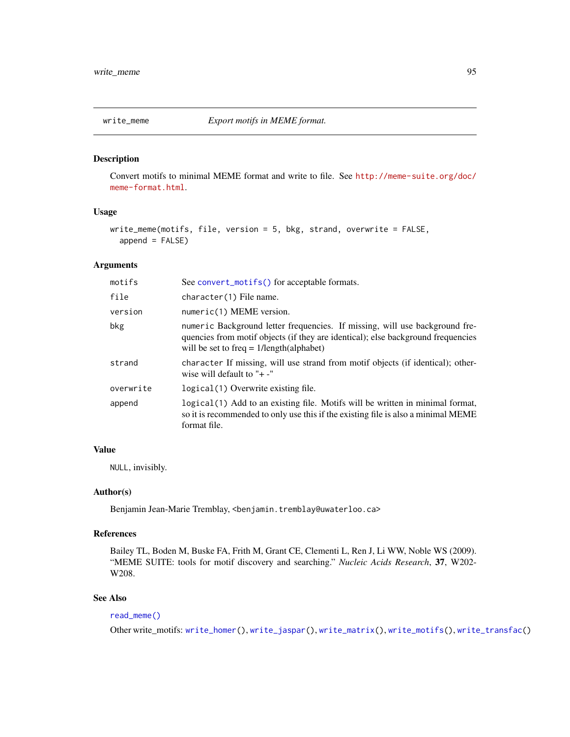<span id="page-94-1"></span><span id="page-94-0"></span>

Convert motifs to minimal MEME format and write to file. See [http://meme-suite.org/doc/](http://meme-suite.org/doc/meme-format.html) [meme-format.html](http://meme-suite.org/doc/meme-format.html).

# Usage

```
write_meme(motifs, file, version = 5, bkg, strand, overwrite = FALSE,
  append = FALSE)
```
#### Arguments

| motifs    | See convert_motifs() for acceptable formats.                                                                                                                                                                  |
|-----------|---------------------------------------------------------------------------------------------------------------------------------------------------------------------------------------------------------------|
| file      | character(1) File name.                                                                                                                                                                                       |
| version   | numeric(1) MEME version.                                                                                                                                                                                      |
| bkg       | numeric Background letter frequencies. If missing, will use background fre-<br>quencies from motif objects (if they are identical); else background frequencies<br>will be set to freq $= 1/length(alphabet)$ |
| strand    | character If missing, will use strand from motif objects (if identical); other-<br>wise will default to " $+$ -"                                                                                              |
| overwrite | logical (1) Overwrite existing file.                                                                                                                                                                          |
| append    | logical (1) Add to an existing file. Motifs will be written in minimal format,<br>so it is recommended to only use this if the existing file is also a minimal MEME<br>format file.                           |
|           |                                                                                                                                                                                                               |

### Value

NULL, invisibly.

# Author(s)

Benjamin Jean-Marie Tremblay, <benjamin.tremblay@uwaterloo.ca>

#### References

Bailey TL, Boden M, Buske FA, Frith M, Grant CE, Clementi L, Ren J, Li WW, Noble WS (2009). "MEME SUITE: tools for motif discovery and searching." *Nucleic Acids Research*, 37, W202- W208.

# See Also

# [read\\_meme\(\)](#page-49-0)

Other write\_motifs: [write\\_homer\(](#page-90-0)), [write\\_jaspar\(](#page-92-0)), [write\\_matrix\(](#page-93-0)), [write\\_motifs\(](#page-95-0)), [write\\_transfac\(](#page-96-0))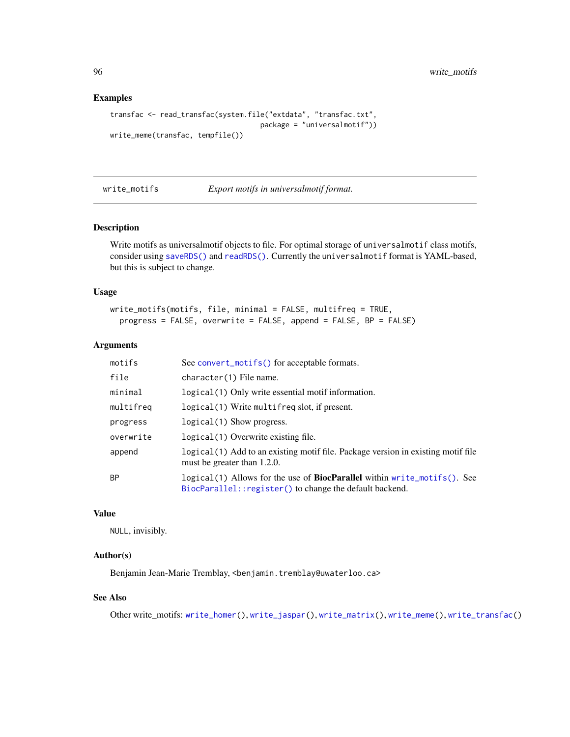#### Examples

```
transfac <- read_transfac(system.file("extdata", "transfac.txt",
                                    package = "universalmotif"))
write_meme(transfac, tempfile())
```
<span id="page-95-0"></span>write\_motifs *Export motifs in universalmotif format.*

#### Description

Write motifs as universalmotif objects to file. For optimal storage of universalmotif class motifs, consider using [saveRDS\(\)](#page-0-0) and [readRDS\(\)](#page-0-0). Currently the universalmotif format is YAML-based, but this is subject to change.

#### Usage

```
write_motifs(motifs, file, minimal = FALSE, multifreq = TRUE,
 progress = FALSE, overwrite = FALSE, append = FALSE, BP = FALSE)
```
#### Arguments

| motifs    | See convert_motifs() for acceptable formats.                                                                                                |
|-----------|---------------------------------------------------------------------------------------------------------------------------------------------|
| file      | character(1) File name.                                                                                                                     |
| minimal   | logical (1) Only write essential motif information.                                                                                         |
| multifreq | logical(1) Write multifreq slot, if present.                                                                                                |
| progress  | $logical(1)$ Show progress.                                                                                                                 |
| overwrite | logical(1) Overwrite existing file.                                                                                                         |
| append    | logical (1) Add to an existing motif file. Package version in existing motif file<br>must be greater than 1.2.0.                            |
| <b>BP</b> | logical(1) Allows for the use of <b>BiocParallel</b> within write_motifs(). See<br>BiocParallel:: register() to change the default backend. |

#### Value

NULL, invisibly.

# Author(s)

Benjamin Jean-Marie Tremblay, <benjamin.tremblay@uwaterloo.ca>

# See Also

Other write\_motifs: [write\\_homer\(](#page-90-0)), [write\\_jaspar\(](#page-92-0)), [write\\_matrix\(](#page-93-0)), [write\\_meme\(](#page-94-0)), [write\\_transfac\(](#page-96-0))

<span id="page-95-1"></span>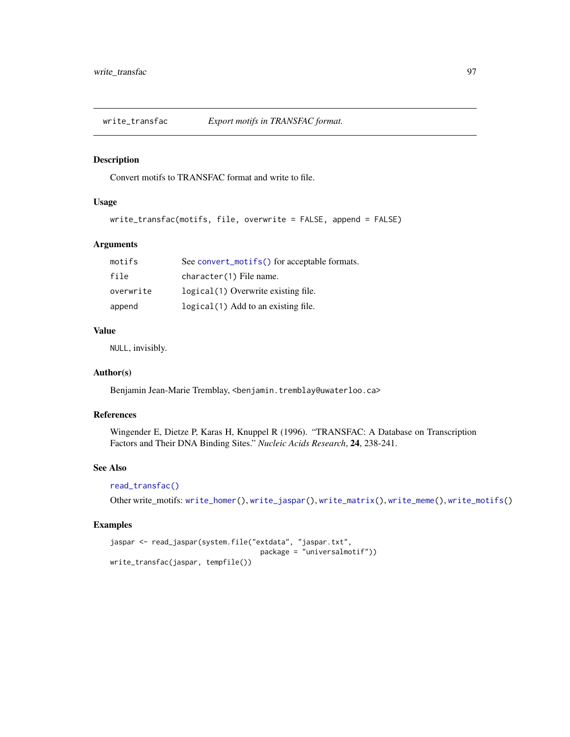<span id="page-96-1"></span><span id="page-96-0"></span>

Convert motifs to TRANSFAC format and write to file.

### Usage

```
write_transfac(motifs, file, overwrite = FALSE, append = FALSE)
```
# Arguments

| motifs    | See convert_motifs() for acceptable formats. |
|-----------|----------------------------------------------|
| file      | character(1) File name.                      |
| overwrite | logical(1) Overwrite existing file.          |
| append    | logical (1) Add to an existing file.         |

## Value

NULL, invisibly.

# Author(s)

Benjamin Jean-Marie Tremblay, <benjamin.tremblay@uwaterloo.ca>

# References

Wingender E, Dietze P, Karas H, Knuppel R (1996). "TRANSFAC: A Database on Transcription Factors and Their DNA Binding Sites." *Nucleic Acids Research*, 24, 238-241.

# See Also

#### [read\\_transfac\(\)](#page-51-0)

Other write\_motifs: [write\\_homer\(](#page-90-0)), [write\\_jaspar\(](#page-92-0)), [write\\_matrix\(](#page-93-0)), [write\\_meme\(](#page-94-0)), [write\\_motifs\(](#page-95-0))

```
jaspar <- read_jaspar(system.file("extdata", "jaspar.txt",
                                    package = "universalmotif"))
write_transfac(jaspar, tempfile())
```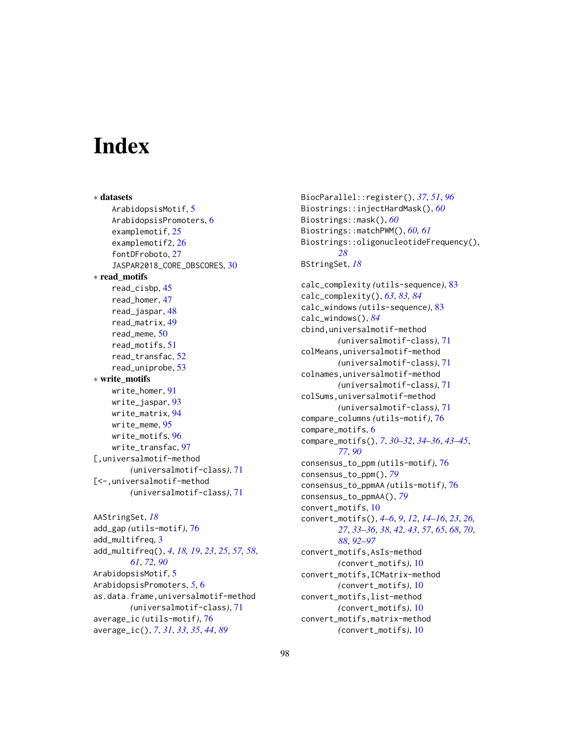# **Index**

∗ datasets ArabidopsisMotif, [5](#page-4-0) ArabidopsisPromoters, [6](#page-5-1) examplemotif, [25](#page-24-0) examplemotif2, [26](#page-25-0) fontDFroboto, [27](#page-26-0) JASPAR2018\_CORE\_DBSCORES, [30](#page-29-0) ∗ read\_motifs read\_cisbp, [45](#page-44-0) read\_homer, [47](#page-46-1) read\_jaspar, [48](#page-47-1) read\_matrix, [49](#page-48-1) read\_meme, [50](#page-49-1) read\_motifs, [51](#page-50-0) read\_transfac, [52](#page-51-1) read\_uniprobe, [53](#page-52-0) ∗ write\_motifs write homer. [91](#page-90-1) write\_jaspar, [93](#page-92-1) write matrix, [94](#page-93-1) write\_meme, [95](#page-94-1) write\_motifs, [96](#page-95-1) write\_transfac, [97](#page-96-1) [,universalmotif-method *(*universalmotif-class*)*, [71](#page-70-1) [<-,universalmotif-method *(*universalmotif-class*)*, [71](#page-70-1)

```
AAStringSet, 18
add_gap (utils-motif), 76
add_multifreq, 3
add_multifreq(), 4, 18, 19, 23, 25, 57, 58,
        61, 72, 90
ArabidopsisMotif, 5
ArabidopsisPromoters, 5, 6
as.data.frame,universalmotif-method
        (universalmotif-class), 71
average_ic (utils-motif), 76
average_ic(), 7, 31, 33, 35, 44, 89
```
BiocParallel::register(), *[37](#page-36-0)*, *[51](#page-50-0)*, *[96](#page-95-1)* Biostrings::injectHardMask(), *[60](#page-59-0)* Biostrings::mask(), *[60](#page-59-0)* Biostrings::matchPWM(), *[60,](#page-59-0) [61](#page-60-1)* Biostrings::oligonucleotideFrequency(), *[28](#page-27-1)* BStringSet, *[18](#page-17-0)*

calc\_complexity *(*utils-sequence*)*, [83](#page-82-1) calc\_complexity(), *[63](#page-62-0)*, *[83,](#page-82-1) [84](#page-83-0)* calc\_windows *(*utils-sequence*)*, [83](#page-82-1) calc\_windows(), *[84](#page-83-0)* cbind,universalmotif-method *(*universalmotif-class*)*, [71](#page-70-1) colMeans,universalmotif-method *(*universalmotif-class*)*, [71](#page-70-1) colnames,universalmotif-method *(*universalmotif-class*)*, [71](#page-70-1) colSums,universalmotif-method *(*universalmotif-class*)*, [71](#page-70-1) compare\_columns *(*utils-motif*)*, [76](#page-75-2) compare\_motifs, [6](#page-5-1) compare\_motifs(), *[7](#page-6-0)*, *[30](#page-29-0)[–32](#page-31-0)*, *[34](#page-33-0)[–36](#page-35-0)*, *[43](#page-42-0)[–45](#page-44-0)*, *[77](#page-76-0)*, *[90](#page-89-0)* consensus\_to\_ppm *(*utils-motif*)*, [76](#page-75-2) consensus\_to\_ppm(), *[79](#page-78-0)* consensus\_to\_ppmAA *(*utils-motif*)*, [76](#page-75-2) consensus\_to\_ppmAA(), *[79](#page-78-0)* convert\_motifs, [10](#page-9-1) convert\_motifs(), *[4](#page-3-0)[–6](#page-5-1)*, *[9](#page-8-0)*, *[12](#page-11-0)*, *[14](#page-13-1)[–16](#page-15-1)*, *[23](#page-22-0)*, *[26,](#page-25-0) [27](#page-26-0)*, *[33](#page-32-0)[–36](#page-35-0)*, *[38](#page-37-0)*, *[42,](#page-41-0) [43](#page-42-0)*, *[57](#page-56-0)*, *[65](#page-64-0)*, *[68](#page-67-0)*, *[70](#page-69-0)*, *[88](#page-87-1)*, *[92](#page-91-0)[–97](#page-96-1)* convert\_motifs,AsIs-method *(*convert\_motifs*)*, [10](#page-9-1) convert\_motifs,ICMatrix-method *(*convert\_motifs*)*, [10](#page-9-1) convert\_motifs,list-method *(*convert\_motifs*)*, [10](#page-9-1) convert\_motifs,matrix-method *(*convert\_motifs*)*, [10](#page-9-1)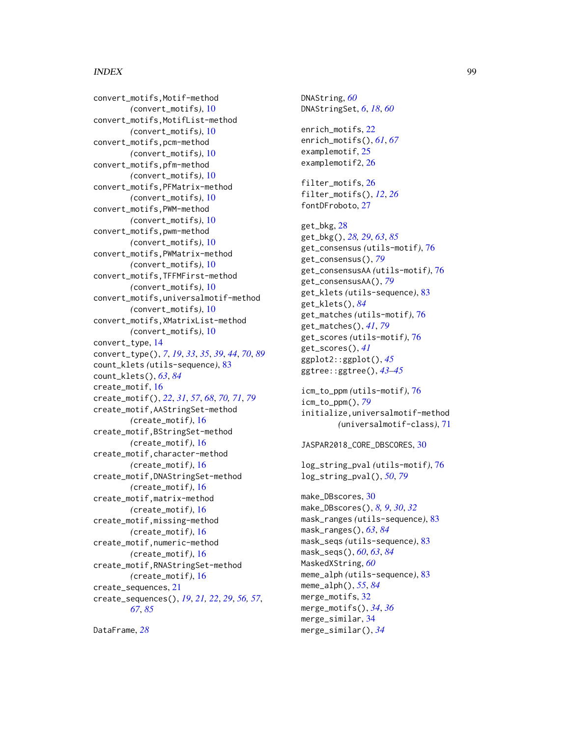#### INDEX 99

convert\_motifs,Motif-method *(*convert\_motifs*)*, [10](#page-9-1) convert\_motifs,MotifList-method *(*convert\_motifs*)*, [10](#page-9-1) convert\_motifs,pcm-method *(*convert\_motifs*)*, [10](#page-9-1) convert\_motifs,pfm-method *(*convert\_motifs*)*, [10](#page-9-1) convert\_motifs,PFMatrix-method *(*convert\_motifs*)*, [10](#page-9-1) convert\_motifs,PWM-method *(*convert\_motifs*)*, [10](#page-9-1) convert\_motifs,pwm-method *(*convert\_motifs*)*, [10](#page-9-1) convert\_motifs,PWMatrix-method *(*convert\_motifs*)*, [10](#page-9-1) convert\_motifs,TFFMFirst-method *(*convert\_motifs*)*, [10](#page-9-1) convert\_motifs,universalmotif-method *(*convert\_motifs*)*, [10](#page-9-1) convert\_motifs,XMatrixList-method *(*convert\_motifs*)*, [10](#page-9-1) convert\_type, [14](#page-13-1) convert\_type(), *[7](#page-6-0)*, *[19](#page-18-0)*, *[33](#page-32-0)*, *[35](#page-34-0)*, *[39](#page-38-0)*, *[44](#page-43-0)*, *[70](#page-69-0)*, *[89](#page-88-0)* count\_klets *(*utils-sequence*)*, [83](#page-82-1) count\_klets(), *[63](#page-62-0)*, *[84](#page-83-0)* create\_motif, [16](#page-15-1) create\_motif(), *[22](#page-21-0)*, *[31](#page-30-0)*, *[57](#page-56-0)*, *[68](#page-67-0)*, *[70,](#page-69-0) [71](#page-70-1)*, *[79](#page-78-0)* create\_motif,AAStringSet-method *(*create\_motif*)*, [16](#page-15-1) create\_motif,BStringSet-method *(*create\_motif*)*, [16](#page-15-1) create\_motif,character-method *(*create\_motif*)*, [16](#page-15-1) create\_motif,DNAStringSet-method *(*create\_motif*)*, [16](#page-15-1) create\_motif,matrix-method *(*create\_motif*)*, [16](#page-15-1) create\_motif,missing-method *(*create\_motif*)*, [16](#page-15-1) create\_motif,numeric-method *(*create\_motif*)*, [16](#page-15-1) create\_motif,RNAStringSet-method *(*create\_motif*)*, [16](#page-15-1) create\_sequences, [21](#page-20-1) create\_sequences(), *[19](#page-18-0)*, *[21,](#page-20-1) [22](#page-21-0)*, *[29](#page-28-0)*, *[56,](#page-55-0) [57](#page-56-0)*, *[67](#page-66-0)*, *[85](#page-84-0)*

```
DataFrame, 28
```
DNAString, *[60](#page-59-0)* DNAStringSet, *[6](#page-5-1)*, *[18](#page-17-0)*, *[60](#page-59-0)* enrich\_motifs, [22](#page-21-0) enrich\_motifs(), *[61](#page-60-1)*, *[67](#page-66-0)* examplemotif, [25](#page-24-0) examplemotif2, [26](#page-25-0) filter\_motifs, [26](#page-25-0) filter\_motifs(), *[12](#page-11-0)*, *[26](#page-25-0)* fontDFroboto, [27](#page-26-0) get\_bkg, [28](#page-27-1) get\_bkg(), *[28,](#page-27-1) [29](#page-28-0)*, *[63](#page-62-0)*, *[85](#page-84-0)* get\_consensus *(*utils-motif*)*, [76](#page-75-2) get\_consensus(), *[79](#page-78-0)* get\_consensusAA *(*utils-motif*)*, [76](#page-75-2) get\_consensusAA(), *[79](#page-78-0)* get\_klets *(*utils-sequence*)*, [83](#page-82-1) get\_klets(), *[84](#page-83-0)* get\_matches *(*utils-motif*)*, [76](#page-75-2) get\_matches(), *[41](#page-40-0)*, *[79](#page-78-0)* get\_scores *(*utils-motif*)*, [76](#page-75-2) get\_scores(), *[41](#page-40-0)* ggplot2::ggplot(), *[45](#page-44-0)* ggtree::ggtree(), *[43](#page-42-0)[–45](#page-44-0)* icm\_to\_ppm *(*utils-motif*)*, [76](#page-75-2) icm\_to\_ppm(), *[79](#page-78-0)* initialize,universalmotif-method *(*universalmotif-class*)*, [71](#page-70-1) JASPAR2018\_CORE\_DBSCORES, [30](#page-29-0) log\_string\_pval *(*utils-motif*)*, [76](#page-75-2) log\_string\_pval(), *[50](#page-49-1)*, *[79](#page-78-0)* make\_DBscores, [30](#page-29-0) make\_DBscores(), *[8,](#page-7-0) [9](#page-8-0)*, *[30](#page-29-0)*, *[32](#page-31-0)* mask\_ranges *(*utils-sequence*)*, [83](#page-82-1) mask\_ranges(), *[63](#page-62-0)*, *[84](#page-83-0)* mask\_seqs *(*utils-sequence*)*, [83](#page-82-1) mask\_seqs(), *[60](#page-59-0)*, *[63](#page-62-0)*, *[84](#page-83-0)* MaskedXString, *[60](#page-59-0)* meme\_alph *(*utils-sequence*)*, [83](#page-82-1) meme\_alph(), *[55](#page-54-0)*, *[84](#page-83-0)* merge\_motifs, [32](#page-31-0) merge\_motifs(), *[34](#page-33-0)*, *[36](#page-35-0)* merge\_similar, [34](#page-33-0)

merge\_similar(), *[34](#page-33-0)*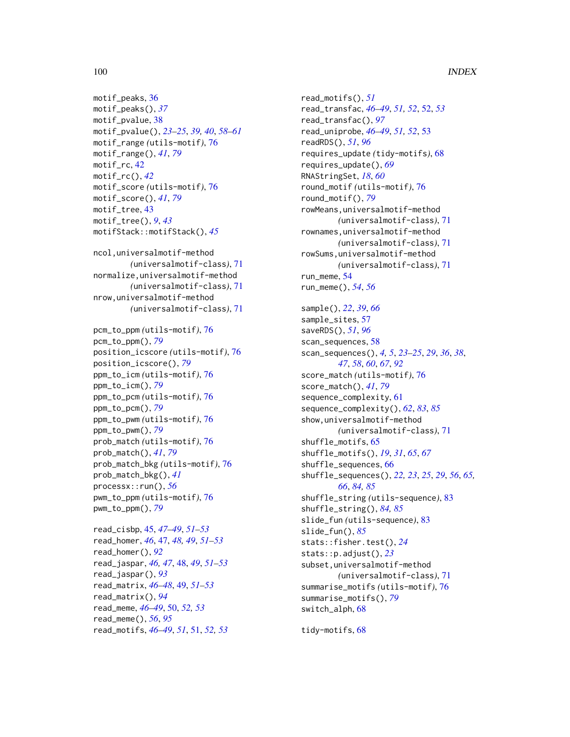```
motif_peaks, 36
motif_peaks(), 37
motif_pvalue, 38
motif_pvalue(), 23–25, 39, 40, 58–61
motif_range (utils-motif), 76
motif_range(), 41, 79
motif_rc, 42
motif_rc(), 42
motif_score (utils-motif), 76
motif_score(), 41, 79
motif_tree, 43
motif_tree(), 9, 43
motifStack::motifStack(), 45
```

```
ncol,universalmotif-method
        (universalmotif-class), 71
normalize,universalmotif-method
        (universalmotif-class), 71
nrow,universalmotif-method
        (universalmotif-class), 71
```

```
pcm_to_ppm (utils-motif), 76
pcm_to_ppm(), 79
position_icscore (utils-motif), 76
position_icscore(), 79
ppm_to_icm (utils-motif), 76
ppm_to_icm(), 79
ppm_to_pcm (utils-motif), 76
ppm_to_pcm(), 79
ppm_to_pwm (utils-motif), 76
ppm_to_pwm(), 79
prob_match (utils-motif), 76
prob_match(), 41, 79
prob_match_bkg (utils-motif), 76
prob_match_bkg(), 41
processx::run(), 56
pwm_to_ppm (utils-motif), 76
pwm_to_ppm(), 79
```

```
read_cisbp, 45, 47–49, 51–53
read_homer, 46, 47, 48, 49, 51–53
read_homer(), 92
read_jaspar, 46, 47, 48, 49, 51–53
read_jaspar(), 93
read_matrix, 46–48, 49, 51–53
read_matrix(), 94
read_meme, 46–49, 50, 52, 53
read_meme(), 56, 95
read_motifs, 46–49, 51, 51, 52, 53
```
read\_motifs(), *[51](#page-50-0)* read\_transfac, *[46](#page-45-0)[–49](#page-48-1)*, *[51,](#page-50-0) [52](#page-51-1)*, [52,](#page-51-1) *[53](#page-52-0)* read\_transfac(), *[97](#page-96-1)* read\_uniprobe, *[46](#page-45-0)[–49](#page-48-1)*, *[51,](#page-50-0) [52](#page-51-1)*, [53](#page-52-0) readRDS(), *[51](#page-50-0)*, *[96](#page-95-1)* requires\_update *(*tidy-motifs*)*, [68](#page-67-0) requires\_update(), *[69](#page-68-0)* RNAStringSet, *[18](#page-17-0)*, *[60](#page-59-0)* round\_motif *(*utils-motif*)*, [76](#page-75-2) round\_motif(), *[79](#page-78-0)* rowMeans,universalmotif-method *(*universalmotif-class*)*, [71](#page-70-1) rownames,universalmotif-method *(*universalmotif-class*)*, [71](#page-70-1) rowSums,universalmotif-method *(*universalmotif-class*)*, [71](#page-70-1) run\_meme, [54](#page-53-0) run\_meme(), *[54](#page-53-0)*, *[56](#page-55-0)* sample(), *[22](#page-21-0)*, *[39](#page-38-0)*, *[66](#page-65-1)* sample\_sites, [57](#page-56-0) saveRDS(), *[51](#page-50-0)*, *[96](#page-95-1)* scan\_sequences, [58](#page-57-1) scan\_sequences(), *[4,](#page-3-0) [5](#page-4-0)*, *[23](#page-22-0)[–25](#page-24-0)*, *[29](#page-28-0)*, *[36](#page-35-0)*, *[38](#page-37-0)*, *[47](#page-46-1)*, *[58](#page-57-1)*, *[60](#page-59-0)*, *[67](#page-66-0)*, *[92](#page-91-0)* score\_match *(*utils-motif*)*, [76](#page-75-2) score\_match(), *[41](#page-40-0)*, *[79](#page-78-0)* sequence\_complexity, [61](#page-60-1) sequence\_complexity(), *[62](#page-61-0)*, *[83](#page-82-1)*, *[85](#page-84-0)* show,universalmotif-method *(*universalmotif-class*)*, [71](#page-70-1) shuffle\_motifs, [65](#page-64-0) shuffle\_motifs(), *[19](#page-18-0)*, *[31](#page-30-0)*, *[65](#page-64-0)*, *[67](#page-66-0)* shuffle\_sequences, [66](#page-65-1) shuffle\_sequences(), *[22,](#page-21-0) [23](#page-22-0)*, *[25](#page-24-0)*, *[29](#page-28-0)*, *[56](#page-55-0)*, *[65,](#page-64-0) [66](#page-65-1)*, *[84,](#page-83-0) [85](#page-84-0)* shuffle\_string *(*utils-sequence*)*, [83](#page-82-1) shuffle\_string(), *[84,](#page-83-0) [85](#page-84-0)* slide\_fun *(*utils-sequence*)*, [83](#page-82-1) slide\_fun(), *[85](#page-84-0)*

stats::fisher.test(), *[24](#page-23-0)* stats::p.adjust(), *[23](#page-22-0)* subset,universalmotif-method *(*universalmotif-class*)*, [71](#page-70-1) summarise\_motifs *(*utils-motif*)*, [76](#page-75-2) summarise\_motifs(), *[79](#page-78-0)* switch\_alph, [68](#page-67-0)

tidy-motifs, [68](#page-67-0)